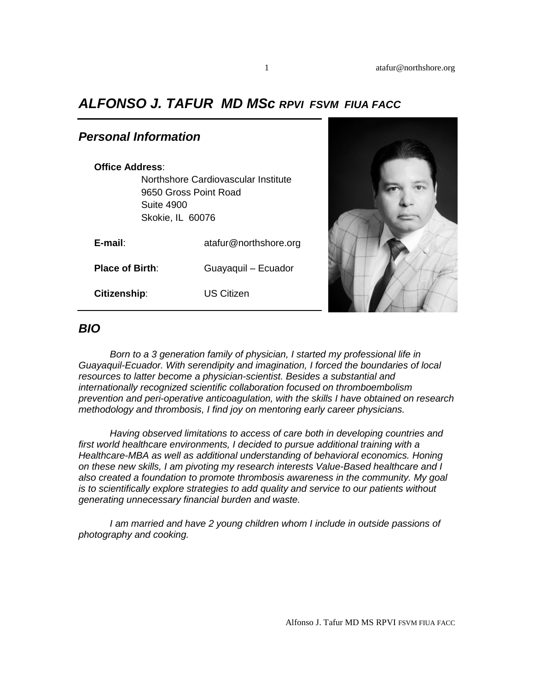## *ALFONSO J. TAFUR MD MSc RPVI FSVM FIUA FACC*

### *Personal Information*

#### **Office Address**:

Northshore Cardiovascular Institute 9650 Gross Point Road Suite 4900 Skokie, IL 60076

| E-mail:                | atafur@northshore.org |
|------------------------|-----------------------|
| <b>Place of Birth:</b> | Guayaquil - Ecuador   |
| Citizenship:           | US Citizen            |



#### *BIO*

*Born to a 3 generation family of physician, I started my professional life in Guayaquil-Ecuador. With serendipity and imagination, I forced the boundaries of local resources to latter become a physician-scientist. Besides a substantial and internationally recognized scientific collaboration focused on thromboembolism prevention and peri-operative anticoagulation, with the skills I have obtained on research methodology and thrombosis, I find joy on mentoring early career physicians.*

*Having observed limitations to access of care both in developing countries and first world healthcare environments, I decided to pursue additional training with a Healthcare-MBA as well as additional understanding of behavioral economics. Honing on these new skills, I am pivoting my research interests Value-Based healthcare and I also created a foundation to promote thrombosis awareness in the community. My goal is to scientifically explore strategies to add quality and service to our patients without generating unnecessary financial burden and waste.* 

*I am married and have 2 young children whom I include in outside passions of photography and cooking.*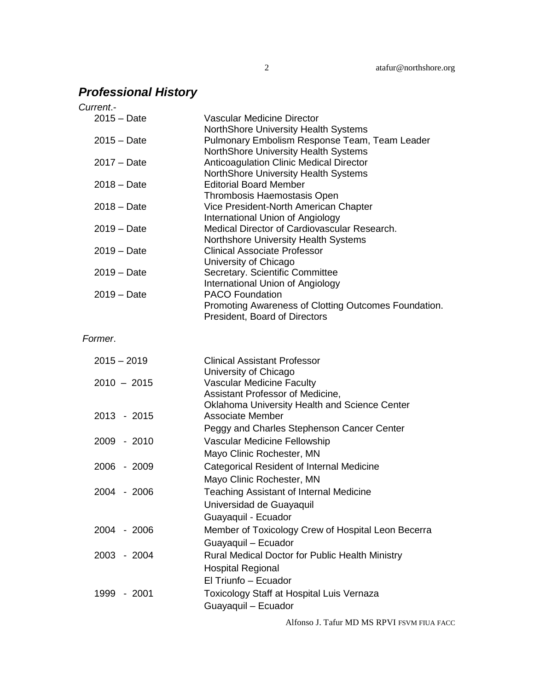# *Professional History*

| Current.-     |                                                                         |
|---------------|-------------------------------------------------------------------------|
| $2015 - Date$ | <b>Vascular Medicine Director</b>                                       |
|               | NorthShore University Health Systems                                    |
| $2015 - Date$ | Pulmonary Embolism Response Team, Team Leader                           |
|               | NorthShore University Health Systems                                    |
| $2017 - Date$ | <b>Anticoagulation Clinic Medical Director</b>                          |
| $2018 - Date$ | NorthShore University Health Systems<br><b>Editorial Board Member</b>   |
|               | Thrombosis Haemostasis Open                                             |
| $2018 - Date$ | Vice President-North American Chapter                                   |
|               | International Union of Angiology                                        |
| $2019 - Date$ | Medical Director of Cardiovascular Research.                            |
|               | Northshore University Health Systems                                    |
| $2019 - Date$ | <b>Clinical Associate Professor</b>                                     |
|               | University of Chicago                                                   |
| $2019 - Date$ | Secretary. Scientific Committee                                         |
|               | International Union of Angiology                                        |
| $2019 - Date$ | <b>PACO Foundation</b>                                                  |
|               | Promoting Awareness of Clotting Outcomes Foundation.                    |
|               | President, Board of Directors                                           |
| Former.       |                                                                         |
|               |                                                                         |
| $2015 - 2019$ | <b>Clinical Assistant Professor</b>                                     |
|               | University of Chicago                                                   |
| $2010 - 2015$ | <b>Vascular Medicine Faculty</b>                                        |
|               | Assistant Professor of Medicine,                                        |
|               | <b>Oklahoma University Health and Science Center</b>                    |
| 2013 - 2015   | <b>Associate Member</b>                                                 |
|               | Peggy and Charles Stephenson Cancer Center                              |
| 2009 - 2010   | Vascular Medicine Fellowship                                            |
|               | Mayo Clinic Rochester, MN                                               |
| 2006 - 2009   | Categorical Resident of Internal Medicine                               |
|               | Mayo Clinic Rochester, MN                                               |
| 2004 - 2006   | Teaching Assistant of Internal Medicine                                 |
|               | Universidad de Guayaquil                                                |
|               | Guayaquil - Ecuador                                                     |
| 2004 - 2006   | Member of Toxicology Crew of Hospital Leon Becerra                      |
|               | Guayaquil - Ecuador                                                     |
|               |                                                                         |
| 2003 - 2004   | Rural Medical Doctor for Public Health Ministry                         |
|               | <b>Hospital Regional</b>                                                |
|               | El Triunfo - Ecuador                                                    |
|               |                                                                         |
| 1999 - 2001   | <b>Toxicology Staff at Hospital Luis Vernaza</b><br>Guayaquil - Ecuador |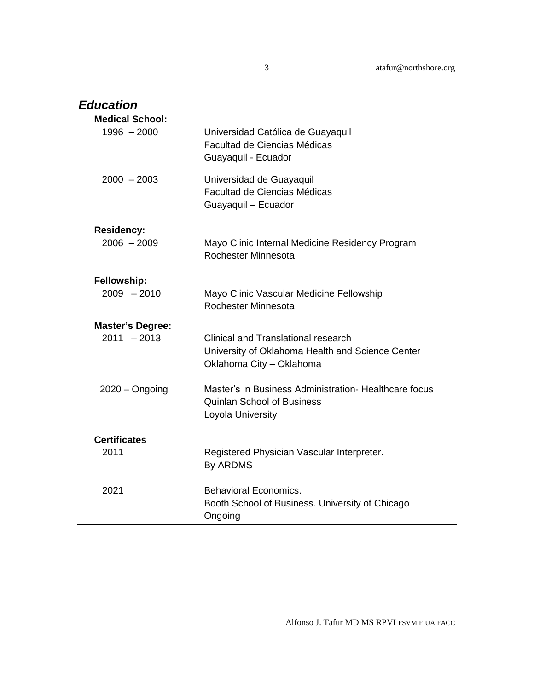| <b>Education</b>                   |                                                                                                                            |
|------------------------------------|----------------------------------------------------------------------------------------------------------------------------|
| <b>Medical School:</b>             |                                                                                                                            |
| $1996 - 2000$                      | Universidad Católica de Guayaquil<br>Facultad de Ciencias Médicas<br>Guayaquil - Ecuador                                   |
| $2000 - 2003$                      | Universidad de Guayaquil<br>Facultad de Ciencias Médicas<br>Guayaquil - Ecuador                                            |
|                                    |                                                                                                                            |
| <b>Residency:</b><br>$2006 - 2009$ | Mayo Clinic Internal Medicine Residency Program<br>Rochester Minnesota                                                     |
| Fellowship:                        |                                                                                                                            |
| $2009 - 2010$                      | Mayo Clinic Vascular Medicine Fellowship<br>Rochester Minnesota                                                            |
| <b>Master's Degree:</b>            |                                                                                                                            |
| $2011 - 2013$                      | <b>Clinical and Translational research</b><br>University of Oklahoma Health and Science Center<br>Oklahoma City - Oklahoma |
| $2020 -$ Ongoing                   | Master's in Business Administration- Healthcare focus<br><b>Quinlan School of Business</b><br>Loyola University            |
| <b>Certificates</b>                |                                                                                                                            |
| 2011                               | Registered Physician Vascular Interpreter.<br>By ARDMS                                                                     |
| 2021                               | <b>Behavioral Economics.</b><br>Booth School of Business. University of Chicago<br>Ongoing                                 |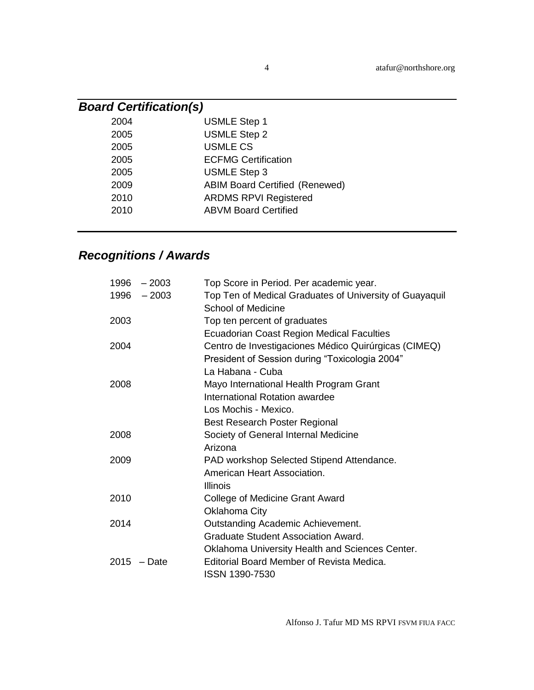| <b>Board Certification(s)</b> |                                       |  |
|-------------------------------|---------------------------------------|--|
| 2004                          | <b>USMLE Step 1</b>                   |  |
| 2005                          | <b>USMLE Step 2</b>                   |  |
| 2005                          | <b>USMLE CS</b>                       |  |
| 2005                          | <b>ECFMG Certification</b>            |  |
| 2005                          | <b>USMLE Step 3</b>                   |  |
| 2009                          | <b>ABIM Board Certified (Renewed)</b> |  |
| 2010                          | <b>ARDMS RPVI Registered</b>          |  |
| 2010                          | <b>ABVM Board Certified</b>           |  |
|                               |                                       |  |

# *Recognitions / Awards*

|      | $1996 - 2003$ | Top Score in Period. Per academic year.                                       |
|------|---------------|-------------------------------------------------------------------------------|
|      | $1996 - 2003$ | Top Ten of Medical Graduates of University of Guayaquil<br>School of Medicine |
| 2003 |               | Top ten percent of graduates                                                  |
|      |               | <b>Ecuadorian Coast Region Medical Faculties</b>                              |
| 2004 |               | Centro de Investigaciones Médico Quirúrgicas (CIMEQ)                          |
|      |               | President of Session during "Toxicologia 2004"                                |
|      |               | La Habana - Cuba                                                              |
| 2008 |               | Mayo International Health Program Grant                                       |
|      |               | International Rotation awardee                                                |
|      |               | Los Mochis - Mexico.                                                          |
|      |               | <b>Best Research Poster Regional</b>                                          |
| 2008 |               | Society of General Internal Medicine                                          |
|      |               | Arizona                                                                       |
| 2009 |               | PAD workshop Selected Stipend Attendance.                                     |
|      |               | American Heart Association.                                                   |
|      |               | <b>Illinois</b>                                                               |
| 2010 |               | College of Medicine Grant Award                                               |
|      |               | Oklahoma City                                                                 |
| 2014 |               | Outstanding Academic Achievement.                                             |
|      |               | Graduate Student Association Award.                                           |
|      |               | Oklahoma University Health and Sciences Center.                               |
|      | $2015$ - Date | Editorial Board Member of Revista Medica.                                     |
|      |               | ISSN 1390-7530                                                                |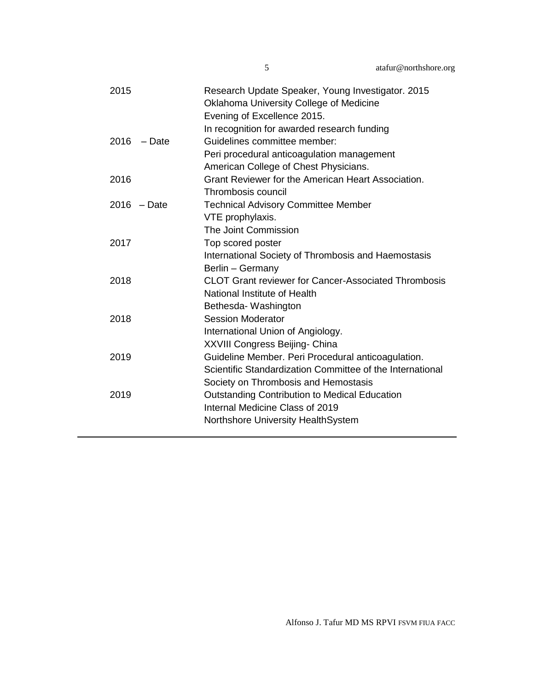| 2015             | Research Update Speaker, Young Investigator. 2015<br>Oklahoma University College of Medicine<br>Evening of Excellence 2015.<br>In recognition for awarded research funding |
|------------------|----------------------------------------------------------------------------------------------------------------------------------------------------------------------------|
| 2016<br>$-$ Date | Guidelines committee member:                                                                                                                                               |
|                  | Peri procedural anticoagulation management                                                                                                                                 |
|                  | American College of Chest Physicians.                                                                                                                                      |
| 2016             | Grant Reviewer for the American Heart Association.                                                                                                                         |
|                  | Thrombosis council                                                                                                                                                         |
| $2016$ - Date    | <b>Technical Advisory Committee Member</b>                                                                                                                                 |
|                  | VTE prophylaxis.                                                                                                                                                           |
|                  | The Joint Commission                                                                                                                                                       |
| 2017             | Top scored poster                                                                                                                                                          |
|                  | International Society of Thrombosis and Haemostasis                                                                                                                        |
|                  | Berlin - Germany                                                                                                                                                           |
| 2018             | <b>CLOT Grant reviewer for Cancer-Associated Thrombosis</b>                                                                                                                |
|                  | National Institute of Health                                                                                                                                               |
|                  | Bethesda-Washington                                                                                                                                                        |
| 2018             | <b>Session Moderator</b>                                                                                                                                                   |
|                  | International Union of Angiology.                                                                                                                                          |
|                  | XXVIII Congress Beijing- China                                                                                                                                             |
| 2019             | Guideline Member. Peri Procedural anticoagulation.                                                                                                                         |
|                  | Scientific Standardization Committee of the International                                                                                                                  |
|                  | Society on Thrombosis and Hemostasis                                                                                                                                       |
| 2019             | <b>Outstanding Contribution to Medical Education</b>                                                                                                                       |
|                  | Internal Medicine Class of 2019                                                                                                                                            |
|                  | Northshore University HealthSystem                                                                                                                                         |
|                  |                                                                                                                                                                            |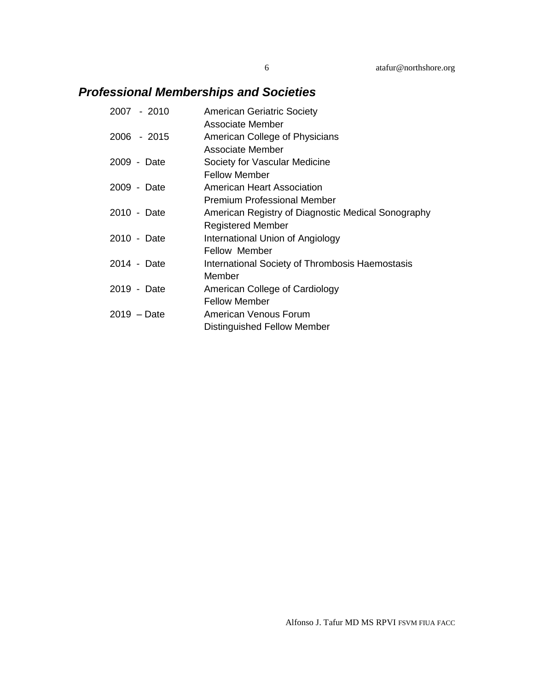## *Professional Memberships and Societies*

| 2007 - 2010 | <b>American Geriatric Society</b>                  |
|-------------|----------------------------------------------------|
|             | Associate Member                                   |
| 2006 - 2015 | American College of Physicians                     |
|             | Associate Member                                   |
| 2009 - Date | Society for Vascular Medicine                      |
|             | <b>Fellow Member</b>                               |
| 2009 - Date | American Heart Association                         |
|             | Premium Professional Member                        |
| 2010 - Date | American Registry of Diagnostic Medical Sonography |
|             | <b>Registered Member</b>                           |
| 2010 - Date | International Union of Angiology                   |
|             | <b>Fellow Member</b>                               |
| 2014 - Date | International Society of Thrombosis Haemostasis    |
|             | Member                                             |
| 2019 - Date | American College of Cardiology                     |
|             | <b>Fellow Member</b>                               |
| 2019 – Date | American Venous Forum                              |
|             | Distinguished Fellow Member                        |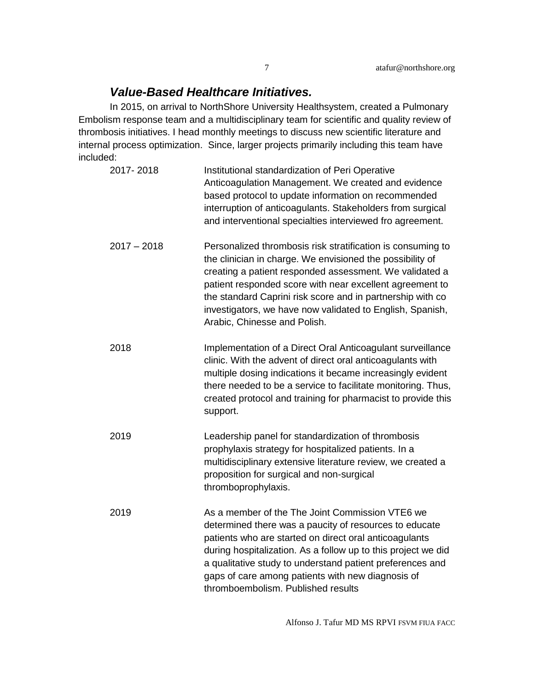### *Value-Based Healthcare Initiatives.*

In 2015, on arrival to NorthShore University Healthsystem, created a Pulmonary Embolism response team and a multidisciplinary team for scientific and quality review of thrombosis initiatives. I head monthly meetings to discuss new scientific literature and internal process optimization. Since, larger projects primarily including this team have included:

| 2017-2018     | Institutional standardization of Peri Operative<br>Anticoagulation Management. We created and evidence<br>based protocol to update information on recommended<br>interruption of anticoagulants. Stakeholders from surgical<br>and interventional specialties interviewed fro agreement.                                                                                                                   |
|---------------|------------------------------------------------------------------------------------------------------------------------------------------------------------------------------------------------------------------------------------------------------------------------------------------------------------------------------------------------------------------------------------------------------------|
| $2017 - 2018$ | Personalized thrombosis risk stratification is consuming to<br>the clinician in charge. We envisioned the possibility of<br>creating a patient responded assessment. We validated a<br>patient responded score with near excellent agreement to<br>the standard Caprini risk score and in partnership with co<br>investigators, we have now validated to English, Spanish,<br>Arabic, Chinesse and Polish. |
| 2018          | Implementation of a Direct Oral Anticoagulant surveillance<br>clinic. With the advent of direct oral anticoagulants with<br>multiple dosing indications it became increasingly evident<br>there needed to be a service to facilitate monitoring. Thus,<br>created protocol and training for pharmacist to provide this<br>support.                                                                         |
| 2019          | Leadership panel for standardization of thrombosis<br>prophylaxis strategy for hospitalized patients. In a<br>multidisciplinary extensive literature review, we created a<br>proposition for surgical and non-surgical<br>thromboprophylaxis.                                                                                                                                                              |
| 2019          | As a member of the The Joint Commission VTE6 we<br>determined there was a paucity of resources to educate<br>patients who are started on direct oral anticoagulants<br>during hospitalization. As a follow up to this project we did<br>a qualitative study to understand patient preferences and<br>gaps of care among patients with new diagnosis of<br>thromboembolism. Published results               |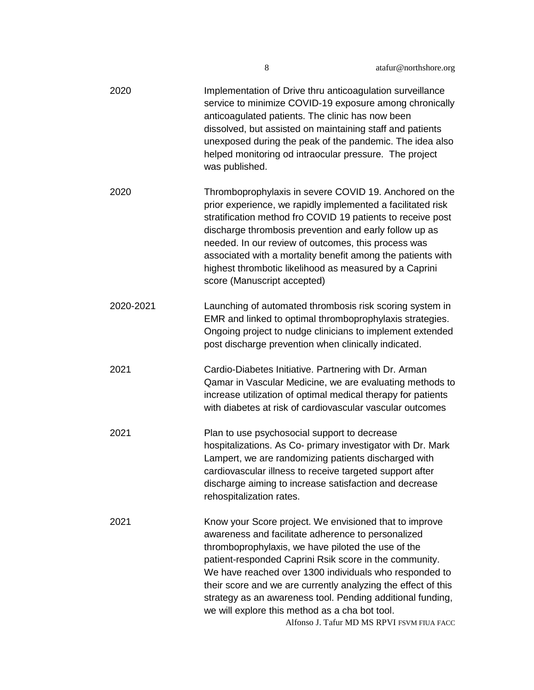| 2020      | Implementation of Drive thru anticoagulation surveillance<br>service to minimize COVID-19 exposure among chronically<br>anticoagulated patients. The clinic has now been<br>dissolved, but assisted on maintaining staff and patients<br>unexposed during the peak of the pandemic. The idea also<br>helped monitoring od intraocular pressure. The project<br>was published.                                                                                                                                         |
|-----------|-----------------------------------------------------------------------------------------------------------------------------------------------------------------------------------------------------------------------------------------------------------------------------------------------------------------------------------------------------------------------------------------------------------------------------------------------------------------------------------------------------------------------|
| 2020      | Thromboprophylaxis in severe COVID 19. Anchored on the<br>prior experience, we rapidly implemented a facilitated risk<br>stratification method fro COVID 19 patients to receive post<br>discharge thrombosis prevention and early follow up as<br>needed. In our review of outcomes, this process was<br>associated with a mortality benefit among the patients with<br>highest thrombotic likelihood as measured by a Caprini<br>score (Manuscript accepted)                                                         |
| 2020-2021 | Launching of automated thrombosis risk scoring system in<br>EMR and linked to optimal thromboprophylaxis strategies.<br>Ongoing project to nudge clinicians to implement extended<br>post discharge prevention when clinically indicated.                                                                                                                                                                                                                                                                             |
| 2021      | Cardio-Diabetes Initiative. Partnering with Dr. Arman<br>Qamar in Vascular Medicine, we are evaluating methods to<br>increase utilization of optimal medical therapy for patients<br>with diabetes at risk of cardiovascular vascular outcomes                                                                                                                                                                                                                                                                        |
| 2021      | Plan to use psychosocial support to decrease<br>hospitalizations. As Co- primary investigator with Dr. Mark<br>Lampert, we are randomizing patients discharged with<br>cardiovascular illness to receive targeted support after<br>discharge aiming to increase satisfaction and decrease<br>rehospitalization rates.                                                                                                                                                                                                 |
| 2021      | Know your Score project. We envisioned that to improve<br>awareness and facilitate adherence to personalized<br>thromboprophylaxis, we have piloted the use of the<br>patient-responded Caprini Rsik score in the community.<br>We have reached over 1300 individuals who responded to<br>their score and we are currently analyzing the effect of this<br>strategy as an awareness tool. Pending additional funding,<br>we will explore this method as a cha bot tool.<br>Alfonso J. Tafur MD MS RPVI FSVM FIUA FACC |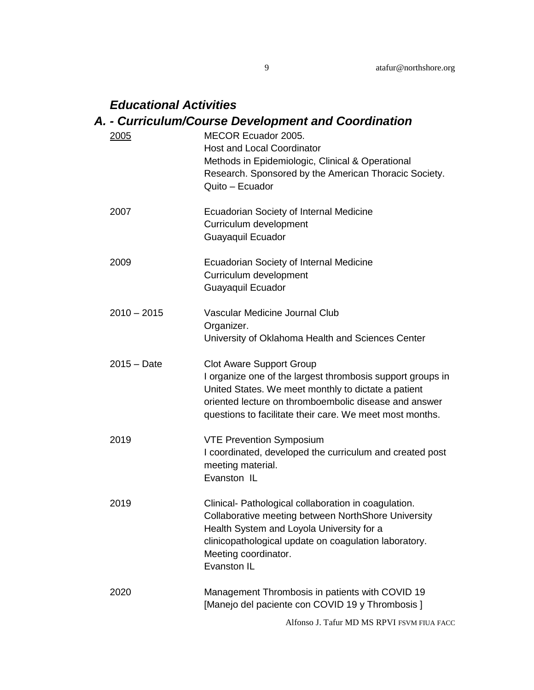## *Educational Activities*

## *A. - Curriculum/Course Development and Coordination*

| 2005          | <b>MECOR Ecuador 2005.</b><br><b>Host and Local Coordinator</b><br>Methods in Epidemiologic, Clinical & Operational<br>Research. Sponsored by the American Thoracic Society.<br>Quito - Ecuador                                                                           |
|---------------|---------------------------------------------------------------------------------------------------------------------------------------------------------------------------------------------------------------------------------------------------------------------------|
| 2007          | Ecuadorian Society of Internal Medicine<br>Curriculum development<br>Guayaquil Ecuador                                                                                                                                                                                    |
| 2009          | Ecuadorian Society of Internal Medicine<br>Curriculum development<br>Guayaquil Ecuador                                                                                                                                                                                    |
| $2010 - 2015$ | Vascular Medicine Journal Club<br>Organizer.<br>University of Oklahoma Health and Sciences Center                                                                                                                                                                         |
| $2015 - Date$ | <b>Clot Aware Support Group</b><br>I organize one of the largest thrombosis support groups in<br>United States. We meet monthly to dictate a patient<br>oriented lecture on thromboembolic disease and answer<br>questions to facilitate their care. We meet most months. |
| 2019          | <b>VTE Prevention Symposium</b><br>I coordinated, developed the curriculum and created post<br>meeting material.<br>Evanston IL                                                                                                                                           |
| 2019          | Clinical- Pathological collaboration in coagulation.<br>Collaborative meeting between NorthShore University<br>Health System and Loyola University for a<br>clinicopathological update on coagulation laboratory.<br>Meeting coordinator.<br>Evanston IL                  |
| 2020          | Management Thrombosis in patients with COVID 19<br>[Manejo del paciente con COVID 19 y Thrombosis]                                                                                                                                                                        |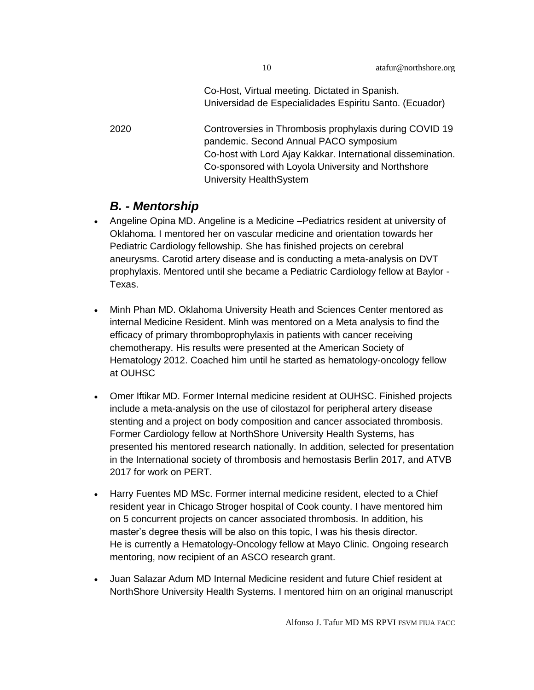Co-Host, Virtual meeting. Dictated in Spanish. Universidad de Especialidades Espiritu Santo. (Ecuador)

2020 Controversies in Thrombosis prophylaxis during COVID 19 pandemic. Second Annual PACO symposium Co-host with Lord Ajay Kakkar. International dissemination. Co-sponsored with Loyola University and Northshore University HealthSystem

### *B. - Mentorship*

- Angeline Opina MD. Angeline is a Medicine –Pediatrics resident at university of Oklahoma. I mentored her on vascular medicine and orientation towards her Pediatric Cardiology fellowship. She has finished projects on cerebral aneurysms. Carotid artery disease and is conducting a meta-analysis on DVT prophylaxis. Mentored until she became a Pediatric Cardiology fellow at Baylor - Texas.
- Minh Phan MD. Oklahoma University Heath and Sciences Center mentored as internal Medicine Resident. Minh was mentored on a Meta analysis to find the efficacy of primary thromboprophylaxis in patients with cancer receiving chemotherapy. His results were presented at the American Society of Hematology 2012. Coached him until he started as hematology-oncology fellow at OUHSC
- Omer Iftikar MD. Former Internal medicine resident at OUHSC. Finished projects include a meta-analysis on the use of cilostazol for peripheral artery disease stenting and a project on body composition and cancer associated thrombosis. Former Cardiology fellow at NorthShore University Health Systems, has presented his mentored research nationally. In addition, selected for presentation in the International society of thrombosis and hemostasis Berlin 2017, and ATVB 2017 for work on PERT.
- Harry Fuentes MD MSc. Former internal medicine resident, elected to a Chief resident year in Chicago Stroger hospital of Cook county. I have mentored him on 5 concurrent projects on cancer associated thrombosis. In addition, his master's degree thesis will be also on this topic, I was his thesis director. He is currently a Hematology-Oncology fellow at Mayo Clinic. Ongoing research mentoring, now recipient of an ASCO research grant.
- Juan Salazar Adum MD Internal Medicine resident and future Chief resident at NorthShore University Health Systems. I mentored him on an original manuscript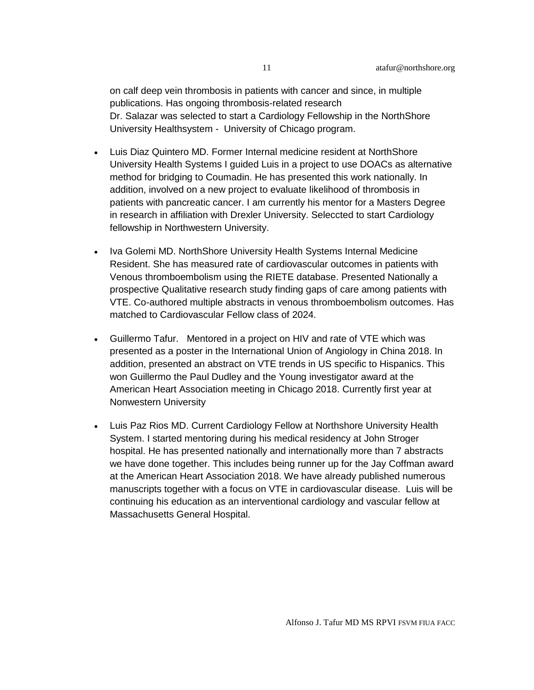on calf deep vein thrombosis in patients with cancer and since, in multiple publications. Has ongoing thrombosis-related research Dr. Salazar was selected to start a Cardiology Fellowship in the NorthShore University Healthsystem - University of Chicago program.

- Luis Diaz Quintero MD. Former Internal medicine resident at NorthShore University Health Systems I guided Luis in a project to use DOACs as alternative method for bridging to Coumadin. He has presented this work nationally. In addition, involved on a new project to evaluate likelihood of thrombosis in patients with pancreatic cancer. I am currently his mentor for a Masters Degree in research in affiliation with Drexler University. Seleccted to start Cardiology fellowship in Northwestern University.
- Iva Golemi MD. NorthShore University Health Systems Internal Medicine Resident. She has measured rate of cardiovascular outcomes in patients with Venous thromboembolism using the RIETE database. Presented Nationally a prospective Qualitative research study finding gaps of care among patients with VTE. Co-authored multiple abstracts in venous thromboembolism outcomes. Has matched to Cardiovascular Fellow class of 2024.
- Guillermo Tafur. Mentored in a project on HIV and rate of VTE which was presented as a poster in the International Union of Angiology in China 2018. In addition, presented an abstract on VTE trends in US specific to Hispanics. This won Guillermo the Paul Dudley and the Young investigator award at the American Heart Association meeting in Chicago 2018. Currently first year at Nonwestern University
- Luis Paz Rios MD. Current Cardiology Fellow at Northshore University Health System. I started mentoring during his medical residency at John Stroger hospital. He has presented nationally and internationally more than 7 abstracts we have done together. This includes being runner up for the Jay Coffman award at the American Heart Association 2018. We have already published numerous manuscripts together with a focus on VTE in cardiovascular disease. Luis will be continuing his education as an interventional cardiology and vascular fellow at Massachusetts General Hospital.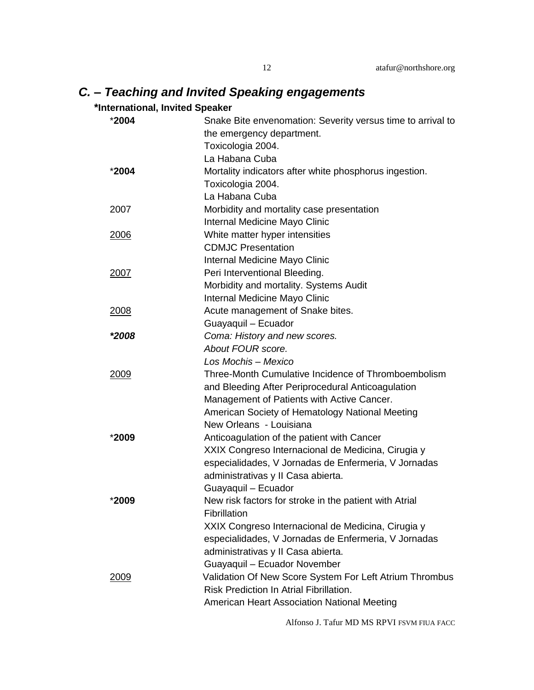## *C. – Teaching and Invited Speaking engagements*

### **\*International, Invited Speaker**

| *2004       | Snake Bite envenomation: Severity versus time to arrival to |
|-------------|-------------------------------------------------------------|
|             | the emergency department.                                   |
|             | Toxicologia 2004.                                           |
|             | La Habana Cuba                                              |
| *2004       | Mortality indicators after white phosphorus ingestion.      |
|             | Toxicologia 2004.                                           |
|             | La Habana Cuba                                              |
| 2007        | Morbidity and mortality case presentation                   |
|             | Internal Medicine Mayo Clinic                               |
| 2006        | White matter hyper intensities                              |
|             | <b>CDMJC Presentation</b>                                   |
|             | Internal Medicine Mayo Clinic                               |
| 2007        | Peri Interventional Bleeding.                               |
|             | Morbidity and mortality. Systems Audit                      |
|             | Internal Medicine Mayo Clinic                               |
| 2008        | Acute management of Snake bites.                            |
|             | Guayaquil - Ecuador                                         |
| *2008       | Coma: History and new scores.                               |
|             | About FOUR score.                                           |
|             | Los Mochis - Mexico                                         |
| <u>2009</u> | Three-Month Cumulative Incidence of Thromboembolism         |
|             | and Bleeding After Periprocedural Anticoagulation           |
|             | Management of Patients with Active Cancer.                  |
|             | American Society of Hematology National Meeting             |
|             | New Orleans - Louisiana                                     |
| *2009       | Anticoagulation of the patient with Cancer                  |
|             | XXIX Congreso Internacional de Medicina, Cirugia y          |
|             | especialidades, V Jornadas de Enfermeria, V Jornadas        |
|             | administrativas y II Casa abierta.                          |
|             | Guayaquil - Ecuador                                         |
| *2009       | New risk factors for stroke in the patient with Atrial      |
|             | Fibrillation                                                |
|             | XXIX Congreso Internacional de Medicina, Cirugia y          |
|             | especialidades, V Jornadas de Enfermeria, V Jornadas        |
|             | administrativas y II Casa abierta.                          |
|             | Guayaquil - Ecuador November                                |
| 2009        | Validation Of New Score System For Left Atrium Thrombus     |
|             | <b>Risk Prediction In Atrial Fibrillation.</b>              |
|             | American Heart Association National Meeting                 |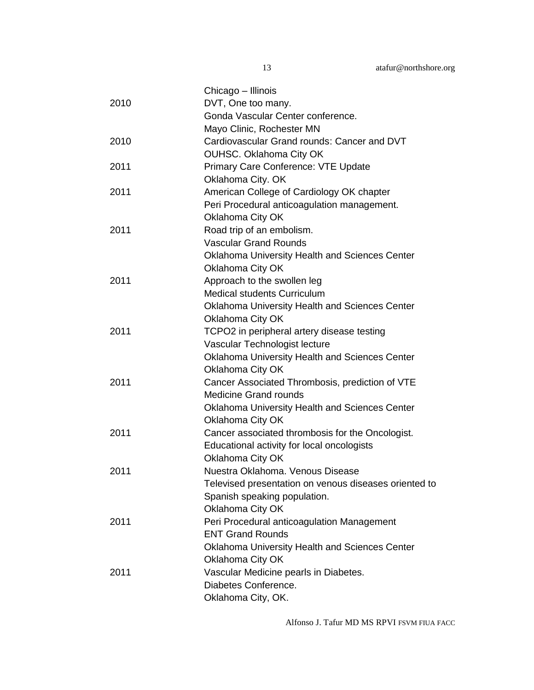|      | Chicago - Illinois                                    |
|------|-------------------------------------------------------|
| 2010 | DVT, One too many.                                    |
|      | Gonda Vascular Center conference.                     |
|      | Mayo Clinic, Rochester MN                             |
| 2010 | Cardiovascular Grand rounds: Cancer and DVT           |
|      | OUHSC. Oklahoma City OK                               |
| 2011 | Primary Care Conference: VTE Update                   |
|      | Oklahoma City. OK                                     |
| 2011 | American College of Cardiology OK chapter             |
|      | Peri Procedural anticoagulation management.           |
|      | Oklahoma City OK                                      |
| 2011 | Road trip of an embolism.                             |
|      | <b>Vascular Grand Rounds</b>                          |
|      | Oklahoma University Health and Sciences Center        |
|      | Oklahoma City OK                                      |
| 2011 | Approach to the swollen leg                           |
|      | Medical students Curriculum                           |
|      | Oklahoma University Health and Sciences Center        |
|      | Oklahoma City OK                                      |
| 2011 | TCPO2 in peripheral artery disease testing            |
|      | Vascular Technologist lecture                         |
|      | Oklahoma University Health and Sciences Center        |
|      | Oklahoma City OK                                      |
| 2011 | Cancer Associated Thrombosis, prediction of VTE       |
|      | <b>Medicine Grand rounds</b>                          |
|      | Oklahoma University Health and Sciences Center        |
|      | Oklahoma City OK                                      |
| 2011 | Cancer associated thrombosis for the Oncologist.      |
|      | Educational activity for local oncologists            |
|      | Oklahoma City OK                                      |
| 2011 | Nuestra Oklahoma, Venous Disease                      |
|      | Televised presentation on venous diseases oriented to |
|      | Spanish speaking population.                          |
|      | Oklahoma City OK                                      |
| 2011 | Peri Procedural anticoagulation Management            |
|      | <b>ENT Grand Rounds</b>                               |
|      | <b>Oklahoma University Health and Sciences Center</b> |
|      | Oklahoma City OK                                      |
| 2011 | Vascular Medicine pearls in Diabetes.                 |
|      | Diabetes Conference.                                  |
|      | Oklahoma City, OK.                                    |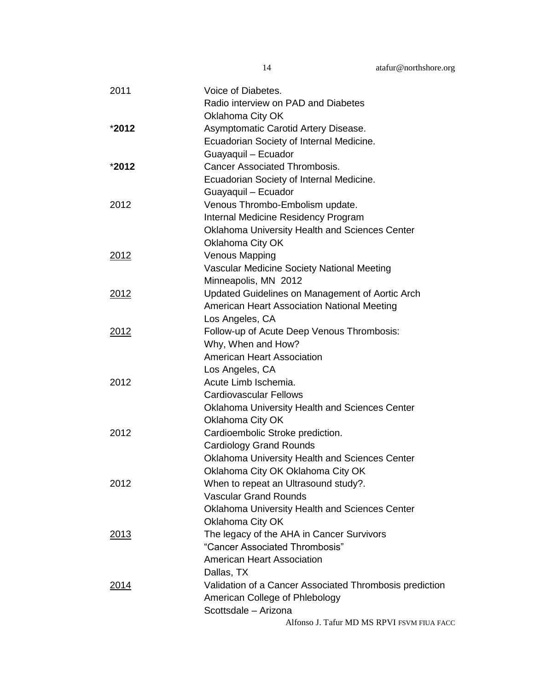| 2011          | Voice of Diabetes.                                      |
|---------------|---------------------------------------------------------|
|               | Radio interview on PAD and Diabetes                     |
|               | Oklahoma City OK                                        |
| *2012         | Asymptomatic Carotid Artery Disease.                    |
|               | Ecuadorian Society of Internal Medicine.                |
|               | Guayaquil - Ecuador                                     |
| $*2012$       | <b>Cancer Associated Thrombosis.</b>                    |
|               | Ecuadorian Society of Internal Medicine.                |
|               | Guayaquil - Ecuador                                     |
| 2012          | Venous Thrombo-Embolism update.                         |
|               | Internal Medicine Residency Program                     |
|               | Oklahoma University Health and Sciences Center          |
|               | Oklahoma City OK                                        |
| 2012          | <b>Venous Mapping</b>                                   |
|               | Vascular Medicine Society National Meeting              |
|               | Minneapolis, MN 2012                                    |
| 2012          | Updated Guidelines on Management of Aortic Arch         |
|               | American Heart Association National Meeting             |
|               | Los Angeles, CA                                         |
| 2012          | Follow-up of Acute Deep Venous Thrombosis:              |
|               | Why, When and How?                                      |
|               | <b>American Heart Association</b>                       |
|               | Los Angeles, CA                                         |
| 2012          | Acute Limb Ischemia.                                    |
|               | <b>Cardiovascular Fellows</b>                           |
|               | <b>Oklahoma University Health and Sciences Center</b>   |
|               | Oklahoma City OK                                        |
| 2012          | Cardioembolic Stroke prediction.                        |
|               | <b>Cardiology Grand Rounds</b>                          |
|               | Oklahoma University Health and Sciences Center          |
|               | Oklahoma City OK Oklahoma City OK                       |
| 2012          | When to repeat an Ultrasound study?.                    |
|               | <b>Vascular Grand Rounds</b>                            |
|               | Oklahoma University Health and Sciences Center          |
|               | Oklahoma City OK                                        |
| <u> 2013</u>  | The legacy of the AHA in Cancer Survivors               |
|               | "Cancer Associated Thrombosis"                          |
|               | <b>American Heart Association</b>                       |
|               | Dallas, TX                                              |
| <u> 2014 </u> | Validation of a Cancer Associated Thrombosis prediction |
|               | American College of Phlebology                          |
|               | Scottsdale - Arizona                                    |
|               | Alfonso J. Tafur MD MS RPVI FSVM FIUA FACC              |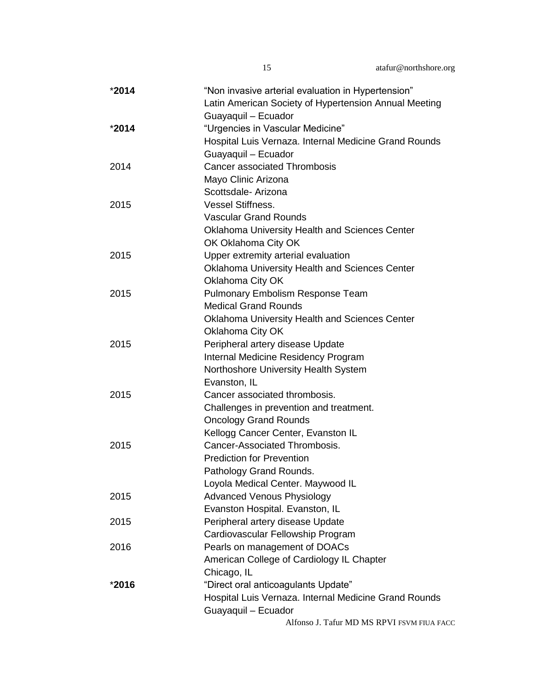| *2014   | "Non invasive arterial evaluation in Hypertension"    |
|---------|-------------------------------------------------------|
|         | Latin American Society of Hypertension Annual Meeting |
|         | Guayaquil - Ecuador                                   |
| $*2014$ | "Urgencies in Vascular Medicine"                      |
|         | Hospital Luis Vernaza. Internal Medicine Grand Rounds |
|         | Guayaquil - Ecuador                                   |
| 2014    | <b>Cancer associated Thrombosis</b>                   |
|         | Mayo Clinic Arizona                                   |
|         | Scottsdale- Arizona                                   |
| 2015    | <b>Vessel Stiffness.</b>                              |
|         | <b>Vascular Grand Rounds</b>                          |
|         | Oklahoma University Health and Sciences Center        |
|         | OK Oklahoma City OK                                   |
| 2015    | Upper extremity arterial evaluation                   |
|         | Oklahoma University Health and Sciences Center        |
|         | Oklahoma City OK                                      |
| 2015    | <b>Pulmonary Embolism Response Team</b>               |
|         | <b>Medical Grand Rounds</b>                           |
|         | <b>Oklahoma University Health and Sciences Center</b> |
|         | Oklahoma City OK                                      |
| 2015    | Peripheral artery disease Update                      |
|         | Internal Medicine Residency Program                   |
|         | Northoshore University Health System                  |
|         | Evanston, IL                                          |
| 2015    | Cancer associated thrombosis.                         |
|         | Challenges in prevention and treatment.               |
|         | <b>Oncology Grand Rounds</b>                          |
|         | Kellogg Cancer Center, Evanston IL                    |
| 2015    | Cancer-Associated Thrombosis.                         |
|         | <b>Prediction for Prevention</b>                      |
|         | Pathology Grand Rounds.                               |
|         | Loyola Medical Center. Maywood IL                     |
| 2015    | <b>Advanced Venous Physiology</b>                     |
|         | Evanston Hospital. Evanston, IL                       |
| 2015    | Peripheral artery disease Update                      |
|         | Cardiovascular Fellowship Program                     |
| 2016    | Pearls on management of DOACs                         |
|         | American College of Cardiology IL Chapter             |
|         | Chicago, IL                                           |
| *2016   | "Direct oral anticoagulants Update"                   |
|         | Hospital Luis Vernaza. Internal Medicine Grand Rounds |
|         | Guayaquil - Ecuador                                   |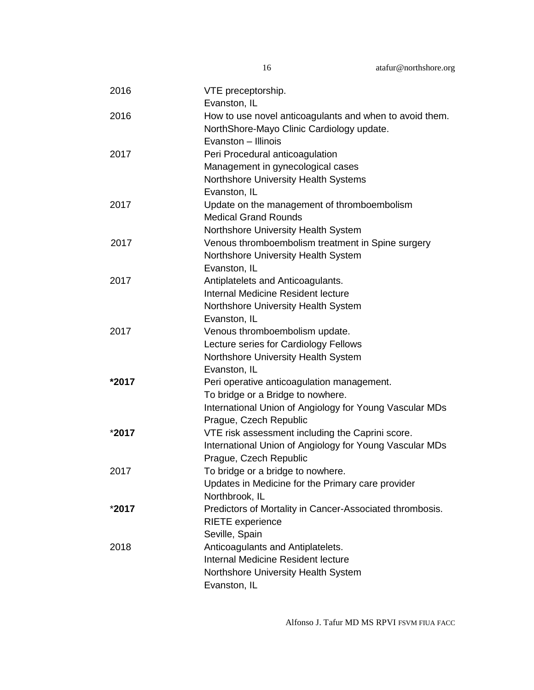| 2016  | VTE preceptorship.<br>Evanston, IL                       |
|-------|----------------------------------------------------------|
| 2016  | How to use novel anticoagulants and when to avoid them.  |
|       | NorthShore-Mayo Clinic Cardiology update.                |
|       | Evanston - Illinois                                      |
|       |                                                          |
| 2017  | Peri Procedural anticoagulation                          |
|       | Management in gynecological cases                        |
|       | Northshore University Health Systems                     |
|       | Evanston, IL                                             |
| 2017  | Update on the management of thromboembolism              |
|       | <b>Medical Grand Rounds</b>                              |
|       | Northshore University Health System                      |
| 2017  | Venous thromboembolism treatment in Spine surgery        |
|       | Northshore University Health System                      |
|       | Evanston, IL                                             |
| 2017  | Antiplatelets and Anticoagulants.                        |
|       | Internal Medicine Resident lecture                       |
|       | Northshore University Health System                      |
|       | Evanston, IL                                             |
| 2017  | Venous thromboembolism update.                           |
|       | Lecture series for Cardiology Fellows                    |
|       | Northshore University Health System                      |
|       | Evanston, IL                                             |
| *2017 | Peri operative anticoagulation management.               |
|       | To bridge or a Bridge to nowhere.                        |
|       | International Union of Angiology for Young Vascular MDs  |
|       | Prague, Czech Republic                                   |
| *2017 | VTE risk assessment including the Caprini score.         |
|       | International Union of Angiology for Young Vascular MDs  |
|       | Prague, Czech Republic                                   |
| 2017  | To bridge or a bridge to nowhere.                        |
|       | Updates in Medicine for the Primary care provider        |
|       | Northbrook, IL                                           |
| *2017 | Predictors of Mortality in Cancer-Associated thrombosis. |
|       | <b>RIETE</b> experience                                  |
|       | Seville, Spain                                           |
| 2018  | Anticoagulants and Antiplatelets.                        |
|       | Internal Medicine Resident lecture                       |
|       | Northshore University Health System                      |
|       | Evanston, IL                                             |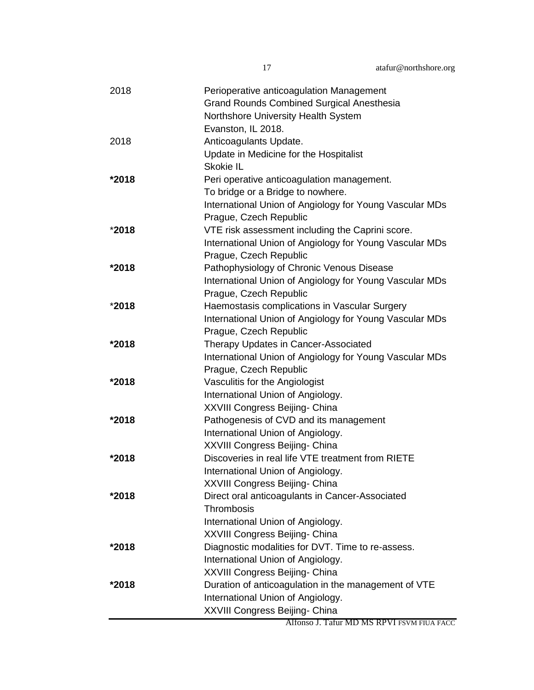| 2018    | Perioperative anticoagulation Management                |
|---------|---------------------------------------------------------|
|         | <b>Grand Rounds Combined Surgical Anesthesia</b>        |
|         | Northshore University Health System                     |
|         | Evanston, IL 2018.                                      |
| 2018    | Anticoagulants Update.                                  |
|         | Update in Medicine for the Hospitalist                  |
|         | Skokie IL                                               |
| *2018   | Peri operative anticoagulation management.              |
|         | To bridge or a Bridge to nowhere.                       |
|         | International Union of Angiology for Young Vascular MDs |
|         | Prague, Czech Republic                                  |
| *2018   | VTE risk assessment including the Caprini score.        |
|         | International Union of Angiology for Young Vascular MDs |
|         | Prague, Czech Republic                                  |
| *2018   | Pathophysiology of Chronic Venous Disease               |
|         | International Union of Angiology for Young Vascular MDs |
|         | Prague, Czech Republic                                  |
| *2018   | Haemostasis complications in Vascular Surgery           |
|         | International Union of Angiology for Young Vascular MDs |
|         | Prague, Czech Republic                                  |
| *2018   | Therapy Updates in Cancer-Associated                    |
|         | International Union of Angiology for Young Vascular MDs |
|         | Prague, Czech Republic                                  |
| *2018   | Vasculitis for the Angiologist                          |
|         | International Union of Angiology.                       |
|         | XXVIII Congress Beijing- China                          |
| *2018   | Pathogenesis of CVD and its management                  |
|         | International Union of Angiology.                       |
|         | XXVIII Congress Beijing- China                          |
| *2018   | Discoveries in real life VTE treatment from RIETE       |
|         | International Union of Angiology.                       |
|         | XXVIII Congress Beijing- China                          |
| *2018   | Direct oral anticoagulants in Cancer-Associated         |
|         | Thrombosis                                              |
|         | International Union of Angiology.                       |
|         | XXVIII Congress Beijing- China                          |
| *2018   | Diagnostic modalities for DVT. Time to re-assess.       |
|         | International Union of Angiology.                       |
|         | XXVIII Congress Beijing- China                          |
| $*2018$ | Duration of anticoagulation in the management of VTE    |
|         | International Union of Angiology.                       |
|         | XXVIII Congress Beijing- China                          |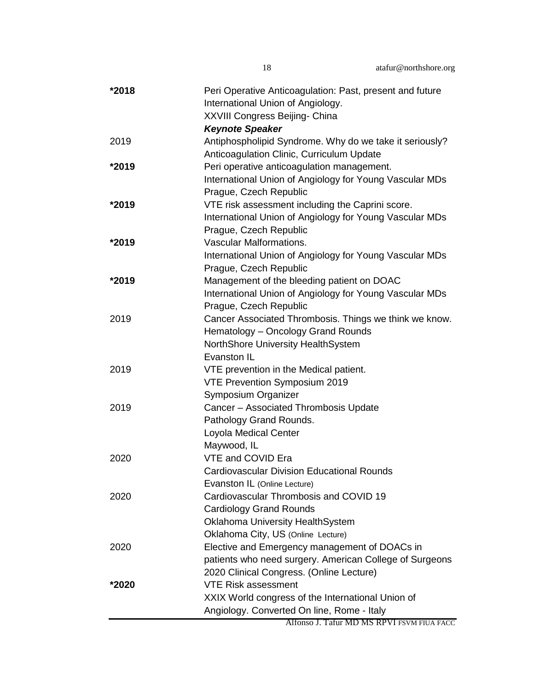| *2018 | Peri Operative Anticoagulation: Past, present and future                            |
|-------|-------------------------------------------------------------------------------------|
|       | International Union of Angiology.                                                   |
|       | XXVIII Congress Beijing- China                                                      |
|       | <b>Keynote Speaker</b>                                                              |
| 2019  | Antiphospholipid Syndrome. Why do we take it seriously?                             |
|       | Anticoagulation Clinic, Curriculum Update                                           |
| *2019 | Peri operative anticoagulation management.                                          |
|       | International Union of Angiology for Young Vascular MDs                             |
|       | Prague, Czech Republic                                                              |
| *2019 | VTE risk assessment including the Caprini score.                                    |
|       | International Union of Angiology for Young Vascular MDs                             |
|       | Prague, Czech Republic                                                              |
| *2019 | <b>Vascular Malformations.</b>                                                      |
|       | International Union of Angiology for Young Vascular MDs                             |
|       | Prague, Czech Republic                                                              |
| *2019 | Management of the bleeding patient on DOAC                                          |
|       | International Union of Angiology for Young Vascular MDs                             |
|       | Prague, Czech Republic                                                              |
| 2019  | Cancer Associated Thrombosis. Things we think we know.                              |
|       | Hematology - Oncology Grand Rounds                                                  |
|       | NorthShore University HealthSystem                                                  |
|       | Evanston IL                                                                         |
| 2019  | VTE prevention in the Medical patient.                                              |
|       | VTE Prevention Symposium 2019                                                       |
|       | Symposium Organizer                                                                 |
| 2019  | Cancer - Associated Thrombosis Update                                               |
|       | Pathology Grand Rounds.                                                             |
|       | Loyola Medical Center                                                               |
|       | Maywood, IL                                                                         |
| 2020  | VTE and COVID Era                                                                   |
|       | <b>Cardiovascular Division Educational Rounds</b>                                   |
|       | Evanston IL (Online Lecture)                                                        |
| 2020  | Cardiovascular Thrombosis and COVID 19                                              |
|       | <b>Cardiology Grand Rounds</b>                                                      |
|       | <b>Oklahoma University HealthSystem</b>                                             |
| 2020  | Oklahoma City, US (Online Lecture)<br>Elective and Emergency management of DOACs in |
|       | patients who need surgery. American College of Surgeons                             |
|       | 2020 Clinical Congress. (Online Lecture)                                            |
|       | <b>VTE Risk assessment</b>                                                          |
| *2020 | XXIX World congress of the International Union of                                   |
|       | Angiology. Converted On line, Rome - Italy                                          |
|       | Alfonso J. Tafur MD MS RPVI FSVM FIUA FACC                                          |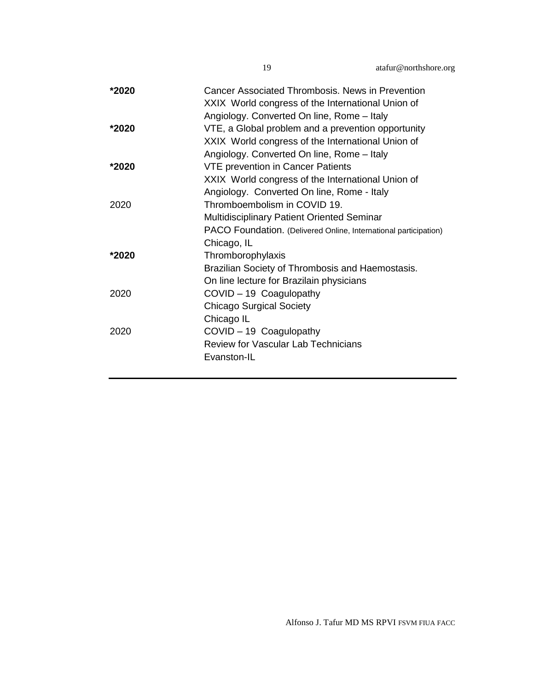| *2020 | Cancer Associated Thrombosis. News in Prevention<br>XXIX World congress of the International Union of |
|-------|-------------------------------------------------------------------------------------------------------|
|       | Angiology. Converted On line, Rome - Italy                                                            |
| *2020 | VTE, a Global problem and a prevention opportunity                                                    |
|       | XXIX World congress of the International Union of                                                     |
|       | Angiology. Converted On line, Rome - Italy                                                            |
| *2020 | <b>VTE prevention in Cancer Patients</b>                                                              |
|       | XXIX World congress of the International Union of                                                     |
|       | Angiology. Converted On line, Rome - Italy                                                            |
| 2020  | Thromboembolism in COVID 19.                                                                          |
|       | <b>Multidisciplinary Patient Oriented Seminar</b>                                                     |
|       | PACO Foundation. (Delivered Online, International participation)                                      |
|       | Chicago, IL                                                                                           |
| *2020 | Thromborophylaxis                                                                                     |
|       | Brazilian Society of Thrombosis and Haemostasis.                                                      |
|       | On line lecture for Brazilain physicians                                                              |
| 2020  | COVID - 19 Coagulopathy                                                                               |
|       | <b>Chicago Surgical Society</b>                                                                       |
|       | Chicago IL                                                                                            |
| 2020  | COVID - 19 Coagulopathy                                                                               |
|       | <b>Review for Vascular Lab Technicians</b>                                                            |
|       | Evanston-IL                                                                                           |
|       |                                                                                                       |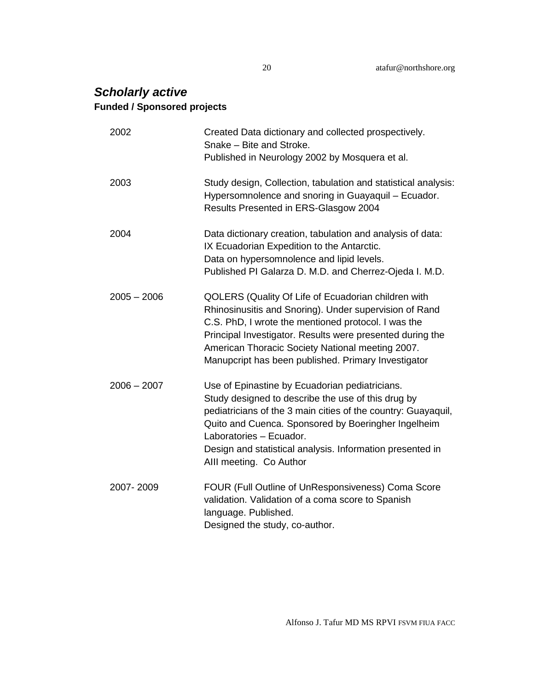## *Scholarly active* **Funded / Sponsored projects**

| 2002          | Created Data dictionary and collected prospectively.<br>Snake - Bite and Stroke.<br>Published in Neurology 2002 by Mosquera et al.                                                                                                                                                                                                              |
|---------------|-------------------------------------------------------------------------------------------------------------------------------------------------------------------------------------------------------------------------------------------------------------------------------------------------------------------------------------------------|
| 2003          | Study design, Collection, tabulation and statistical analysis:<br>Hypersomnolence and snoring in Guayaquil - Ecuador.<br>Results Presented in ERS-Glasgow 2004                                                                                                                                                                                  |
| 2004          | Data dictionary creation, tabulation and analysis of data:<br>IX Ecuadorian Expedition to the Antarctic.<br>Data on hypersomnolence and lipid levels.<br>Published PI Galarza D. M.D. and Cherrez-Ojeda I. M.D.                                                                                                                                 |
| $2005 - 2006$ | QOLERS (Quality Of Life of Ecuadorian children with<br>Rhinosinusitis and Snoring). Under supervision of Rand<br>C.S. PhD, I wrote the mentioned protocol. I was the<br>Principal Investigator. Results were presented during the<br>American Thoracic Society National meeting 2007.<br>Manupcript has been published. Primary Investigator    |
| $2006 - 2007$ | Use of Epinastine by Ecuadorian pediatricians.<br>Study designed to describe the use of this drug by<br>pediatricians of the 3 main cities of the country: Guayaquil,<br>Quito and Cuenca. Sponsored by Boeringher Ingelheim<br>Laboratories - Ecuador.<br>Design and statistical analysis. Information presented in<br>Alll meeting. Co Author |
| 2007-2009     | FOUR (Full Outline of UnResponsiveness) Coma Score<br>validation. Validation of a coma score to Spanish<br>language. Published.<br>Designed the study, co-author.                                                                                                                                                                               |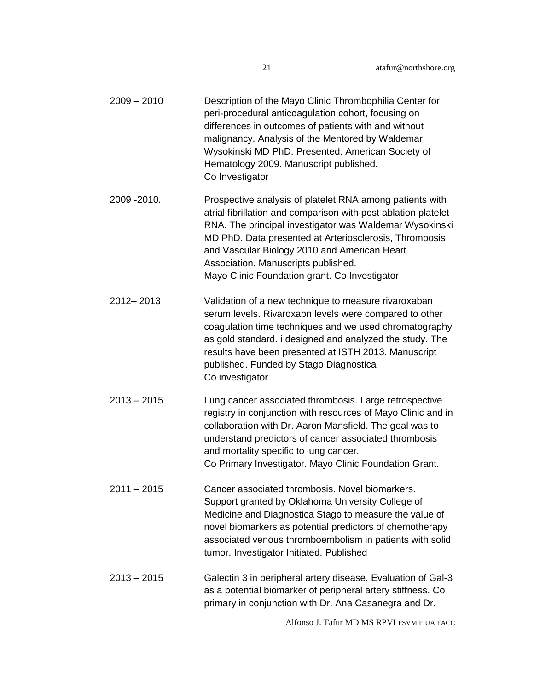| $2009 - 2010$ | Description of the Mayo Clinic Thrombophilia Center for<br>peri-procedural anticoagulation cohort, focusing on<br>differences in outcomes of patients with and without<br>malignancy. Analysis of the Mentored by Waldemar<br>Wysokinski MD PhD. Presented: American Society of<br>Hematology 2009. Manuscript published.<br>Co Investigator                                            |
|---------------|-----------------------------------------------------------------------------------------------------------------------------------------------------------------------------------------------------------------------------------------------------------------------------------------------------------------------------------------------------------------------------------------|
| 2009 - 2010.  | Prospective analysis of platelet RNA among patients with<br>atrial fibrillation and comparison with post ablation platelet<br>RNA. The principal investigator was Waldemar Wysokinski<br>MD PhD. Data presented at Arteriosclerosis, Thrombosis<br>and Vascular Biology 2010 and American Heart<br>Association. Manuscripts published.<br>Mayo Clinic Foundation grant. Co Investigator |
| 2012-2013     | Validation of a new technique to measure rivaroxaban<br>serum levels. Rivaroxabn levels were compared to other<br>coagulation time techniques and we used chromatography<br>as gold standard. i designed and analyzed the study. The<br>results have been presented at ISTH 2013. Manuscript<br>published. Funded by Stago Diagnostica<br>Co investigator                               |
| $2013 - 2015$ | Lung cancer associated thrombosis. Large retrospective<br>registry in conjunction with resources of Mayo Clinic and in<br>collaboration with Dr. Aaron Mansfield. The goal was to<br>understand predictors of cancer associated thrombosis<br>and mortality specific to lung cancer.<br>Co Primary Investigator. Mayo Clinic Foundation Grant.                                          |
| $2011 - 2015$ | Cancer associated thrombosis. Novel biomarkers.<br>Support granted by Oklahoma University College of<br>Medicine and Diagnostica Stago to measure the value of<br>novel biomarkers as potential predictors of chemotherapy<br>associated venous thromboembolism in patients with solid<br>tumor. Investigator Initiated. Published                                                      |
| $2013 - 2015$ | Galectin 3 in peripheral artery disease. Evaluation of Gal-3<br>as a potential biomarker of peripheral artery stiffness. Co<br>primary in conjunction with Dr. Ana Casanegra and Dr.                                                                                                                                                                                                    |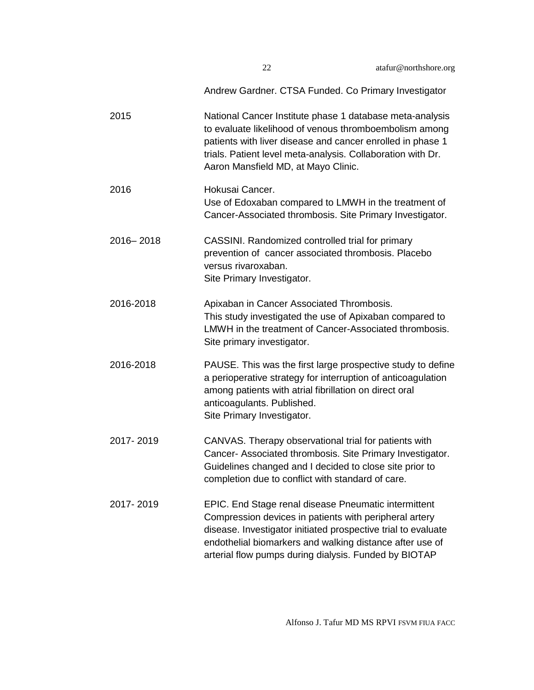| 22 | atafur@northshore.org |
|----|-----------------------|
|----|-----------------------|

Andrew Gardner. CTSA Funded. Co Primary Investigator 2015 National Cancer Institute phase 1 database meta-analysis to evaluate likelihood of venous thromboembolism among patients with liver disease and cancer enrolled in phase 1 trials. Patient level meta-analysis. Collaboration with Dr. Aaron Mansfield MD, at Mayo Clinic. 2016 Hokusai Cancer. Use of Edoxaban compared to LMWH in the treatment of Cancer-Associated thrombosis. Site Primary Investigator. 2016– 2018 CASSINI. Randomized controlled trial for primary prevention of cancer associated thrombosis. Placebo versus rivaroxaban. Site Primary Investigator. 2016-2018 Apixaban in Cancer Associated Thrombosis. This study investigated the use of Apixaban compared to LMWH in the treatment of Cancer-Associated thrombosis. Site primary investigator. 2016-2018 PAUSE. This was the first large prospective study to define a perioperative strategy for interruption of anticoagulation among patients with atrial fibrillation on direct oral anticoagulants. Published. Site Primary Investigator. 2017- 2019 CANVAS. Therapy observational trial for patients with Cancer- Associated thrombosis. Site Primary Investigator. Guidelines changed and I decided to close site prior to completion due to conflict with standard of care. 2017- 2019 EPIC. End Stage renal disease Pneumatic intermittent Compression devices in patients with peripheral artery disease. Investigator initiated prospective trial to evaluate endothelial biomarkers and walking distance after use of arterial flow pumps during dialysis. Funded by BIOTAP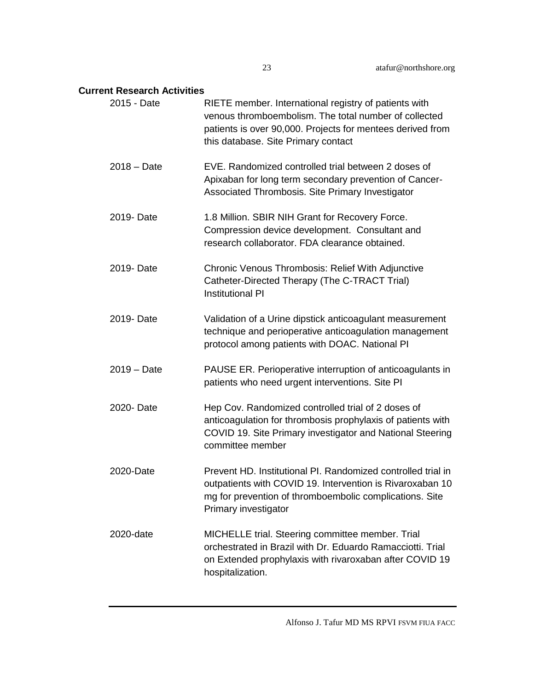#### **Current Research Activities**

| 2015 - Date   | RIETE member. International registry of patients with<br>venous thromboembolism. The total number of collected<br>patients is over 90,000. Projects for mentees derived from<br>this database. Site Primary contact |
|---------------|---------------------------------------------------------------------------------------------------------------------------------------------------------------------------------------------------------------------|
| $2018 - Date$ | EVE. Randomized controlled trial between 2 doses of<br>Apixaban for long term secondary prevention of Cancer-<br>Associated Thrombosis. Site Primary Investigator                                                   |
| 2019- Date    | 1.8 Million. SBIR NIH Grant for Recovery Force.<br>Compression device development. Consultant and<br>research collaborator. FDA clearance obtained.                                                                 |
| 2019- Date    | Chronic Venous Thrombosis: Relief With Adjunctive<br>Catheter-Directed Therapy (The C-TRACT Trial)<br><b>Institutional PI</b>                                                                                       |
| 2019- Date    | Validation of a Urine dipstick anticoagulant measurement<br>technique and perioperative anticoagulation management<br>protocol among patients with DOAC. National PI                                                |
| $2019 - Date$ | PAUSE ER. Perioperative interruption of anticoagulants in<br>patients who need urgent interventions. Site PI                                                                                                        |
| 2020- Date    | Hep Cov. Randomized controlled trial of 2 doses of<br>anticoagulation for thrombosis prophylaxis of patients with<br>COVID 19. Site Primary investigator and National Steering<br>committee member                  |
| 2020-Date     | Prevent HD. Institutional PI. Randomized controlled trial in<br>outpatients with COVID 19. Intervention is Rivaroxaban 10<br>mg for prevention of thromboembolic complications. Site<br>Primary investigator        |
| 2020-date     | MICHELLE trial. Steering committee member. Trial<br>orchestrated in Brazil with Dr. Eduardo Ramacciotti. Trial<br>on Extended prophylaxis with rivaroxaban after COVID 19<br>hospitalization.                       |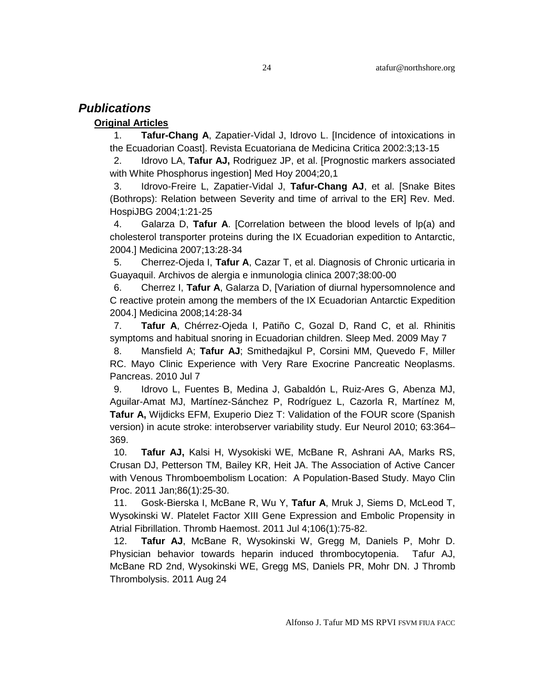#### *Publications*

#### **Original Articles**

1. **Tafur-Chang A**, Zapatier-Vidal J, Idrovo L. [Incidence of intoxications in the Ecuadorian Coast]. Revista Ecuatoriana de Medicina Critica 2002:3;13-15

2. Idrovo LA, **Tafur AJ,** Rodriguez JP, et al. [Prognostic markers associated with White Phosphorus ingestion] Med Hoy 2004;20,1

3. Idrovo-Freire L, Zapatier-Vidal J, **Tafur-Chang AJ**, et al. [Snake Bites (Bothrops): Relation between Severity and time of arrival to the ER] Rev. Med. HospiJBG 2004;1:21-25

4. Galarza D, **Tafur A**. [Correlation between the blood levels of lp(a) and cholesterol transporter proteins during the IX Ecuadorian expedition to Antarctic, 2004.] Medicina 2007;13:28-34

5. Cherrez-Ojeda I, **Tafur A**, Cazar T, et al. Diagnosis of Chronic urticaria in Guayaquil. Archivos de alergia e inmunologia clinica 2007;38:00-00

6. Cherrez I, **Tafur A**, Galarza D, [Variation of diurnal hypersomnolence and C reactive protein among the members of the IX Ecuadorian Antarctic Expedition 2004.] Medicina 2008;14:28-34

7. **Tafur A**, Chérrez-Ojeda I, Patiño C, Gozal D, Rand C, et al. [Rhinitis](http://www.ncbi.nlm.nih.gov/pubmed/19427812?ordinalpos=2&itool=EntrezSystem2.PEntrez.Pubmed.Pubmed_ResultsPanel.Pubmed_DefaultReportPanel.Pubmed_RVDocSum)  symptoms [and habitual snoring in Ecuadorian children.](http://www.ncbi.nlm.nih.gov/pubmed/19427812?ordinalpos=2&itool=EntrezSystem2.PEntrez.Pubmed.Pubmed_ResultsPanel.Pubmed_DefaultReportPanel.Pubmed_RVDocSum) Sleep Med. 2009 May 7

8. Mansfield A; **Tafur AJ**; Smithedajkul P, Corsini MM, Quevedo F, Miller RC. Mayo Clinic Experience with Very Rare Exocrine Pancreatic Neoplasms. Pancreas. 2010 Jul 7

9. Idrovo L, Fuentes B, Medina J, Gabaldón L, Ruiz-Ares G, Abenza MJ, Aguilar-Amat MJ, Martínez-Sánchez P, Rodríguez L, Cazorla R, Martínez M, **Tafur A,** Wijdicks EFM, Exuperio Diez T: Validation of the FOUR score (Spanish version) in acute stroke: interobserver variability study. Eur Neurol 2010; 63:364– 369.

10. **Tafur AJ,** Kalsi H, Wysokiski WE, McBane R, Ashrani AA, Marks RS, Crusan DJ, Petterson TM, Bailey KR, Heit JA. The Association of Active Cancer with Venous Thromboembolism Location: A Population-Based Study. Mayo Clin Proc. 2011 Jan;86(1):25-30.

11. Gosk-Bierska I, McBane R, Wu Y, **Tafur A**, Mruk J, Siems D, McLeod T, Wysokinski W. Platelet Factor XIII Gene Expression and Embolic Propensity in Atrial Fibrillation. Thromb Haemost. 2011 Jul 4;106(1):75-82.

12. **Tafur AJ**, McBane R, Wysokinski W, Gregg M, Daniels P, Mohr D. Physician behavior towards heparin induced thrombocytopenia. Tafur AJ, McBane RD 2nd, Wysokinski WE, Gregg MS, Daniels PR, Mohr DN. J Thromb Thrombolysis. 2011 Aug 24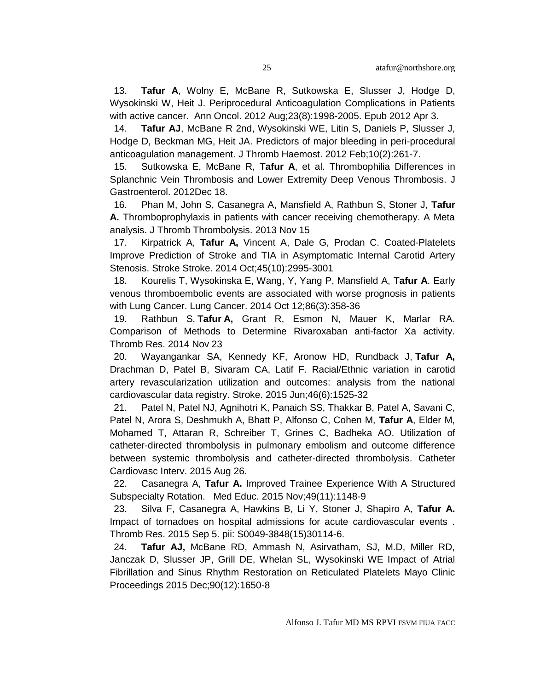13. **Tafur A**, Wolny E, McBane R, Sutkowska E, Slusser J, Hodge D, Wysokinski W, Heit J. Periprocedural Anticoagulation Complications in Patients with active cancer. Ann Oncol. 2012 Aug;23(8):1998-2005. Epub 2012 Apr 3.

14. **Tafur AJ**, McBane R 2nd, Wysokinski WE, Litin S, Daniels P, Slusser J, Hodge D, Beckman MG, Heit JA. [Predictors of major bleeding in peri-procedural](http://www.ncbi.nlm.nih.gov.webproxy.ouhsc.edu/pubmed/22123000)  [anticoagulation management.](http://www.ncbi.nlm.nih.gov.webproxy.ouhsc.edu/pubmed/22123000) J Thromb Haemost. 2012 Feb;10(2):261-7.

15. Sutkowska E, McBane R, **Tafur A**, et al. Thrombophilia Differences in Splanchnic Vein Thrombosis and Lower Extremity Deep Venous Thrombosis. J Gastroenterol. 2012Dec 18.

16. Phan M, John S, Casanegra A, Mansfield A, Rathbun S, Stoner J, **Tafur A.** Thromboprophylaxis in patients with cancer receiving chemotherapy. A Meta analysis. J Thromb Thrombolysis. 2013 Nov 15

17. Kirpatrick A, **Tafur A,** Vincent A, Dale G, Prodan C. Coated-Platelets Improve Prediction of Stroke and TIA in Asymptomatic Internal Carotid Artery Stenosis. Stroke Stroke. 2014 Oct;45(10):2995-3001

18. Kourelis T, Wysokinska E, Wang, Y, Yang P, Mansfield A, **Tafur A**. Early venous thromboembolic events are associated with worse prognosis in patients with Lung Cancer. Lung Cancer. 2014 Oct 12;86(3):358-36

19. Rathbun S, **Tafur A,** Grant R, Esmon N, Mauer K, Marlar RA. [Comparison of Methods to Determine Rivaroxaban anti-factor Xa activity.](http://www.ncbi.nlm.nih.gov/pubmed/25476589) Thromb Res. 2014 Nov 23

20. Wayangankar SA, Kennedy KF, Aronow HD, Rundback J, **Tafur A,** Drachman D, Patel B, Sivaram CA, Latif F. [Racial/Ethnic variation in carotid](http://www.ncbi.nlm.nih.gov/pubmed/25953368)  [artery revascularization utilization and outcomes: analysis from the national](http://www.ncbi.nlm.nih.gov/pubmed/25953368)  [cardiovascular data registry.](http://www.ncbi.nlm.nih.gov/pubmed/25953368) Stroke. 2015 Jun;46(6):1525-32

21. Patel N, Patel NJ, Agnihotri K, Panaich SS, Thakkar B, Patel A, Savani C, Patel N, Arora S, Deshmukh A, Bhatt P, Alfonso C, Cohen M, **Tafur A**, Elder M, Mohamed T, Attaran R, Schreiber T, Grines C, Badheka AO. [Utilization of](http://www.ncbi.nlm.nih.gov/pubmed/26308961)  [catheter-directed thrombolysis in pulmonary embolism and outcome difference](http://www.ncbi.nlm.nih.gov/pubmed/26308961)  [between systemic thrombolysis and catheter-directed thrombolysis.](http://www.ncbi.nlm.nih.gov/pubmed/26308961) Catheter Cardiovasc Interv. 2015 Aug 26.

22. Casanegra A, **Tafur A.** Improved Trainee Experience With A Structured Subspecialty Rotation. Med Educ. 2015 Nov;49(11):1148-9

23. Silva F, Casanegra A, Hawkins B, Li Y, Stoner J, Shapiro A, **Tafur A.** Impact of tornadoes on hospital admissions for acute cardiovascular events . Thromb Res. 2015 Sep 5. pii: S0049-3848(15)30114-6.

24. **Tafur AJ,** McBane RD, Ammash N, Asirvatham, SJ, M.D, Miller RD, Janczak D, Slusser JP, Grill DE, Whelan SL, Wysokinski WE Impact of Atrial Fibrillation and Sinus Rhythm Restoration on Reticulated Platelets Mayo Clinic Proceedings 2015 Dec;90(12):1650-8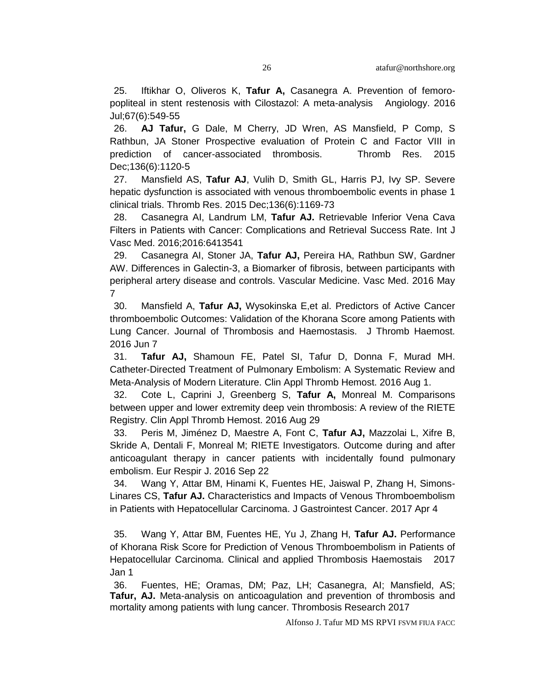25. Iftikhar O, Oliveros K, **Tafur A,** Casanegra A. Prevention of femoropopliteal in stent restenosis with Cilostazol: A meta-analysis Angiology. 2016 Jul;67(6):549-55

26. **AJ Tafur,** G Dale, M Cherry, JD Wren, AS Mansfield, P Comp, S Rathbun, JA Stoner Prospective evaluation of Protein C and Factor VIII in prediction of cancer-associated thrombosis. Thromb Res. 2015 Dec;136(6):1120-5

27. Mansfield AS, **Tafur AJ**, Vulih D, Smith GL, Harris PJ, Ivy SP. Severe hepatic dysfunction is associated with venous thromboembolic events in phase 1 clinical trials. Thromb Res. 2015 Dec;136(6):1169-73

28. Casanegra AI, Landrum LM, **Tafur AJ.** Retrievable Inferior Vena Cava Filters in Patients with Cancer: Complications and Retrieval Success Rate. Int J Vasc Med. 2016;2016:6413541

29. Casanegra AI, Stoner JA, **Tafur AJ,** Pereira HA, Rathbun SW, Gardner AW. Differences in Galectin-3, a Biomarker of fibrosis, between participants with peripheral artery disease and controls. Vascular Medicine. Vasc Med. 2016 May 7

30. Mansfield A, **Tafur AJ,** Wysokinska E,et al. Predictors of Active Cancer thromboembolic Outcomes: Validation of the Khorana Score among Patients with Lung Cancer. Journal of Thrombosis and Haemostasis. J Thromb Haemost. 2016 Jun 7

31. **Tafur AJ,** Shamoun FE, Patel SI, Tafur D, Donna F, Murad MH. Catheter-Directed Treatment of Pulmonary Embolism: A Systematic Review and Meta-Analysis of Modern Literature. Clin Appl Thromb Hemost. 2016 Aug 1.

32. Cote L, Caprini J, Greenberg S, **Tafur A,** Monreal M. Comparisons between upper and lower extremity deep vein thrombosis: A review of the RIETE Registry. Clin Appl Thromb Hemost. 2016 Aug 29

33. Peris M, Jiménez D, Maestre A, Font C, **Tafur AJ,** Mazzolai L, Xifre B, Skride A, Dentali F, Monreal M; RIETE Investigators. Outcome during and after anticoagulant therapy in cancer patients with incidentally found pulmonary embolism. Eur Respir J. 2016 Sep 22

34. Wang Y, Attar BM, Hinami K, Fuentes HE, Jaiswal P, Zhang H, Simons-Linares CS, **Tafur AJ.** Characteristics and Impacts of Venous Thromboembolism in Patients with Hepatocellular Carcinoma. J Gastrointest Cancer. 2017 Apr 4

35. Wang Y, Attar BM, Fuentes HE, Yu J, Zhang H, **Tafur AJ.** Performance of Khorana Risk Score for Prediction of Venous Thromboembolism in Patients of Hepatocellular Carcinoma. Clinical and applied Thrombosis Haemostais 2017 Jan 1

36. Fuentes, HE; Oramas, DM; Paz, LH; Casanegra, AI; Mansfield, AS; **Tafur, AJ.** Meta-analysis on anticoagulation and prevention of thrombosis and mortality among patients with lung cancer. Thrombosis Research 2017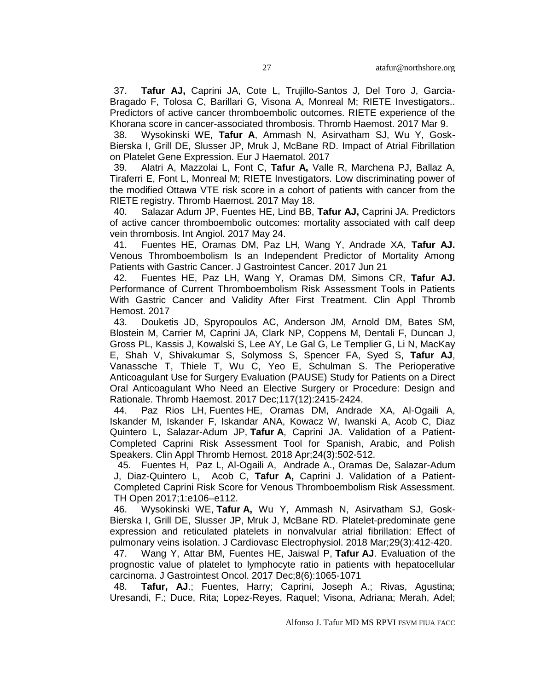37. **Tafur AJ,** Caprini JA, Cote L, Trujillo-Santos J, Del Toro J, Garcia-Bragado F, Tolosa C, Barillari G, Visona A, Monreal M; RIETE Investigators.. Predictors of active cancer thromboembolic outcomes. RIETE experience of the Khorana score in cancer-associated thrombosis. Thromb Haemost. 2017 Mar 9.

38. Wysokinski WE, **Tafur A**, Ammash N, Asirvatham SJ, Wu Y, Gosk-Bierska I, Grill DE, Slusser JP, Mruk J, McBane RD. Impact of Atrial Fibrillation on Platelet Gene Expression. Eur J Haematol. 2017

39. Alatri A, Mazzolai L, Font C, **Tafur A,** Valle R, Marchena PJ, Ballaz A, Tiraferri E, Font L, Monreal M; RIETE Investigators. [Low discriminating power of](https://www.ncbi.nlm.nih.gov/pubmed/28517021)  [the modified Ottawa VTE risk score in a cohort of patients with cancer from the](https://www.ncbi.nlm.nih.gov/pubmed/28517021)  [RIETE registry.](https://www.ncbi.nlm.nih.gov/pubmed/28517021) Thromb Haemost. 2017 May 18.

40. Salazar Adum JP, Fuentes HE, Lind BB, **Tafur AJ,** Caprini JA. [Predictors](https://www.ncbi.nlm.nih.gov/pubmed/28541021)  [of active cancer thromboembolic outcomes: mortality associated with calf deep](https://www.ncbi.nlm.nih.gov/pubmed/28541021)  [vein thrombosis.](https://www.ncbi.nlm.nih.gov/pubmed/28541021) Int Angiol. 2017 May 24.

41. Fuentes HE, Oramas DM, Paz LH, Wang Y, Andrade XA, **Tafur AJ.** [Venous Thromboembolism Is an Independent Predictor of Mortality Among](https://www.ncbi.nlm.nih.gov/pubmed/28634671)  [Patients with Gastric Cancer.](https://www.ncbi.nlm.nih.gov/pubmed/28634671) J Gastrointest Cancer. 2017 Jun 21

42. Fuentes HE, Paz LH, Wang Y, Oramas DM, Simons CR, **Tafur AJ.** [Performance of Current Thromboembolism Risk Assessment Tools in Patients](https://www.ncbi.nlm.nih.gov/pubmed/28884610)  [With Gastric Cancer and Validity After First Treatment.](https://www.ncbi.nlm.nih.gov/pubmed/28884610) Clin Appl Thromb Hemost. 2017

43. Douketis JD, Spyropoulos AC, Anderson JM, Arnold DM, Bates SM, Blostein M, Carrier M, Caprini JA, Clark NP, Coppens M, Dentali F, Duncan J, Gross PL, Kassis J, Kowalski S, Lee AY, Le Gal G, Le Templier G, Li N, MacKay E, Shah V, Shivakumar S, Solymoss S, Spencer FA, Syed S, **Tafur AJ**, Vanassche T, Thiele T, Wu C, Yeo E, Schulman S. [The Perioperative](https://www.ncbi.nlm.nih.gov/pubmed/29212129)  [Anticoagulant Use for Surgery Evaluation \(PAUSE\) Study for Patients on a Direct](https://www.ncbi.nlm.nih.gov/pubmed/29212129)  [Oral Anticoagulant Who Need an Elective Surgery or Procedure: Design and](https://www.ncbi.nlm.nih.gov/pubmed/29212129)  [Rationale.](https://www.ncbi.nlm.nih.gov/pubmed/29212129) Thromb Haemost. 2017 Dec;117(12):2415-2424.

44. Paz Rios LH, Fuentes HE, Oramas DM, Andrade XA, Al-Ogaili A, Iskander M, Iskander F, Iskandar ANA, Kowacz W, Iwanski A, Acob C, Diaz Quintero L, Salazar-Adum JP, **Tafur A**, Caprini JA. [Validation of a Patient-](https://www.ncbi.nlm.nih.gov/pubmed/29258392)[Completed Caprini Risk Assessment Tool for Spanish, Arabic, and Polish](https://www.ncbi.nlm.nih.gov/pubmed/29258392)  [Speakers.](https://www.ncbi.nlm.nih.gov/pubmed/29258392) Clin Appl Thromb Hemost. 2018 Apr;24(3):502-512.

45. Fuentes H, Paz L, Al-Ogaili A, Andrade A., Oramas De, Salazar-Adum J, Diaz-Quintero L, Acob C, **Tafur A,** Caprini J. Validation of a Patient-Completed Caprini Risk Score for Venous Thromboembolism Risk Assessment. TH Open 2017;1:e106–e112.

46. Wysokinski WE, **Tafur A,** Wu Y, Ammash N, Asirvatham SJ, Gosk-Bierska I, Grill DE, Slusser JP, Mruk J, McBane RD. [Platelet-predominate gene](https://www.ncbi.nlm.nih.gov/pubmed/29377394)  [expression and reticulated platelets in nonvalvular atrial fibrillation: Effect of](https://www.ncbi.nlm.nih.gov/pubmed/29377394)  [pulmonary veins isolation.](https://www.ncbi.nlm.nih.gov/pubmed/29377394) J Cardiovasc Electrophysiol. 2018 Mar;29(3):412-420.

47. Wang Y, Attar BM, Fuentes HE, Jaiswal P, **Tafur AJ**. [Evaluation of the](https://www.ncbi.nlm.nih.gov/pubmed/29299368)  [prognostic value of platelet to lymphocyte ratio in patients with hepatocellular](https://www.ncbi.nlm.nih.gov/pubmed/29299368)  [carcinoma.](https://www.ncbi.nlm.nih.gov/pubmed/29299368) J Gastrointest Oncol. 2017 Dec;8(6):1065-1071

48. **Tafur, AJ**.; Fuentes, Harry; Caprini, Joseph A.; Rivas, Agustina; Uresandi, F.; Duce, Rita; Lopez-Reyes, Raquel; Visona, Adriana; Merah, Adel;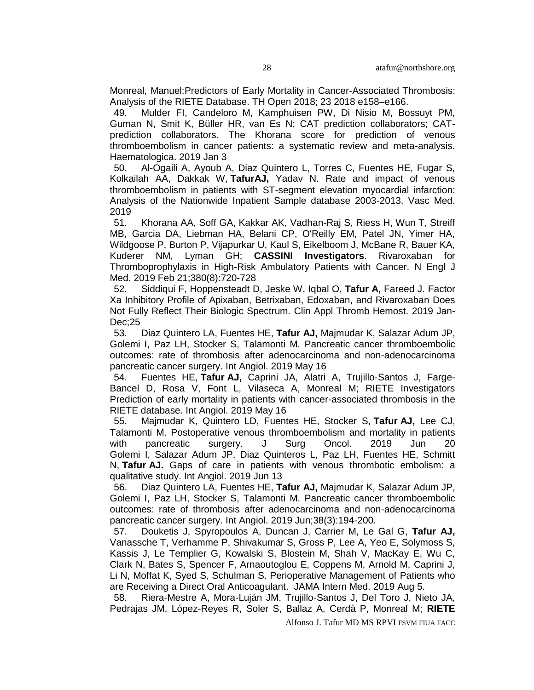Monreal, Manuel[:Predictors of Early Mortality in Cancer-Associated Thrombosis:](https://www.thieme-connect.com/products/ejournals/abstract/10.1055/s-0038-1642022)  [Analysis of the RIETE Database.](https://www.thieme-connect.com/products/ejournals/abstract/10.1055/s-0038-1642022) TH Open 2018; 23 2018 e158–e166.

49. Mulder FI, Candeloro M, Kamphuisen PW, Di Nisio M, Bossuyt PM, Guman N, Smit K, Büller HR, van Es N; CAT prediction collaborators; CATprediction collaborators. [The Khorana score for prediction of venous](https://www.ncbi.nlm.nih.gov/pubmed/30606788)  [thromboembolism in cancer patients: a systematic review and meta-analysis.](https://www.ncbi.nlm.nih.gov/pubmed/30606788) Haematologica. 2019 Jan 3

50. Al-Ogaili A, Ayoub A, Diaz Quintero L, Torres C, Fuentes HE, Fugar S, Kolkailah AA, Dakkak W, **TafurAJ,** Yadav N. [Rate and impact of venous](https://www.ncbi.nlm.nih.gov/pubmed/30915913)  [thromboembolism in patients with ST-segment elevation myocardial infarction:](https://www.ncbi.nlm.nih.gov/pubmed/30915913)  [Analysis of the Nationwide Inpatient Sample database 2003-2013.](https://www.ncbi.nlm.nih.gov/pubmed/30915913) Vasc Med. 2019

51. Khorana AA, Soff GA, Kakkar AK, Vadhan-Raj S, Riess H, Wun T, Streiff MB, Garcia DA, Liebman HA, Belani CP, O'Reilly EM, Patel JN, Yimer HA, Wildgoose P, Burton P, Vijapurkar U, Kaul S, Eikelboom J, McBane R, Bauer KA, Kuderer NM, Lyman GH; **CASSINI Investigators**. [Rivaroxaban for](https://www.ncbi.nlm.nih.gov/pubmed/30786186)  [Thromboprophylaxis in High-Risk Ambulatory Patients with Cancer.](https://www.ncbi.nlm.nih.gov/pubmed/30786186) N Engl J Med. 2019 Feb 21;380(8):720-728

52. Siddiqui F, Hoppensteadt D, Jeske W, Iqbal O, **Tafur A,** Fareed J. [Factor](https://www.ncbi.nlm.nih.gov/pubmed/31088146)  [Xa Inhibitory Profile of Apixaban, Betrixaban, Edoxaban, and Rivaroxaban Does](https://www.ncbi.nlm.nih.gov/pubmed/31088146)  [Not Fully Reflect Their Biologic Spectrum.](https://www.ncbi.nlm.nih.gov/pubmed/31088146) Clin Appl Thromb Hemost. 2019 Jan-Dec;25

53. Diaz Quintero LA, Fuentes HE, **Tafur AJ,** Majmudar K, Salazar Adum JP, Golemi I, Paz LH, Stocker S, Talamonti M. [Pancreatic cancer thromboembolic](https://www.ncbi.nlm.nih.gov/pubmed/31112026)  [outcomes: rate of thrombosis after adenocarcinoma and non-adenocarcinoma](https://www.ncbi.nlm.nih.gov/pubmed/31112026)  [pancreatic cancer surgery.](https://www.ncbi.nlm.nih.gov/pubmed/31112026) Int Angiol. 2019 May 16

54. Fuentes HE, **Tafur AJ,** Caprini JA, Alatri A, Trujillo-Santos J, Farge-Bancel D, Rosa V, Font L, Vilaseca A, Monreal M; RIETE Investigators [Prediction of early mortality in patients with cancer-associated thrombosis in the](https://www.ncbi.nlm.nih.gov/pubmed/31112023)  [RIETE database.](https://www.ncbi.nlm.nih.gov/pubmed/31112023) Int Angiol. 2019 May 16

55. Majmudar K, Quintero LD, Fuentes HE, Stocker S, **Tafur AJ,** Lee CJ, Talamonti M. [Postoperative venous thromboembolism and mortality in patients](https://www.ncbi.nlm.nih.gov/pubmed/31222842)  [with pancreatic surgery.](https://www.ncbi.nlm.nih.gov/pubmed/31222842) J Surg Oncol. 2019 Jun 20 Golemi I, Salazar Adum JP, Diaz Quinteros L, Paz LH, Fuentes HE, Schmitt N, **Tafur AJ.** [Gaps of care in patients with venous thrombotic embolism: a](https://www.ncbi.nlm.nih.gov/pubmed/31203596)  [qualitative study.](https://www.ncbi.nlm.nih.gov/pubmed/31203596) Int Angiol. 2019 Jun 13

56. Diaz Quintero LA, Fuentes HE, **Tafur AJ,** Majmudar K, Salazar Adum JP, Golemi I, Paz LH, Stocker S, Talamonti M. [Pancreatic cancer thromboembolic](https://www.ncbi.nlm.nih.gov/pubmed/31112026)  [outcomes: rate of thrombosis after adenocarcinoma and non-adenocarcinoma](https://www.ncbi.nlm.nih.gov/pubmed/31112026)  [pancreatic cancer surgery.](https://www.ncbi.nlm.nih.gov/pubmed/31112026) Int Angiol. 2019 Jun;38(3):194-200.

57. Douketis J, Spyropoulos A, Duncan J, Carrier M, Le Gal G, **Tafur AJ,** Vanassche T, Verhamme P, Shivakumar S, Gross P, Lee A, Yeo E, Solymoss S, Kassis J, Le Templier G, Kowalski S, Blostein M, Shah V, MacKay E, Wu C, Clark N, Bates S, Spencer F, Arnaoutoglou E, Coppens M, Arnold M, Caprini J, Li N, Moffat K, Syed S, Schulman S. Perioperative Management of Patients who are Receiving a Direct Oral Anticoagulant. JAMA Intern Med. 2019 Aug 5.

58. Riera-Mestre A, Mora-Luján JM, Trujillo-Santos J, Del Toro J, Nieto JA, Pedrajas JM, López-Reyes R, Soler S, Ballaz A, Cerdà P, Monreal M; **RIETE**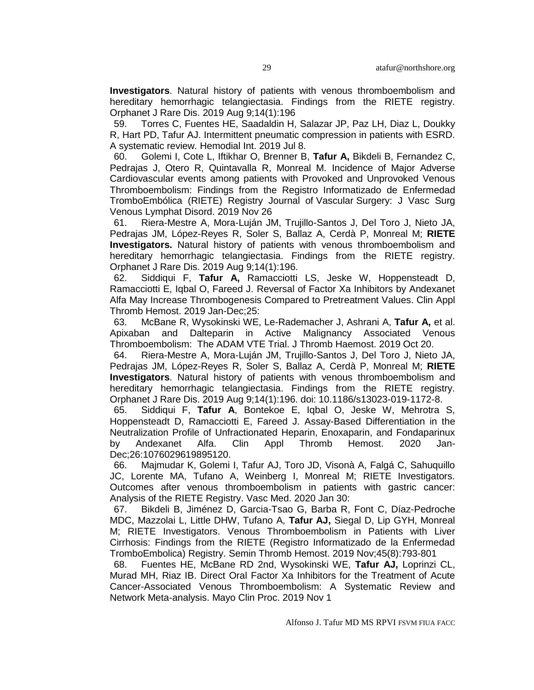**Investigators**. [Natural history of patients with venous thromboembolism and](https://www.ncbi.nlm.nih.gov/pubmed/31399146)  [hereditary hemorrhagic telangiectasia. Findings from the RIETE registry.](https://www.ncbi.nlm.nih.gov/pubmed/31399146) Orphanet J Rare Dis. 2019 Aug 9;14(1):196

59. Torres C, Fuentes HE, Saadaldin H, Salazar JP, Paz LH, Diaz L, Doukky R, Hart PD, Tafur AJ. [Intermittent pneumatic compression in patients with ESRD.](https://www.ncbi.nlm.nih.gov/pubmed/31283096)  [A systematic review.](https://www.ncbi.nlm.nih.gov/pubmed/31283096) Hemodial Int. 2019 Jul 8.

60. Golemi I, Cote L, Iftikhar O, Brenner B, **Tafur A,** Bikdeli B, Fernandez C, Pedrajas J, Otero R, Quintavalla R, Monreal M. Incidence of Major Adverse Cardiovascular events among patients with Provoked and Unprovoked Venous Thromboembolism: Findings from the Registro Informatizado de Enfermedad TromboEmbólica (RIETE) Registry Journal of Vascular Surgery: J Vasc Surg Venous Lymphat Disord. 2019 Nov 26

61. Riera-Mestre A, Mora-Luján JM, Trujillo-Santos J, Del Toro J, Nieto JA, Pedrajas JM, López-Reyes R, Soler S, Ballaz A, Cerdà P, Monreal M; **RIETE Investigators.** [Natural history of patients with venous thromboembolism and](https://www.ncbi.nlm.nih.gov/pubmed/31399146)  [hereditary hemorrhagic telangiectasia. Findings from the RIETE registry.](https://www.ncbi.nlm.nih.gov/pubmed/31399146) Orphanet J Rare Dis. 2019 Aug 9;14(1):196.

62. Siddiqui F, **Tafur A,** Ramacciotti LS, Jeske W, Hoppensteadt D, Ramacciotti E, Iqbal O, Fareed J. [Reversal of Factor Xa Inhibitors by Andexanet](https://www.ncbi.nlm.nih.gov/pubmed/31298056)  [Alfa May Increase Thrombogenesis Compared to Pretreatment Values.](https://www.ncbi.nlm.nih.gov/pubmed/31298056) Clin Appl Thromb Hemost. 2019 Jan-Dec;25:

63. McBane R, Wysokinski WE, Le-Rademacher J, Ashrani A, **Tafur A,** et al. Apixaban and Dalteparin in Active Malignancy Associated Venous Thromboembolism: The ADAM VTE Trial. J Thromb Haemost. 2019 Oct 20.

64. Riera-Mestre A, Mora-Luján JM, Trujillo-Santos J, Del Toro J, Nieto JA, Pedrajas JM, López-Reyes R, Soler S, Ballaz A, Cerdà P, Monreal M; **RIETE Investigators**. [Natural history of patients with](https://www.ncbi.nlm.nih.gov/pubmed/31399146) venous thromboembolism and [hereditary hemorrhagic telangiectasia. Findings from the RIETE registry.](https://www.ncbi.nlm.nih.gov/pubmed/31399146) Orphanet J Rare Dis. 2019 Aug 9;14(1):196. doi: 10.1186/s13023-019-1172-8.

65. Siddiqui F, **Tafur A**, Bontekoe E, Iqbal O, Jeske W, Mehrotra S, Hoppensteadt D, Ramacciotti E, Fareed J. [Assay-Based Differentiation in the](https://www.ncbi.nlm.nih.gov/pubmed/31914798)  [Neutralization Profile of Unfractionated Heparin, Enoxaparin, and Fondaparinux](https://www.ncbi.nlm.nih.gov/pubmed/31914798)  [by Andexanet Alfa.](https://www.ncbi.nlm.nih.gov/pubmed/31914798) Clin Appl Thromb Hemost. 2020 Jan-Dec;26:1076029619895120.

66. Majmudar K, Golemi I, Tafur AJ, Toro JD, Visonà A, Falgá C, Sahuquillo JC, Lorente MA, Tufano A, Weinberg I, Monreal M; RIETE Investigators. [Outcomes after venous thromboembolism in patients with gastric cancer:](https://www.ncbi.nlm.nih.gov/pubmed/32000631)  [Analysis of the RIETE Registry.](https://www.ncbi.nlm.nih.gov/pubmed/32000631) Vasc Med. 2020 Jan 30:

67. Bikdeli B, Jiménez D, Garcia-Tsao G, Barba R, Font C, Díaz-Pedroche MDC, Mazzolai L, Little DHW, Tufano A, **Tafur AJ,** Siegal D, Lip GYH, Monreal M; RIETE Investigators. [Venous Thromboembolism in Patients with Liver](https://www.ncbi.nlm.nih.gov/pubmed/31614388)  [Cirrhosis: Findings from the RIETE \(Registro Informatizado de la Enfermedad](https://www.ncbi.nlm.nih.gov/pubmed/31614388)  [TromboEmbolica\) Registry.](https://www.ncbi.nlm.nih.gov/pubmed/31614388) Semin Thromb Hemost. 2019 Nov;45(8):793-801

68. Fuentes HE, McBane RD 2nd, Wysokinski WE, **Tafur AJ,** Loprinzi CL, Murad MH, Riaz IB. [Direct Oral Factor Xa Inhibitors for the Treatment of Acute](https://www.ncbi.nlm.nih.gov/pubmed/31685262)  [Cancer-Associated Venous Thromboembolism: A Systematic Review and](https://www.ncbi.nlm.nih.gov/pubmed/31685262)  [Network Meta-analysis.](https://www.ncbi.nlm.nih.gov/pubmed/31685262) Mayo Clin Proc. 2019 Nov 1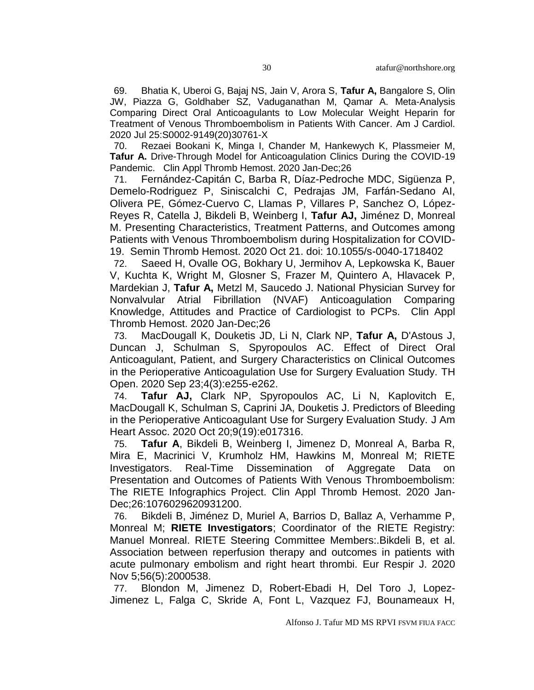69. Bhatia K, Uberoi G, Bajaj NS, Jain V, Arora S, **Tafur A,** Bangalore S, Olin JW, Piazza G, Goldhaber SZ, Vaduganathan M, Qamar A. [Meta-Analysis](https://pubmed.ncbi.nlm.nih.gov/32807386/)  [Comparing Direct Oral Anticoagulants to Low Molecular Weight Heparin for](https://pubmed.ncbi.nlm.nih.gov/32807386/)  [Treatment of Venous Thromboembolism in Patients With Cancer. A](https://pubmed.ncbi.nlm.nih.gov/32807386/)m J Cardiol. 2020 Jul 25:S0002-9149(20)30761-X

70. Rezaei Bookani K, Minga I, Chander M, Hankewych K, Plassmeier M, **Tafur A.** [Drive-Through Model for Anticoagulation Clinics During the COVID-19](https://pubmed.ncbi.nlm.nih.gov/32822220/)  [Pandemic.](https://pubmed.ncbi.nlm.nih.gov/32822220/) Clin Appl Thromb Hemost. 2020 Jan-Dec;26

71. Fernández-Capitán C, Barba R, Díaz-Pedroche MDC, Sigüenza P, Demelo-Rodriguez P, Siniscalchi C, Pedrajas JM, Farfán-Sedano AI, Olivera PE, Gómez-Cuervo C, Llamas P, Villares P, Sanchez O, López-Reyes R, Catella J, Bikdeli B, Weinberg I, **Tafur AJ,** Jiménez D, Monreal M. [Presenting Characteristics, Treatment Patterns, and Outcomes among](file://///vfs10/33086403/)  [Patients with Venous Thromboembolism during Hospitalization for COVID-](file://///vfs10/33086403/)[19.](file://///vfs10/33086403/) Semin Thromb Hemost. 2020 Oct 21. doi: 10.1055/s-0040-1718402

72. Saeed H, Ovalle OG, Bokhary U, Jermihov A, Lepkowska K, Bauer V, Kuchta K, Wright M, Glosner S, Frazer M, Quintero A, Hlavacek P, Mardekian J, **Tafur A,** Metzl M, Saucedo J. [National Physician Survey for](file://///vfs10/33079570/)  [Nonvalvular Atrial Fibrillation \(NVAF\) Anticoagulation Comparing](file://///vfs10/33079570/)  Knowledge, Attitudes [and Practice of Cardiologist to PCPs.](file://///vfs10/33079570/) Clin Appl Thromb Hemost. 2020 Jan-Dec;26

73. MacDougall K, Douketis JD, Li N, Clark NP, **Tafur A,** D'Astous J, Duncan J, Schulman S, Spyropoulos AC. [Effect of Direct Oral](file://///vfs10/32984757/)  Anticoagulant, [Patient, and Surgery Characteristics on Clinical Outcomes](file://///vfs10/32984757/)  [in the Perioperative Anticoagulation Use for Surgery Evaluation Study. T](file://///vfs10/32984757/)H Open. 2020 Sep 23;4(3):e255-e262.

74. **Tafur AJ,** Clark NP, Spyropoulos AC, Li N, Kaplovitch E, MacDougall K, Schulman S, Caprini JA, Douketis J. [Predictors of Bleeding](file://///vfs10/32969288/)  [in the Perioperative Anticoagulant Use for Surgery Evaluation Study. J](file://///vfs10/32969288/) Am Heart Assoc. 2020 Oct 20;9(19):e017316.

75. **Tafur A**, Bikdeli B, Weinberg I, Jimenez D, Monreal A, Barba R, Mira E, Macrinici V, Krumholz HM, Hawkins M, Monreal M; RIETE Investigators. [Real-Time Dissemination of Aggregate Data on](file://///vfs10/32936691/)  [Presentation and Outcomes of Patients With Venous Thromboembolism:](file://///vfs10/32936691/)  [The RIETE Infographics Project. C](file://///vfs10/32936691/)lin Appl Thromb Hemost. 2020 Jan-Dec;26:1076029620931200.

76. Bikdeli B, Jiménez D, Muriel A, Barrios D, Ballaz A, Verhamme P, Monreal M; **RIETE Investigators**; Coordinator of the RIETE Registry: Manuel Monreal. RIETE Steering Committee Members:.Bikdeli B, et al. [Association between reperfusion therapy and outcomes in patients with](https://pubmed.ncbi.nlm.nih.gov/32430430/)  [acute pulmonary embolism and right heart thrombi. E](https://pubmed.ncbi.nlm.nih.gov/32430430/)ur Respir J. 2020 Nov 5;56(5):2000538.

77. Blondon M, Jimenez D, Robert-Ebadi H, Del Toro J, Lopez-Jimenez L, Falga C, Skride A, Font L, Vazquez FJ, Bounameaux H,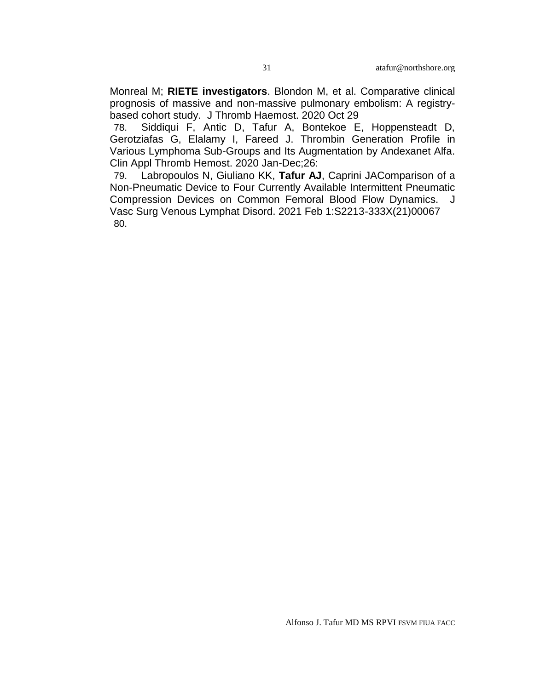Monreal M; **RIETE investigators**. Blondon M, et al. [Comparative clinical](https://pubmed.ncbi.nlm.nih.gov/33119949/)  [prognosis of massive and non-massive pulmonary embolism: A registry](https://pubmed.ncbi.nlm.nih.gov/33119949/)[based cohort study.](https://pubmed.ncbi.nlm.nih.gov/33119949/) J Thromb Haemost. 2020 Oct 29

78. Siddiqui F, Antic D, Tafur A, Bontekoe E, Hoppensteadt D, Gerotziafas G, Elalamy I, Fareed J. [Thrombin Generation Profile in](https://pubmed.ncbi.nlm.nih.gov/33372544/)  [Various Lymphoma Sub-Groups and Its Augmentation by Andexanet Alfa.](https://pubmed.ncbi.nlm.nih.gov/33372544/)  Clin Appl Thromb Hemost. 2020 Jan-Dec;26:

79. Labropoulos N, Giuliano KK, **Tafur AJ**, Caprini J[AComparison of a](https://pubmed.ncbi.nlm.nih.gov/33540132/)  [Non-Pneumatic Device to Four Currently Available Intermittent Pneumatic](https://pubmed.ncbi.nlm.nih.gov/33540132/)  [Compression Devices on Common Femoral Blood Flow Dynamics.](https://pubmed.ncbi.nlm.nih.gov/33540132/) J Vasc Surg Venous Lymphat Disord. 2021 Feb 1:S2213-333X(21)00067 80.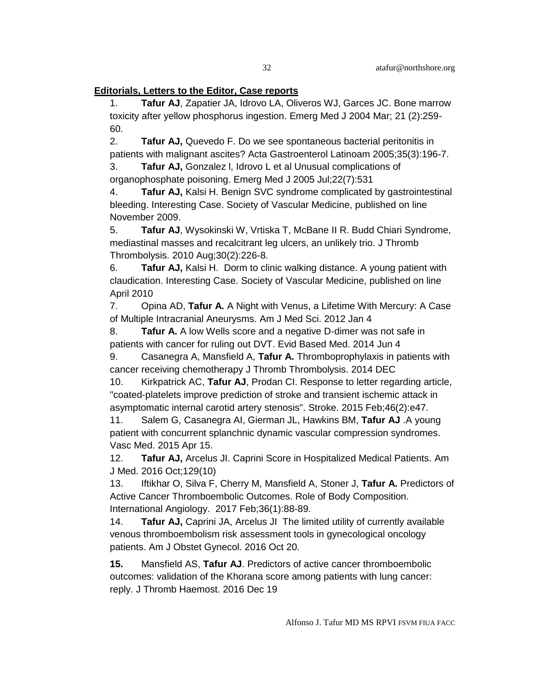### **Editorials, Letters to the Editor, Case reports**

1. **Tafur AJ**, Zapatier JA, Idrovo LA, Oliveros WJ, Garces JC. Bone marrow toxicity after yellow phosphorus ingestion. Emerg Med J 2004 Mar; 21 (2):259- 60.

2. **Tafur AJ,** Quevedo F. Do we see spontaneous bacterial peritonitis in patients with malignant ascites? Acta Gastroenterol Latinoam 2005;35(3):196-7.

3. **Tafur AJ,** Gonzalez l, Idrovo L et al Unusual complications of organophosphate poisoning. Emerg Med J 2005 Jul;22(7):531

4. **Tafur AJ,** Kalsi H. Benign SVC syndrome complicated by gastrointestinal bleeding. Interesting Case. Society of Vascular Medicine, published on line November 2009.

5. **Tafur AJ**, Wysokinski W, Vrtiska T, McBane II R. Budd Chiari Syndrome, mediastinal masses and recalcitrant leg ulcers, an unlikely trio. J Thromb Thrombolysis. 2010 Aug;30(2):226-8.

6. **Tafur AJ,** Kalsi H. Dorm to clinic walking distance. A young patient with claudication. Interesting Case. Society of Vascular Medicine, published on line April 2010

7. Opina AD, **Tafur A.** [A Night with Venus, a Lifetime With Mercury: A Case](http://www.ncbi.nlm.nih.gov.webproxy.ouhsc.edu/pubmed/22222337)  [of Multiple Intracranial Aneurysms.](http://www.ncbi.nlm.nih.gov.webproxy.ouhsc.edu/pubmed/22222337) Am J Med Sci. 2012 Jan 4

8. **Tafur A.** [A low Wells score and a negative D-dimer was not safe in](http://www.ncbi.nlm.nih.gov/pubmed/24917604)  [patients with cancer for ruling out](http://www.ncbi.nlm.nih.gov/pubmed/24917604) DVT. Evid Based Med. 2014 Jun 4

9. Casanegra A, Mansfield A, **Tafur A.** Thromboprophylaxis in patients with cancer receiving chemotherapy J Thromb Thrombolysis. 2014 DEC

10. [Kirkpatrick AC,](http://www.ncbi.nlm.nih.gov/pubmed/?term=Kirkpatrick%20AC%5BAuthor%5D&cauthor=true&cauthor_uid=25503548) **[Tafur](http://www.ncbi.nlm.nih.gov/pubmed/?term=Tafur%20AJ%5BAuthor%5D&cauthor=true&cauthor_uid=25503548) AJ**, [Prodan CI.](http://www.ncbi.nlm.nih.gov/pubmed/?term=Prodan%20CI%5BAuthor%5D&cauthor=true&cauthor_uid=25503548) Response to letter regarding article, "coated-platelets improve prediction of stroke and transient ischemic attack in asymptomatic internal carotid artery stenosis". [Stroke.](http://www.ncbi.nlm.nih.gov/pubmed/25503548) 2015 Feb;46(2):e47.

11. Salem G, Casanegra AI, Gierman JL, Hawkins BM, **Tafur AJ** [.A young](http://www.ncbi.nlm.nih.gov/pubmed/25878214)  [patient with concurrent splanchnic dynamic vascular compression syndromes.](http://www.ncbi.nlm.nih.gov/pubmed/25878214) Vasc Med. 2015 Apr 15.

12. **Tafur AJ,** Arcelus JI. [Caprini Score in Hospitalized Medical Patients.](https://www.ncbi.nlm.nih.gov/pubmed/27671858) Am J Med. 2016 Oct;129(10)

13. Iftikhar O, Silva F, Cherry M, Mansfield A, Stoner J, **Tafur A.** Predictors of Active Cancer Thromboembolic Outcomes. Role of Body Composition. International Angiology. 2017 Feb;36(1):88-89.

14. **Tafur AJ,** Caprini JA, Arcelus JI [The limited utility of currently available](https://www.ncbi.nlm.nih.gov/pubmed/27773716)  [venous thromboembolism risk assessment tools in gynecological oncology](https://www.ncbi.nlm.nih.gov/pubmed/27773716)  [patients.](https://www.ncbi.nlm.nih.gov/pubmed/27773716) Am J Obstet Gynecol. 2016 Oct 20.

**15.** Mansfield AS, **Tafur AJ**. [Predictors of active cancer thromboembolic](https://www.ncbi.nlm.nih.gov/pubmed/27992093)  [outcomes: validation of the Khorana score among patients with lung cancer:](https://www.ncbi.nlm.nih.gov/pubmed/27992093)  [reply.](https://www.ncbi.nlm.nih.gov/pubmed/27992093) J Thromb Haemost. 2016 Dec 19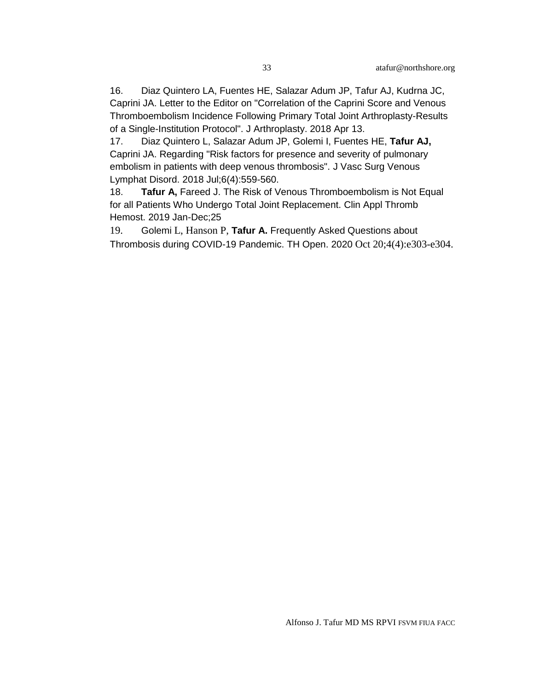16. Diaz Quintero LA, Fuentes HE, Salazar Adum JP, Tafur AJ, Kudrna JC, Caprini JA. [Letter to the Editor on "Correlation of the Caprini Score and Venous](https://www.ncbi.nlm.nih.gov/pubmed/29716770)  [Thromboembolism Incidence Following Primary Total Joint Arthroplasty-Results](https://www.ncbi.nlm.nih.gov/pubmed/29716770)  [of a Single-Institution Protocol".](https://www.ncbi.nlm.nih.gov/pubmed/29716770) J Arthroplasty. 2018 Apr 13.

17. Diaz Quintero L, Salazar Adum JP, Golemi I, Fuentes HE, **Tafur AJ,** Caprini JA. [Regarding "Risk factors for presence and severity of pulmonary](https://www.ncbi.nlm.nih.gov/pubmed/29909863)  [embolism in patients with deep venous thrombosis".](https://www.ncbi.nlm.nih.gov/pubmed/29909863) J Vasc Surg Venous Lymphat Disord. 2018 Jul;6(4):559-560.

18. **Tafur A,** Fareed J. [The Risk of Venous Thromboembolism is Not Equal](https://www.ncbi.nlm.nih.gov/pubmed/30939893)  [for all Patients Who Undergo Total Joint Replacement.](https://www.ncbi.nlm.nih.gov/pubmed/30939893) Clin Appl Thromb Hemost. 2019 Jan-Dec;25

19. Golemi L, Hanson P, **Tafur A.** [Frequently Asked Questions about](file://///vfs10/33103049/)  [Thrombosis during COVID-19 Pandemic. T](file://///vfs10/33103049/)H Open. 2020 Oct 20;4(4):e303-e304.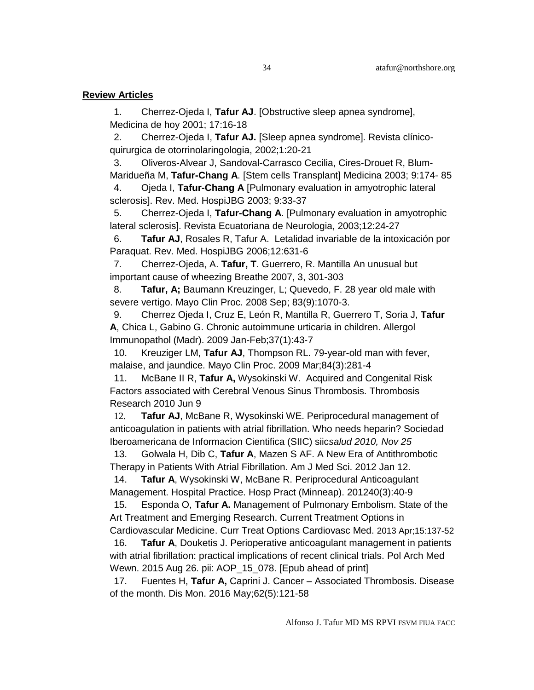#### **Review Articles**

1. Cherrez-Ojeda I, **Tafur AJ**. [Obstructive sleep apnea syndrome], Medicina de hoy 2001; 17:16-18

2. Cherrez-Ojeda I, **Tafur AJ.** [Sleep apnea syndrome]. Revista clínicoquirurgica de otorrinolaringologia, 2002;1:20-21

3. Oliveros-Alvear J, Sandoval-Carrasco Cecilia, Cires-Drouet R, Blum-Maridueña M, **Tafur-Chang A**. [Stem cells Transplant] Medicina 2003; 9:174- 85

4. Ojeda I, **Tafur-Chang A** [Pulmonary evaluation in amyotrophic lateral sclerosis]. Rev. Med. HospiJBG 2003; 9:33-37

5. Cherrez-Ojeda I, **Tafur-Chang A**. [Pulmonary evaluation in amyotrophic lateral sclerosis]. Revista Ecuatoriana de Neurologia, 2003;12:24-27

6. **Tafur AJ**, Rosales R, Tafur A. Letalidad invariable de la intoxicación por Paraquat. Rev. Med. HospiJBG 2006;12:631-6

7. Cherrez-Ojeda, A. **Tafur, T**. Guerrero, R. Mantilla An unusual but important cause of wheezing Breathe 2007, 3, 301-303

8. **Tafur, A;** Baumann Kreuzinger, L; Quevedo, F. 28 year old male with severe vertigo. Mayo Clin Proc. 2008 Sep; 83(9):1070-3.

9. Cherrez Ojeda I, Cruz E, León R, Mantilla R, Guerrero T, Soria J, **Tafur A**, Chica L, Gabino G. Chronic autoimmune urticaria in children. Allergol Immunopathol (Madr). 2009 Jan-Feb;37(1):43-7

10. Kreuziger LM, **Tafur AJ**, Thompson RL. [79-year-old man with fever,](http://www.ncbi.nlm.nih.gov/pubmed/19252117?ordinalpos=2&itool=EntrezSystem2.PEntrez.Pubmed.Pubmed_ResultsPanel.Pubmed_DefaultReportPanel.Pubmed_RVDocSum)  [malaise, and jaundice.](http://www.ncbi.nlm.nih.gov/pubmed/19252117?ordinalpos=2&itool=EntrezSystem2.PEntrez.Pubmed.Pubmed_ResultsPanel.Pubmed_DefaultReportPanel.Pubmed_RVDocSum) Mayo Clin Proc. 2009 Mar;84(3):281-4

11. McBane II R, **Tafur A,** Wysokinski W. Acquired and Congenital Risk Factors associated with Cerebral Venous Sinus Thrombosis. Thrombosis Research 2010 Jun 9

12. **Tafur AJ**, McBane R, Wysokinski WE. Periprocedural management of anticoagulation in patients with atrial fibrillation. Who needs heparin? Sociedad Iberoamericana de Informacion Cientifica (SIIC) siic*salud 2010, Nov 25*

13. Golwala H, Dib C, **Tafur A**, Mazen S AF. [A New Era of Antithrombotic](http://www.ncbi.nlm.nih.gov.webproxy.ouhsc.edu/pubmed/22245946)  [Therapy in Patients With Atrial Fibrillation.](http://www.ncbi.nlm.nih.gov.webproxy.ouhsc.edu/pubmed/22245946) Am J Med Sci. 2012 Jan 12.

14. **Tafur A**, Wysokinski W, McBane R. Periprocedural Anticoagulant Management. Hospital Practice. Hosp Pract (Minneap). 201240(3):40-9

15. Esponda O, **Tafur A.** Management of Pulmonary Embolism. State of the Art Treatment and Emerging Research. Current Treatment Options in

Cardiovascular Medicine. Curr Treat Options Cardiovasc Med. 2013 Apr;15:137-52 16. **Tafur A**, Douketis J. Perioperative anticoagulant management in patients with atrial fibrillation: practical implications of recent clinical trials. [Pol Arch Med](http://www.ncbi.nlm.nih.gov/pubmed/26307106)  [Wewn.](http://www.ncbi.nlm.nih.gov/pubmed/26307106) 2015 Aug 26. pii: AOP\_15\_078. [Epub ahead of print]

17. Fuentes H, **Tafur A,** Caprini J. Cancer – Associated Thrombosis. Disease of the month. Dis Mon. 2016 May;62(5):121-58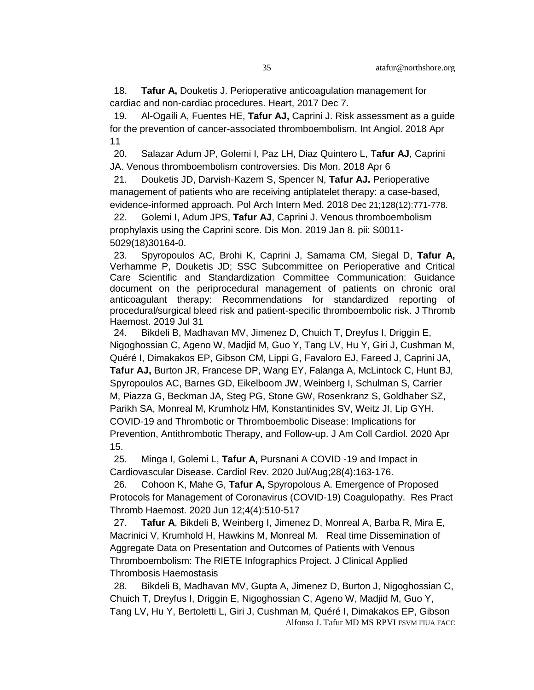18. **Tafur A,** Douketis J. Perioperative anticoagulation management for cardiac and non-cardiac procedures. Heart, 2017 Dec 7.

19. Al-Ogaili A, Fuentes HE, **Tafur AJ,** Caprini J. [Risk assessment as a guide](https://www.ncbi.nlm.nih.gov/pubmed/29644835)  [for the prevention of cancer-associated thromboembolism.](https://www.ncbi.nlm.nih.gov/pubmed/29644835) Int Angiol. 2018 Apr 11

20. Salazar Adum JP, Golemi I, Paz LH, Diaz Quintero L, **Tafur AJ**, Caprini JA. [Venous thromboembolism controversies.](https://www.ncbi.nlm.nih.gov/pubmed/29631864) Dis Mon. 2018 Apr 6

21. Douketis JD, Darvish-Kazem S, Spencer N, **Tafur AJ.** [Perioperative](https://www.ncbi.nlm.nih.gov/pubmed/30575713)  [management of patients who are receiving antiplatelet therapy: a case-based,](https://www.ncbi.nlm.nih.gov/pubmed/30575713)  [evidence-informed approach.](https://www.ncbi.nlm.nih.gov/pubmed/30575713) Pol Arch Intern Med. 2018 Dec 21;128(12):771-778.

22. Golemi I, Adum JPS, **Tafur AJ**, Caprini J. [Venous thromboembolism](https://www.ncbi.nlm.nih.gov/pubmed/30638566)  [prophylaxis using the Caprini score.](https://www.ncbi.nlm.nih.gov/pubmed/30638566) Dis Mon. 2019 Jan 8. pii: S0011- 5029(18)30164-0.

23. Spyropoulos AC, Brohi K, Caprini J, Samama CM, Siegal D, **Tafur A,**  Verhamme P, Douketis JD; SSC Subcommittee on Perioperative and Critical Care [Scientific and Standardization Committee Communication: Guidance](https://www.ncbi.nlm.nih.gov/pubmed/31436045)  [document on the periprocedural management of patients on chronic oral](https://www.ncbi.nlm.nih.gov/pubmed/31436045)  [anticoagulant therapy: Recommendations for standardized reporting of](https://www.ncbi.nlm.nih.gov/pubmed/31436045)  [procedural/surgical bleed risk and patient-specific thromboembolic risk.](https://www.ncbi.nlm.nih.gov/pubmed/31436045) J Thromb Haemost. 2019 Jul 31

24. Bikdeli B, Madhavan MV, Jimenez D, Chuich T, Dreyfus I, Driggin E, Nigoghossian C, Ageno W, Madjid M, Guo Y, Tang LV, Hu Y, Giri J, Cushman M, Quéré I, Dimakakos EP, Gibson CM, Lippi G, Favaloro EJ, Fareed J, Caprini JA, **Tafur AJ,** Burton JR, Francese DP, Wang EY, Falanga A, McLintock C, Hunt BJ, Spyropoulos AC, Barnes GD, Eikelboom JW, Weinberg I, Schulman S, Carrier M, Piazza G, Beckman JA, Steg PG, Stone GW, Rosenkranz S, Goldhaber SZ, Parikh SA, Monreal M, Krumholz HM, Konstantinides SV, Weitz JI, Lip GYH. [COVID-19 and Thrombotic or Thromboembolic Disease: Implications for](https://www.ncbi.nlm.nih.gov/pubmed/32311448)  [Prevention, Antithrombotic Therapy, and Follow-up.](https://www.ncbi.nlm.nih.gov/pubmed/32311448) J Am Coll Cardiol. 2020 Apr 15.

25. Minga I, Golemi L, **Tafur A,** Pursnani A COVID -19 and Impact in Cardiovascular Disease. Cardiol Rev. 2020 Jul/Aug;28(4):163-176.

26. Cohoon K, Mahe G, **Tafur A,** Spyropolous A. Emergence of Proposed Protocols for Management of Coronavirus (COVID-19) Coagulopathy. Res Pract Thromb Haemost. 2020 Jun 12;4(4):510-517

27. **Tafur A**, Bikdeli B, Weinberg I, Jimenez D, Monreal A, Barba R, Mira E, Macrinici V, Krumhold H, Hawkins M, Monreal M. Real time Dissemination of Aggregate Data on Presentation and Outcomes of Patients with Venous Thromboembolism: The RIETE Infographics Project. J Clinical Applied Thrombosis Haemostasis

Alfonso J. Tafur MD MS RPVI FSVM FIUA FACC 28. Bikdeli B, Madhavan MV, Gupta A, Jimenez D, Burton J, Nigoghossian C, Chuich T, Dreyfus I, Driggin E, Nigoghossian C, Ageno W, Madjid M, Guo Y, Tang LV, Hu Y, Bertoletti L, Giri J, Cushman M, Quéré I, Dimakakos EP, Gibson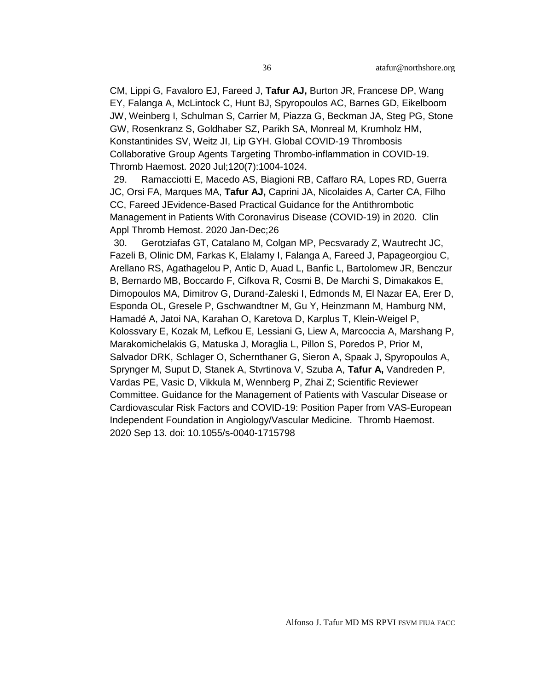CM, Lippi G, Favaloro EJ, Fareed J, **Tafur AJ,** Burton JR, Francese DP, Wang EY, Falanga A, McLintock C, Hunt BJ, Spyropoulos AC, Barnes GD, Eikelboom JW, Weinberg I, Schulman S, Carrier M, Piazza G, Beckman JA, Steg PG, Stone GW, Rosenkranz S, Goldhaber SZ, Parikh SA, Monreal M, Krumholz HM, Konstantinides SV, Weitz JI, Lip GYH. Global COVID-19 Thrombosis Collaborative Group Agents Targeting Thrombo-inflammation in COVID-19. Thromb Haemost. 2020 Jul;120(7):1004-1024.

29. Ramacciotti E, Macedo AS, Biagioni RB, Caffaro RA, Lopes RD, Guerra JC, Orsi FA, Marques MA, **Tafur AJ,** Caprini JA, Nicolaides A, Carter CA, Filho CC, Fareed [JEvidence-Based Practical Guidance for the Antithrombotic](https://pubmed.ncbi.nlm.nih.gov/32649232/)  [Management in Patients With Coronavirus Disease \(COVID-19\) in 2020.](https://pubmed.ncbi.nlm.nih.gov/32649232/) Clin Appl Thromb Hemost. 2020 Jan-Dec;26

30. Gerotziafas GT, Catalano M, Colgan MP, Pecsvarady Z, Wautrecht JC, Fazeli B, Olinic DM, Farkas K, Elalamy I, Falanga A, Fareed J, Papageorgiou C, Arellano RS, Agathagelou P, Antic D, Auad L, Banfic L, Bartolomew JR, Benczur B, Bernardo MB, Boccardo F, Cifkova R, Cosmi B, De Marchi S, Dimakakos E, Dimopoulos MA, Dimitrov G, Durand-Zaleski I, Edmonds M, El Nazar EA, Erer D, Esponda OL, Gresele P, Gschwandtner M, Gu Y, Heinzmann M, Hamburg NM, Hamadé A, Jatoi NA, Karahan O, Karetova D, Karplus T, Klein-Weigel P, Kolossvary E, Kozak M, Lefkou E, Lessiani G, Liew A, Marcoccia A, Marshang P, Marakomichelakis G, Matuska J, Moraglia L, Pillon S, Poredos P, Prior M, Salvador DRK, Schlager O, Schernthaner G, Sieron A, Spaak J, Spyropoulos A, Sprynger M, Suput D, Stanek A, Stvrtinova V, Szuba A, **Tafur A,** Vandreden P, Vardas PE, Vasic D, Vikkula M, Wennberg P, Zhai Z; Scientific Reviewer Committee. [Guidance for the Management of Patients with Vascular Disease or](file://///vfs10/32920811/)  [Cardiovascular Risk Factors and COVID-19: Position Paper from VAS-European](file://///vfs10/32920811/)  [Independent Foundation in Angiology/Vascular Medicine.](file://///vfs10/32920811/) Thromb Haemost. 2020 Sep 13. doi: 10.1055/s-0040-1715798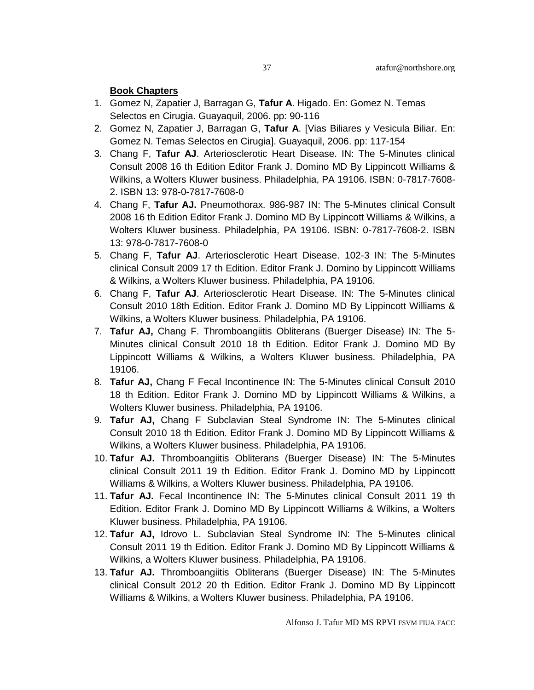#### **Book Chapters**

- 1. Gomez N, Zapatier J, Barragan G, **Tafur A**. Higado. En: Gomez N. Temas Selectos en Cirugia. Guayaquil, 2006. pp: 90-116
- 2. Gomez N, Zapatier J, Barragan G, **Tafur A**. [Vias Biliares y Vesicula Biliar. En: Gomez N. Temas Selectos en Cirugia]. Guayaquil, 2006. pp: 117-154
- 3. Chang F, **Tafur AJ**. Arteriosclerotic Heart Disease. IN: The 5-Minutes clinical Consult 2008 16 th Edition Editor Frank J. Domino MD By Lippincott Williams & Wilkins, a Wolters Kluwer business. Philadelphia, PA 19106. ISBN: 0-7817-7608- 2. ISBN 13: 978-0-7817-7608-0
- 4. Chang F, **Tafur AJ.** Pneumothorax. 986-987 IN: The 5-Minutes clinical Consult 2008 16 th Edition Editor Frank J. Domino MD By Lippincott Williams & Wilkins, a Wolters Kluwer business. Philadelphia, PA 19106. ISBN: 0-7817-7608-2. ISBN 13: 978-0-7817-7608-0
- 5. Chang F, **Tafur AJ**. Arteriosclerotic Heart Disease. 102-3 IN: The 5-Minutes clinical Consult 2009 17 th Edition. Editor Frank J. Domino by Lippincott Williams & Wilkins, a Wolters Kluwer business. Philadelphia, PA 19106.
- 6. Chang F, **Tafur AJ**. Arteriosclerotic Heart Disease. IN: The 5-Minutes clinical Consult 2010 18th Edition. Editor Frank J. Domino MD By Lippincott Williams & Wilkins, a Wolters Kluwer business. Philadelphia, PA 19106.
- 7. **Tafur AJ,** Chang F. Thromboangiitis Obliterans (Buerger Disease) IN: The 5- Minutes clinical Consult 2010 18 th Edition. Editor Frank J. Domino MD By Lippincott Williams & Wilkins, a Wolters Kluwer business. Philadelphia, PA 19106.
- 8. **Tafur AJ,** Chang F Fecal Incontinence IN: The 5-Minutes clinical Consult 2010 18 th Edition. Editor Frank J. Domino MD by Lippincott Williams & Wilkins, a Wolters Kluwer business. Philadelphia, PA 19106.
- 9. **Tafur AJ,** Chang F Subclavian Steal Syndrome IN: The 5-Minutes clinical Consult 2010 18 th Edition. Editor Frank J. Domino MD By Lippincott Williams & Wilkins, a Wolters Kluwer business. Philadelphia, PA 19106.
- 10. **Tafur AJ.** Thromboangiitis Obliterans (Buerger Disease) IN: The 5-Minutes clinical Consult 2011 19 th Edition. Editor Frank J. Domino MD by Lippincott Williams & Wilkins, a Wolters Kluwer business. Philadelphia, PA 19106.
- 11. **Tafur AJ.** Fecal Incontinence IN: The 5-Minutes clinical Consult 2011 19 th Edition. Editor Frank J. Domino MD By Lippincott Williams & Wilkins, a Wolters Kluwer business. Philadelphia, PA 19106.
- 12. **Tafur AJ,** Idrovo L. Subclavian Steal Syndrome IN: The 5-Minutes clinical Consult 2011 19 th Edition. Editor Frank J. Domino MD By Lippincott Williams & Wilkins, a Wolters Kluwer business. Philadelphia, PA 19106.
- 13. **Tafur AJ.** Thromboangiitis Obliterans (Buerger Disease) IN: The 5-Minutes clinical Consult 2012 20 th Edition. Editor Frank J. Domino MD By Lippincott Williams & Wilkins, a Wolters Kluwer business. Philadelphia, PA 19106.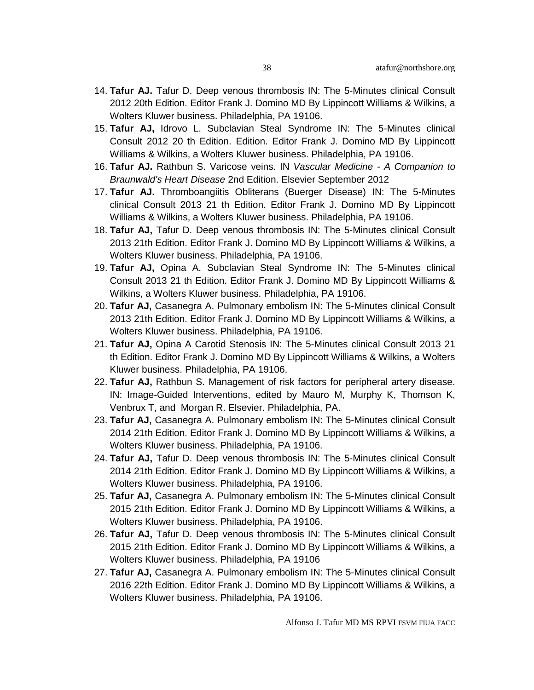- 14. **Tafur AJ.** Tafur D. Deep venous thrombosis IN: The 5-Minutes clinical Consult 2012 20th Edition. Editor Frank J. Domino MD By Lippincott Williams & Wilkins, a Wolters Kluwer business. Philadelphia, PA 19106.
- 15. **Tafur AJ,** Idrovo L. Subclavian Steal Syndrome IN: The 5-Minutes clinical Consult 2012 20 th Edition. Edition. Editor Frank J. Domino MD By Lippincott Williams & Wilkins, a Wolters Kluwer business. Philadelphia, PA 19106.
- 16. **Tafur AJ.** Rathbun S. Varicose veins. IN *Vascular Medicine - A Companion to Braunwald's Heart Disease* 2nd Edition. Elsevier September 2012
- 17. **Tafur AJ.** Thromboangiitis Obliterans (Buerger Disease) IN: The 5-Minutes clinical Consult 2013 21 th Edition. Editor Frank J. Domino MD By Lippincott Williams & Wilkins, a Wolters Kluwer business. Philadelphia, PA 19106.
- 18. **Tafur AJ,** Tafur D. Deep venous thrombosis IN: The 5-Minutes clinical Consult 2013 21th Edition. Editor Frank J. Domino MD By Lippincott Williams & Wilkins, a Wolters Kluwer business. Philadelphia, PA 19106.
- 19. **Tafur AJ,** Opina A. Subclavian Steal Syndrome IN: The 5-Minutes clinical Consult 2013 21 th Edition. Editor Frank J. Domino MD By Lippincott Williams & Wilkins, a Wolters Kluwer business. Philadelphia, PA 19106.
- 20. **Tafur AJ,** Casanegra A. Pulmonary embolism IN: The 5-Minutes clinical Consult 2013 21th Edition. Editor Frank J. Domino MD By Lippincott Williams & Wilkins, a Wolters Kluwer business. Philadelphia, PA 19106.
- 21. **Tafur AJ,** Opina A Carotid Stenosis IN: The 5-Minutes clinical Consult 2013 21 th Edition. Editor Frank J. Domino MD By Lippincott Williams & Wilkins, a Wolters Kluwer business. Philadelphia, PA 19106.
- 22. **Tafur AJ,** Rathbun S. Management of risk factors for peripheral artery disease. IN: Image-Guided Interventions, edited by Mauro M, Murphy K, Thomson K, Venbrux T, and Morgan R. Elsevier. Philadelphia, PA.
- 23. **Tafur AJ,** Casanegra A. Pulmonary embolism IN: The 5-Minutes clinical Consult 2014 21th Edition. Editor Frank J. Domino MD By Lippincott Williams & Wilkins, a Wolters Kluwer business. Philadelphia, PA 19106.
- 24. **Tafur AJ,** Tafur D. Deep venous thrombosis IN: The 5-Minutes clinical Consult 2014 21th Edition. Editor Frank J. Domino MD By Lippincott Williams & Wilkins, a Wolters Kluwer business. Philadelphia, PA 19106.
- 25. **Tafur AJ,** Casanegra A. Pulmonary embolism IN: The 5-Minutes clinical Consult 2015 21th Edition. Editor Frank J. Domino MD By Lippincott Williams & Wilkins, a Wolters Kluwer business. Philadelphia, PA 19106.
- 26. **Tafur AJ,** Tafur D. Deep venous thrombosis IN: The 5-Minutes clinical Consult 2015 21th Edition. Editor Frank J. Domino MD By Lippincott Williams & Wilkins, a Wolters Kluwer business. Philadelphia, PA 19106
- 27. **Tafur AJ,** Casanegra A. Pulmonary embolism IN: The 5-Minutes clinical Consult 2016 22th Edition. Editor Frank J. Domino MD By Lippincott Williams & Wilkins, a Wolters Kluwer business. Philadelphia, PA 19106.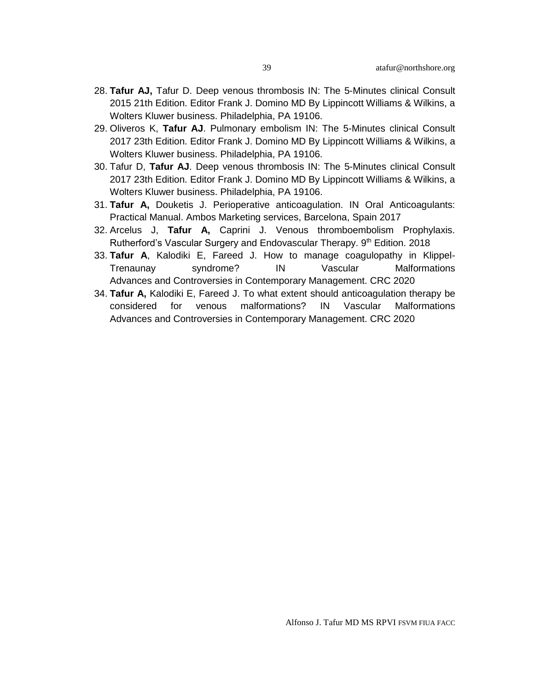- 28. **Tafur AJ,** Tafur D. Deep venous thrombosis IN: The 5-Minutes clinical Consult 2015 21th Edition. Editor Frank J. Domino MD By Lippincott Williams & Wilkins, a Wolters Kluwer business. Philadelphia, PA 19106.
- 29. Oliveros K, **Tafur AJ**. Pulmonary embolism IN: The 5-Minutes clinical Consult 2017 23th Edition. Editor Frank J. Domino MD By Lippincott Williams & Wilkins, a Wolters Kluwer business. Philadelphia, PA 19106.
- 30. Tafur D, **Tafur AJ**. Deep venous thrombosis IN: The 5-Minutes clinical Consult 2017 23th Edition. Editor Frank J. Domino MD By Lippincott Williams & Wilkins, a Wolters Kluwer business. Philadelphia, PA 19106.
- 31. **Tafur A,** Douketis J. Perioperative anticoagulation. IN Oral Anticoagulants: Practical Manual. Ambos Marketing services, Barcelona, Spain 2017
- 32. Arcelus J, **Tafur A,** Caprini J. Venous thromboembolism Prophylaxis. Rutherford's Vascular Surgery and Endovascular Therapy. 9<sup>th</sup> Edition. 2018
- 33. **Tafur A**, Kalodiki E, Fareed J. How to manage coagulopathy in Klippel-Trenaunay syndrome? IN Vascular Malformations Advances and Controversies in Contemporary Management. CRC 2020
- 34. **Tafur A,** Kalodiki E, Fareed J. To what extent should anticoagulation therapy be considered for venous malformations? IN Vascular Malformations Advances and Controversies in Contemporary Management. CRC 2020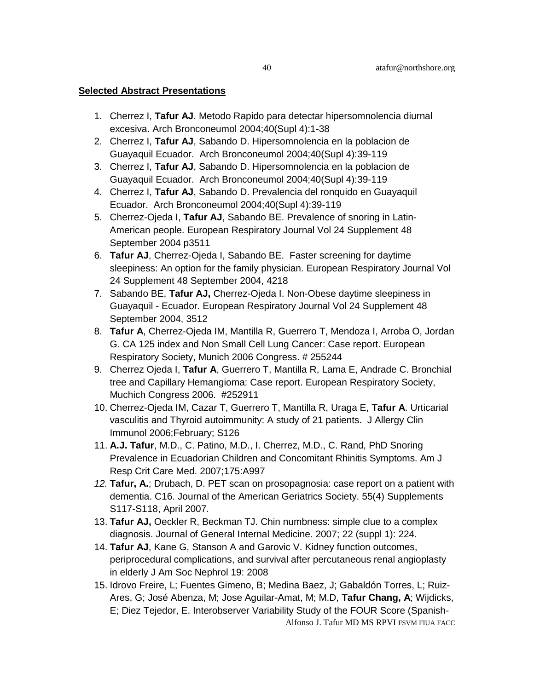#### **Selected Abstract Presentations**

- 1. Cherrez I, **Tafur AJ**. Metodo Rapido para detectar hipersomnolencia diurnal excesiva. Arch Bronconeumol 2004;40(Supl 4):1-38
- 2. Cherrez I, **Tafur AJ**, Sabando D. Hipersomnolencia en la poblacion de Guayaquil Ecuador. Arch Bronconeumol 2004;40(Supl 4):39-119
- 3. Cherrez I, **Tafur AJ**, Sabando D. Hipersomnolencia en la poblacion de Guayaquil Ecuador. Arch Bronconeumol 2004;40(Supl 4):39-119
- 4. Cherrez I, **Tafur AJ**, Sabando D. Prevalencia del ronquido en Guayaquil Ecuador. Arch Bronconeumol 2004;40(Supl 4):39-119
- 5. Cherrez-Ojeda I, **Tafur AJ**, Sabando BE. Prevalence of snoring in Latin-American people. European Respiratory Journal Vol 24 Supplement 48 September 2004 p3511
- 6. **Tafur AJ**, Cherrez-Ojeda I, Sabando BE. Faster screening for daytime sleepiness: An option for the family physician. European Respiratory Journal Vol 24 Supplement 48 September 2004, 4218
- 7. Sabando BE, **Tafur AJ,** Cherrez-Ojeda I. Non-Obese daytime sleepiness in Guayaquil - Ecuador. European Respiratory Journal Vol 24 Supplement 48 September 2004, 3512
- 8. **Tafur A**, Cherrez-Ojeda IM, Mantilla R, Guerrero T, Mendoza I, Arroba O, Jordan G. CA 125 index and Non Small Cell Lung Cancer: Case report. European Respiratory Society, Munich 2006 Congress. # 255244
- 9. Cherrez Ojeda I, **Tafur A**, Guerrero T, Mantilla R, Lama E, Andrade C. Bronchial tree and Capillary Hemangioma: Case report. European Respiratory Society, Muchich Congress 2006. #252911
- 10. Cherrez-Ojeda IM, Cazar T, Guerrero T, Mantilla R, Uraga E, **Tafur A**. Urticarial vasculitis and Thyroid autoimmunity: A study of 21 patients. J Allergy Clin Immunol 2006;February; S126
- 11. **A.J. Tafur**, M.D., C. Patino, M.D., I. Cherrez, M.D., C. Rand, PhD Snoring Prevalence in Ecuadorian Children and Concomitant Rhinitis Symptoms. Am J Resp Crit Care Med. 2007;175:A997
- *12.* **Tafur, A.**; Drubach, D. PET scan on prosopagnosia: case report on a patient with dementia. C16. Journal of the American Geriatrics Society. 55(4) Supplements S117-S118, April 2007*.*
- 13. **Tafur AJ,** Oeckler R, Beckman TJ. Chin numbness: simple clue to a complex diagnosis. Journal of General Internal Medicine. 2007; 22 (suppl 1): 224.
- 14. **Tafur AJ**, Kane G, Stanson A and Garovic V. Kidney function outcomes, periprocedural complications, and survival after percutaneous renal angioplasty in elderly J Am Soc Nephrol 19: 2008
- Alfonso J. Tafur MD MS RPVI FSVM FIUA FACC 15. Idrovo Freire, L; Fuentes Gimeno, B; Medina Baez, J; Gabaldón Torres, L; Ruiz-Ares, G; José Abenza, M; Jose Aguilar-Amat, M; M.D, **Tafur Chang, A**; Wijdicks, E; Diez Tejedor, E. Interobserver Variability Study of the FOUR Score (Spanish-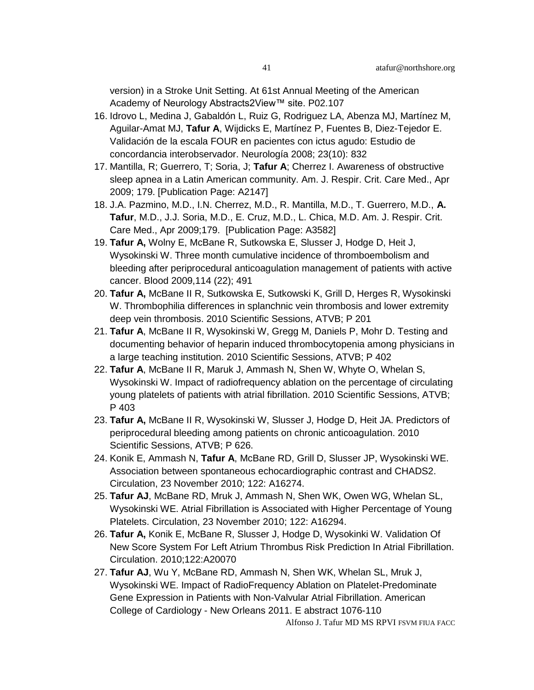- 16. Idrovo L, Medina J, Gabaldón L, Ruiz G, Rodriguez LA, Abenza MJ, Martínez M, Aguilar-Amat MJ, **Tafur A**, Wijdicks E, Martínez P, Fuentes B, Diez-Tejedor E. Validación de la escala FOUR en pacientes con ictus agudo: Estudio de concordancia interobservador. Neurología 2008; 23(10): 832
- 17. Mantilla, R; Guerrero, T; Soria, J; **Tafur A**; Cherrez I. Awareness of obstructive sleep apnea in a Latin American community. Am. J. Respir. Crit. Care Med., Apr 2009; 179. [\[Publication Page: A2147\]](javascript:remote_window()
- 18. J.A. Pazmino, M.D., I.N. Cherrez, M.D., R. Mantilla, M.D., T. Guerrero, M.D., **A. Tafur**, M.D., J.J. Soria, M.D., E. Cruz, M.D., L. Chica, M.D. Am. J. Respir. Crit. Care Med., Apr 2009;179. [\[Publication Page: A3582\]](javascript:remote_window()
- 19. **Tafur A,** Wolny E, McBane R, Sutkowska E, Slusser J, Hodge D, Heit J, Wysokinski W. Three month cumulative incidence of thromboembolism and bleeding after periprocedural anticoagulation management of patients with active cancer. Blood 2009,114 (22); 491
- 20. **Tafur A,** McBane II R, Sutkowska E, Sutkowski K, Grill D, Herges R, Wysokinski W. Thrombophilia differences in splanchnic vein thrombosis and lower extremity deep vein thrombosis. 2010 Scientific Sessions, ATVB; P 201
- 21. **Tafur A**, McBane II R, Wysokinski W, Gregg M, Daniels P, Mohr D. Testing and documenting behavior of heparin induced thrombocytopenia among physicians in a large teaching institution. 2010 Scientific Sessions, ATVB; P 402
- 22. **Tafur A**, McBane II R, Maruk J, Ammash N, Shen W, Whyte O, Whelan S, Wysokinski W. Impact of radiofrequency ablation on the percentage of circulating young platelets of patients with atrial fibrillation. 2010 Scientific Sessions, ATVB; P 403
- 23. **Tafur A,** McBane II R, Wysokinski W, Slusser J, Hodge D, Heit JA. Predictors of periprocedural bleeding among patients on chronic anticoagulation. 2010 Scientific Sessions, ATVB; P 626.
- 24. Konik E, Ammash N, **Tafur A**, McBane RD, Grill D, Slusser JP, Wysokinski WE. Association between spontaneous echocardiographic contrast and CHADS2. Circulation, 23 November 2010; 122: A16274.
- 25. **Tafur AJ**, McBane RD, Mruk J, Ammash N, Shen WK, Owen WG, Whelan SL, Wysokinski WE. Atrial Fibrillation is Associated with Higher Percentage of Young Platelets. Circulation, 23 November 2010; 122: A16294.
- 26. **Tafur A,** Konik E, McBane R, Slusser J, Hodge D, Wysokinki W. Validation Of New Score System For Left Atrium Thrombus Risk Prediction In Atrial Fibrillation. Circulation. 2010;122:A20070
- 27. **Tafur AJ**, Wu Y, McBane RD, Ammash N, Shen WK, Whelan SL, Mruk J, Wysokinski WE. Impact of RadioFrequency Ablation on Platelet-Predominate Gene Expression in Patients with Non-Valvular Atrial Fibrillation. American College of Cardiology - New Orleans 2011. E abstract 1076-110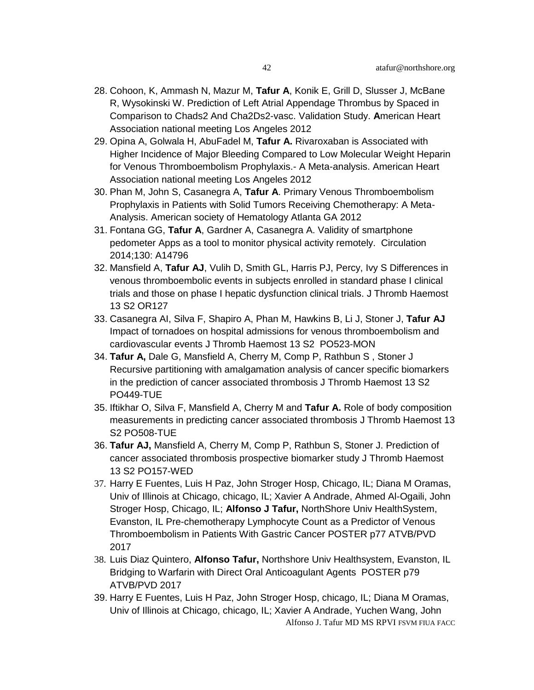- 28. Cohoon, K, Ammash N, Mazur M, **Tafur A**, Konik E, Grill D, Slusser J, McBane R, Wysokinski W. Prediction of Left Atrial Appendage Thrombus by Spaced in Comparison to Chads2 And Cha2Ds2-vasc. Validation Study. **A**merican Heart Association national meeting Los Angeles 2012
- 29. Opina A, Golwala H, AbuFadel M, **Tafur A.** Rivaroxaban is Associated with Higher Incidence of Major Bleeding Compared to Low Molecular Weight Heparin for Venous Thromboembolism Prophylaxis.- A Meta-analysis. American Heart Association national meeting Los Angeles 2012
- 30. Phan M, John S, Casanegra A, **Tafur A**. Primary Venous Thromboembolism Prophylaxis in Patients with Solid Tumors Receiving Chemotherapy: A Meta-Analysis. American society of Hematology Atlanta GA 2012
- 31. Fontana GG, **Tafur A**, Gardner A, Casanegra A. Validity of smartphone pedometer Apps as a tool to monitor physical activity remotely. Circulation 2014;130: A14796
- 32. Mansfield A, **Tafur AJ**, Vulih D, Smith GL, Harris PJ, Percy, Ivy S Differences in venous thromboembolic events in subjects enrolled in standard phase I clinical trials and those on phase I hepatic dysfunction clinical trials. J Thromb Haemost 13 S2 OR127
- 33. Casanegra AI, Silva F, Shapiro A, Phan M, Hawkins B, Li J, Stoner J, **Tafur AJ** Impact of tornadoes on hospital admissions for venous thromboembolism and cardiovascular events J Thromb Haemost 13 S2 PO523-MON
- 34. **Tafur A,** Dale G, Mansfield A, Cherry M, Comp P, Rathbun S , Stoner J Recursive partitioning with amalgamation analysis of cancer specific biomarkers in the prediction of cancer associated thrombosis J Thromb Haemost 13 S2 PO449-TUE
- 35. Iftikhar O, Silva F, Mansfield A, Cherry M and **Tafur A.** Role of body composition measurements in predicting cancer associated thrombosis J Thromb Haemost 13 S2 PO508-TUE
- 36. **Tafur AJ,** Mansfield A, Cherry M, Comp P, Rathbun S, Stoner J. Prediction of cancer associated thrombosis prospective biomarker study J Thromb Haemost 13 S2 PO157-WED
- 37. Harry E Fuentes, Luis H Paz, John Stroger Hosp, Chicago, IL; Diana M Oramas, Univ of Illinois at Chicago, chicago, IL; Xavier A Andrade, Ahmed Al-Ogaili, John Stroger Hosp, Chicago, IL; **Alfonso J Tafur,** NorthShore Univ HealthSystem, Evanston, IL Pre-chemotherapy Lymphocyte Count as a Predictor of Venous Thromboembolism in Patients With Gastric Cancer POSTER p77 ATVB/PVD 2017
- 38. Luis Diaz Quintero, **Alfonso Tafur,** Northshore Univ Healthsystem, Evanston, IL Bridging to Warfarin with Direct Oral Anticoagulant Agents POSTER p79 ATVB/PVD 2017
- Alfonso J. Tafur MD MS RPVI FSVM FIUA FACC 39. Harry E Fuentes, Luis H Paz, John Stroger Hosp, chicago, IL; Diana M Oramas, Univ of Illinois at Chicago, chicago, IL; Xavier A Andrade, Yuchen Wang, John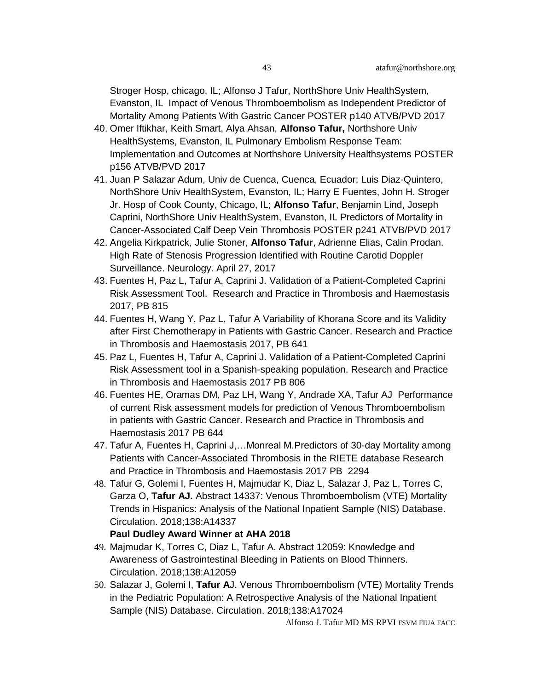Stroger Hosp, chicago, IL; Alfonso J Tafur, NorthShore Univ HealthSystem, Evanston, IL Impact of Venous Thromboembolism as Independent Predictor of Mortality Among Patients With Gastric Cancer POSTER p140 ATVB/PVD 2017

- 40. Omer Iftikhar, Keith Smart, Alya Ahsan, **Alfonso Tafur,** Northshore Univ HealthSystems, Evanston, IL Pulmonary Embolism Response Team: Implementation and Outcomes at Northshore University Healthsystems POSTER p156 ATVB/PVD 2017
- 41. Juan P Salazar Adum, Univ de Cuenca, Cuenca, Ecuador; Luis Diaz-Quintero, NorthShore Univ HealthSystem, Evanston, IL; Harry E Fuentes, John H. Stroger Jr. Hosp of Cook County, Chicago, IL; **Alfonso Tafur**, Benjamin Lind, Joseph Caprini, NorthShore Univ HealthSystem, Evanston, IL Predictors of Mortality in Cancer-Associated Calf Deep Vein Thrombosis POSTER p241 ATVB/PVD 2017
- 42. [Angelia Kirkpatrick,](http://m.neurology.org/search?author1=Angelia+Kirkpatrick&sortspec=date&submit=Submit) [Julie Stoner,](http://m.neurology.org/search?author1=Julie+Stoner&sortspec=date&submit=Submit) **[Alfonso Tafur](http://m.neurology.org/search?author1=Alfonso+Tafur&sortspec=date&submit=Submit)**, [Adrienne Elias,](http://m.neurology.org/search?author1=Adrienne+Elias&sortspec=date&submit=Submit) [Calin Prodan.](http://m.neurology.org/search?author1=Calin+Prodan&sortspec=date&submit=Submit) High Rate of Stenosis Progression Identified with Routine Carotid Doppler Surveillance. Neurology. April 27, 2017
- 43. Fuentes H, Paz L, Tafur A, Caprini J. Validation of a Patient-Completed Caprini Risk Assessment Tool. Research and Practice in Thrombosis and Haemostasis 2017, PB 815
- 44. Fuentes H, Wang Y, Paz L, Tafur A Variability of Khorana Score and its Validity after First Chemotherapy in Patients with Gastric Cancer. Research and Practice in Thrombosis and Haemostasis 2017, PB 641
- 45. Paz L, Fuentes H, Tafur A, Caprini J. Validation of a Patient-Completed Caprini Risk Assessment tool in a Spanish-speaking population. Research and Practice in Thrombosis and Haemostasis 2017 PB 806
- 46. Fuentes HE, Oramas DM, Paz LH, Wang Y, Andrade XA, Tafur AJ Performance of current Risk assessment models for prediction of Venous Thromboembolism in patients with Gastric Cancer. Research and Practice in Thrombosis and Haemostasis 2017 PB 644
- 47. Tafur A, Fuentes H, Caprini J,…Monreal M.Predictors of 30-day Mortality among Patients with Cancer-Associated Thrombosis in the RIETE database Research and Practice in Thrombosis and Haemostasis 2017 PB 2294
- 48. Tafur G, Golemi I, Fuentes H, Majmudar K, Diaz L, Salazar J, Paz L, Torres C, Garza O, **Tafur AJ.** Abstract 14337: Venous Thromboembolism (VTE) Mortality Trends in Hispanics: Analysis of the National Inpatient Sample (NIS) Database. Circulation. 2018;138:A14337

#### **Paul Dudley Award Winner at AHA 2018**

- 49. Majmudar K, Torres C, Diaz L, Tafur A. Abstract 12059: Knowledge and Awareness of Gastrointestinal Bleeding in Patients on Blood Thinners. Circulation. 2018;138:A12059
- 50. Salazar J, Golemi I, **Tafur A**J. Venous Thromboembolism (VTE) Mortality Trends in the Pediatric Population: A Retrospective Analysis of the National Inpatient Sample (NIS) Database. Circulation. 2018;138:A17024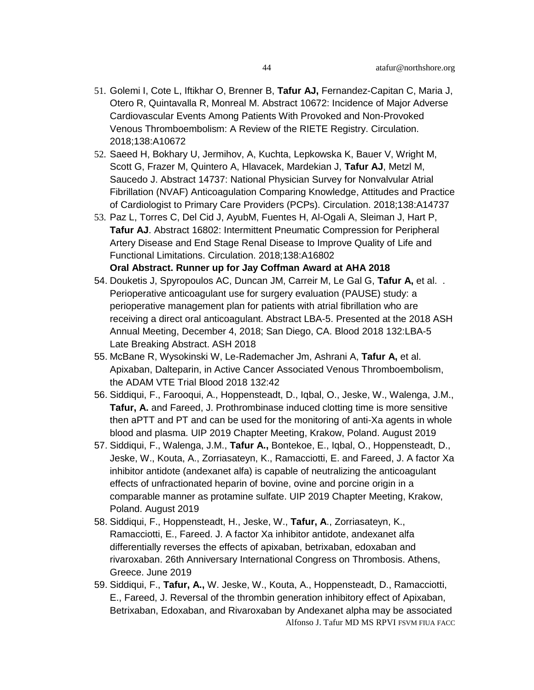- 51. Golemi I, Cote L, Iftikhar O, Brenner B, **Tafur AJ,** Fernandez-Capitan C, Maria J, Otero R, Quintavalla R, Monreal M. Abstract 10672: Incidence of Major Adverse Cardiovascular Events Among Patients With Provoked and Non-Provoked Venous Thromboembolism: A Review of the RIETE Registry. Circulation. 2018;138:A10672
- 52. Saeed H, Bokhary U, Jermihov, A, Kuchta, Lepkowska K, Bauer V, Wright M, Scott G, Frazer M, Quintero A, Hlavacek, Mardekian J, **Tafur AJ**, Metzl M, Saucedo J. Abstract 14737: National Physician Survey for Nonvalvular Atrial Fibrillation (NVAF) Anticoagulation Comparing Knowledge, Attitudes and Practice of Cardiologist to Primary Care Providers (PCPs). Circulation. 2018;138:A14737
- 53. Paz L, Torres C, Del Cid J, AyubM, Fuentes H, Al-Ogali A, Sleiman J, Hart P, **Tafur AJ**. Abstract 16802: Intermittent Pneumatic Compression for Peripheral Artery Disease and End Stage Renal Disease to Improve Quality of Life and Functional Limitations. Circulation. 2018;138:A16802 **Oral Abstract. Runner up for Jay Coffman Award at AHA 2018**
- 54. Douketis J, Spyropoulos AC, Duncan JM, Carreir M, Le Gal G, **Tafur A,** et al. . Perioperative anticoagulant use for surgery evaluation (PAUSE) study: a perioperative management plan for patients with atrial fibrillation who are receiving a direct oral anticoagulant. Abstract LBA-5. Presented at the 2018 ASH Annual Meeting, December 4, 2018; San Diego, CA. Blood 2018 132:LBA-5 Late Breaking Abstract. ASH 2018
- 55. McBane R, Wysokinski W, Le-Rademacher Jm, Ashrani A, **Tafur A,** et al. [Apixaban, Dalteparin, in Active Cancer Associated Venous Thromboembolism,](http://www.bloodjournal.org/content/132/Suppl_1/421)  [the ADAM VTE Trial](http://www.bloodjournal.org/content/132/Suppl_1/421) Blood 2018 132:42
- 56. Siddiqui, F., Farooqui, A., Hoppensteadt, D., Iqbal, O., Jeske, W., Walenga, J.M., **Tafur, A.** and Fareed, J. Prothrombinase induced clotting time is more sensitive then aPTT and PT and can be used for the monitoring of anti-Xa agents in whole blood and plasma. UIP 2019 Chapter Meeting, Krakow, Poland. August 2019
- 57. Siddiqui, F., Walenga, J.M., **Tafur A.,** Bontekoe, E., Iqbal, O., Hoppensteadt, D., Jeske, W., Kouta, A., Zorriasateyn, K., Ramacciotti, E. and Fareed, J. A factor Xa inhibitor antidote (andexanet alfa) is capable of neutralizing the anticoagulant effects of unfractionated heparin of bovine, ovine and porcine origin in a comparable manner as protamine sulfate. UIP 2019 Chapter Meeting, Krakow, Poland. August 2019
- 58. Siddiqui, F., Hoppensteadt, H., Jeske, W., **Tafur, A**., Zorriasateyn, K., Ramacciotti, E., Fareed. J. A factor Xa inhibitor antidote, andexanet alfa differentially reverses the effects of apixaban, betrixaban, edoxaban and rivaroxaban. 26th Anniversary International Congress on Thrombosis. Athens, Greece. June 2019
- Alfonso J. Tafur MD MS RPVI FSVM FIUA FACC 59. Siddiqui, F., **Tafur, A.,** W. Jeske, W., Kouta, A., Hoppensteadt, D., Ramacciotti, E., Fareed, J. Reversal of the thrombin generation inhibitory effect of Apixaban, Betrixaban, Edoxaban, and Rivaroxaban by Andexanet alpha may be associated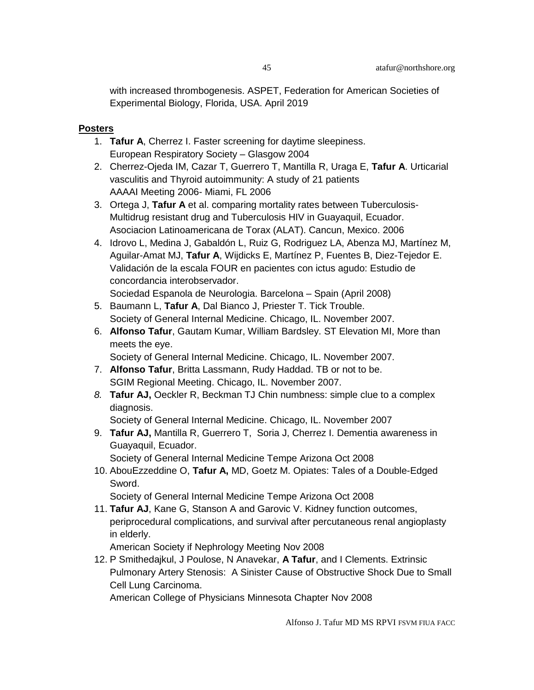with increased thrombogenesis. ASPET, Federation for American Societies of Experimental Biology, Florida, USA. April 2019

#### **Posters**

- 1. **Tafur A**, Cherrez I. Faster screening for daytime sleepiness. European Respiratory Society – Glasgow 2004
- 2. Cherrez-Ojeda IM, Cazar T, Guerrero T, Mantilla R, Uraga E, **Tafur A**. Urticarial vasculitis and Thyroid autoimmunity: A study of 21 patients AAAAI Meeting 2006- Miami, FL 2006
- 3. Ortega J, **Tafur A** et al. comparing mortality rates between Tuberculosis-Multidrug resistant drug and Tuberculosis HIV in Guayaquil, Ecuador. Asociacion Latinoamericana de Torax (ALAT). Cancun, Mexico. 2006
- 4. Idrovo L, Medina J, Gabaldón L, Ruiz G, Rodriguez LA, Abenza MJ, Martínez M, Aguilar-Amat MJ, **Tafur A**, Wijdicks E, Martínez P, Fuentes B, Diez-Tejedor E. Validación de la escala FOUR en pacientes con ictus agudo: Estudio de concordancia interobservador.

```
Sociedad Espanola de Neurologia. Barcelona – Spain (April 2008)
```
- 5. Baumann L, **Tafur A**, Dal Bianco J, Priester T. Tick Trouble. Society of General Internal Medicine. Chicago, IL. November 2007.
- 6. **Alfonso Tafur**, Gautam Kumar, William Bardsley. ST Elevation MI, More than meets the eye.

Society of General Internal Medicine. Chicago, IL. November 2007.

- 7. **Alfonso Tafur**, Britta Lassmann, Rudy Haddad. TB or not to be. SGIM Regional Meeting. Chicago, IL. November 2007.
- *8.* **Tafur AJ,** Oeckler R, Beckman TJ Chin numbness: simple clue to a complex diagnosis.

Society of General Internal Medicine. Chicago, IL. November 2007

9. **Tafur AJ,** Mantilla R, Guerrero T, Soria J, Cherrez I. Dementia awareness in Guayaquil, Ecuador.

Society of General Internal Medicine Tempe Arizona Oct 2008

10. AbouEzzeddine O, **Tafur A,** MD, Goetz M. Opiates: Tales of a Double-Edged Sword.

Society of General Internal Medicine Tempe Arizona Oct 2008

11. **Tafur AJ**, Kane G, Stanson A and Garovic V. Kidney function outcomes, periprocedural complications, and survival after percutaneous renal angioplasty in elderly.

American Society if Nephrology Meeting Nov 2008

12. P Smithedajkul, J Poulose, N Anavekar, **A Tafur**, and I Clements. Extrinsic Pulmonary Artery Stenosis: A Sinister Cause of Obstructive Shock Due to Small Cell Lung Carcinoma.

American College of Physicians Minnesota Chapter Nov 2008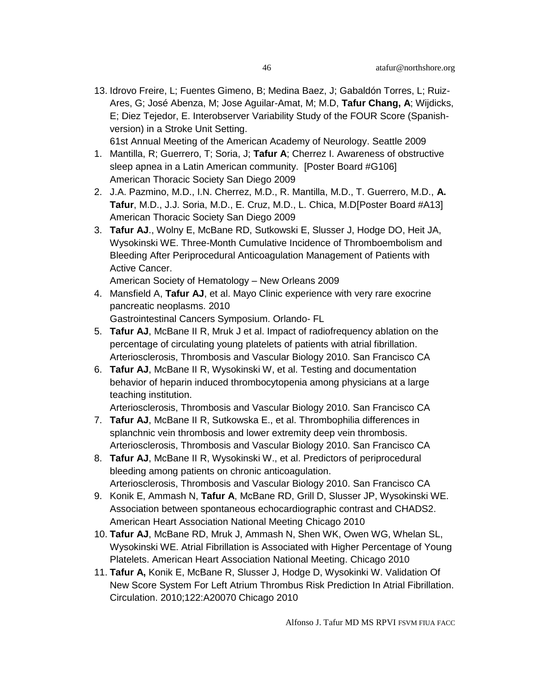13. Idrovo Freire, L; Fuentes Gimeno, B; Medina Baez, J; Gabaldón Torres, L; Ruiz-Ares, G; José Abenza, M; Jose Aguilar-Amat, M; M.D, **Tafur Chang, A**; Wijdicks, E; Diez Tejedor, E. Interobserver Variability Study of the FOUR Score (Spanishversion) in a Stroke Unit Setting.

61st Annual Meeting of the American Academy of Neurology. Seattle 2009

- 1. Mantilla, R; Guerrero, T; Soria, J; **Tafur A**; Cherrez I. Awareness of obstructive sleep apnea in a Latin American community. [\[Poster Board #G106\]](javascript:remote_window()  American Thoracic Society San Diego 2009
- 2. J.A. Pazmino, M.D., I.N. Cherrez, M.D., R. Mantilla, M.D., T. Guerrero, M.D., **A. Tafur**, M.D., J.J. Soria, M.D., E. Cruz, M.D., L. Chica, M.[D\[Poster Board #A13\]](javascript:remote_window()  American Thoracic Society San Diego 2009
- 3. **Tafur AJ**., Wolny E, McBane RD, Sutkowski E, Slusser J, Hodge DO, Heit JA, Wysokinski WE. Three-Month Cumulative Incidence of Thromboembolism and Bleeding After Periprocedural Anticoagulation Management of Patients with Active Cancer.

American Society of Hematology – New Orleans 2009

4. Mansfield A, **Tafur AJ**, et al. Mayo Clinic experience with very rare exocrine pancreatic neoplasms. 2010 Gastrointestinal Cancers Symposium. Orlando- FL

- 5. **Tafur AJ**, McBane II R, Mruk J et al. Impact of radiofrequency ablation on the percentage of circulating young platelets of patients with atrial fibrillation. Arteriosclerosis, Thrombosis and Vascular Biology 2010. San Francisco CA
- 6. **Tafur AJ**, McBane II R, Wysokinski W, et al. Testing and documentation behavior of heparin induced thrombocytopenia among physicians at a large teaching institution.

Arteriosclerosis, Thrombosis and Vascular Biology 2010. San Francisco CA

- 7. **Tafur AJ**, McBane II R, Sutkowska E., et al. Thrombophilia differences in splanchnic vein thrombosis and lower extremity deep vein thrombosis. Arteriosclerosis, Thrombosis and Vascular Biology 2010. San Francisco CA
- 8. **Tafur AJ**, McBane II R, Wysokinski W., et al. Predictors of periprocedural bleeding among patients on chronic anticoagulation. Arteriosclerosis, Thrombosis and Vascular Biology 2010. San Francisco CA
- 9. Konik E, Ammash N, **Tafur A**, McBane RD, Grill D, Slusser JP, Wysokinski WE. Association between spontaneous echocardiographic contrast and CHADS2. American Heart Association National Meeting Chicago 2010
- 10. **Tafur AJ**, McBane RD, Mruk J, Ammash N, Shen WK, Owen WG, Whelan SL, Wysokinski WE. Atrial Fibrillation is Associated with Higher Percentage of Young Platelets. American Heart Association National Meeting. Chicago 2010
- 11. **Tafur A,** Konik E, McBane R, Slusser J, Hodge D, Wysokinki W. Validation Of New Score System For Left Atrium Thrombus Risk Prediction In Atrial Fibrillation. Circulation. 2010;122:A20070 Chicago 2010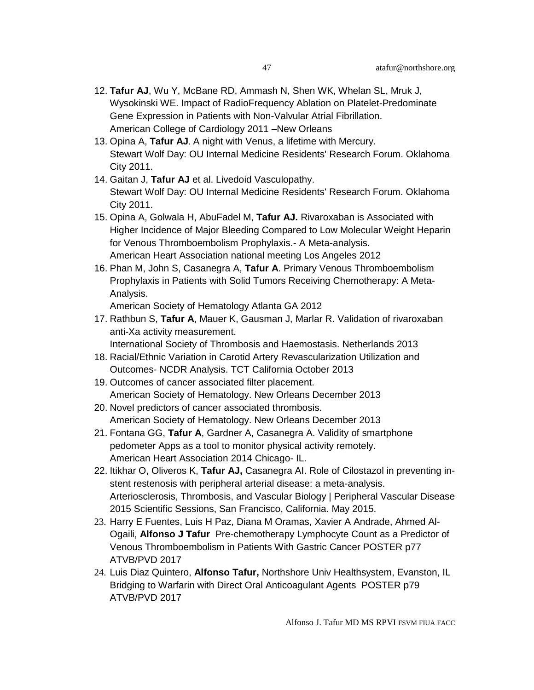- 12. **Tafur AJ**, Wu Y, McBane RD, Ammash N, Shen WK, Whelan SL, Mruk J, Wysokinski WE. Impact of RadioFrequency Ablation on Platelet-Predominate Gene Expression in Patients with Non-Valvular Atrial Fibrillation. American College of Cardiology 2011 –New Orleans
- 13. Opina A, **Tafur AJ**. A night with Venus, a lifetime with Mercury. Stewart Wolf Day: OU Internal Medicine Residents' Research Forum. Oklahoma City 2011.
- 14. Gaitan J, **Tafur AJ** et al. Livedoid Vasculopathy. Stewart Wolf Day: OU Internal Medicine Residents' Research Forum. Oklahoma City 2011.
- 15. Opina A, Golwala H, AbuFadel M, **Tafur AJ.** Rivaroxaban is Associated with Higher Incidence of Major Bleeding Compared to Low Molecular Weight Heparin for Venous Thromboembolism Prophylaxis.- A Meta-analysis. American Heart Association national meeting Los Angeles 2012
- 16. Phan M, John S, Casanegra A, **Tafur A**. Primary Venous Thromboembolism Prophylaxis in Patients with Solid Tumors Receiving Chemotherapy: A Meta-Analysis.

American Society of Hematology Atlanta GA 2012

17. Rathbun S, **Tafur A**, Mauer K, Gausman J, Marlar R. Validation of rivaroxaban anti-Xa activity measurement.

International Society of Thrombosis and Haemostasis. Netherlands 2013

- 18. Racial/Ethnic Variation in Carotid Artery Revascularization Utilization and Outcomes- NCDR Analysis. TCT California October 2013
- 19. Outcomes of cancer associated filter placement. American Society of Hematology. New Orleans December 2013
- 20. Novel predictors of cancer associated thrombosis. American Society of Hematology. New Orleans December 2013
- 21. Fontana GG, **Tafur A**, Gardner A, Casanegra A. Validity of smartphone pedometer Apps as a tool to monitor physical activity remotely. American Heart Association 2014 Chicago- IL.
- 22. Itikhar O, Oliveros K, **Tafur AJ,** Casanegra AI. Role of Cilostazol in preventing instent restenosis with peripheral arterial disease: a meta-analysis. Arteriosclerosis, Thrombosis, and Vascular Biology | Peripheral Vascular Disease 2015 Scientific Sessions, San Francisco, California. May 2015.
- 23. Harry E Fuentes, Luis H Paz, Diana M Oramas, Xavier A Andrade, Ahmed Al-Ogaili, **Alfonso J Tafur** Pre-chemotherapy Lymphocyte Count as a Predictor of Venous Thromboembolism in Patients With Gastric Cancer POSTER p77 ATVB/PVD 2017
- 24. Luis Diaz Quintero, **Alfonso Tafur,** Northshore Univ Healthsystem, Evanston, IL Bridging to Warfarin with Direct Oral Anticoagulant Agents POSTER p79 ATVB/PVD 2017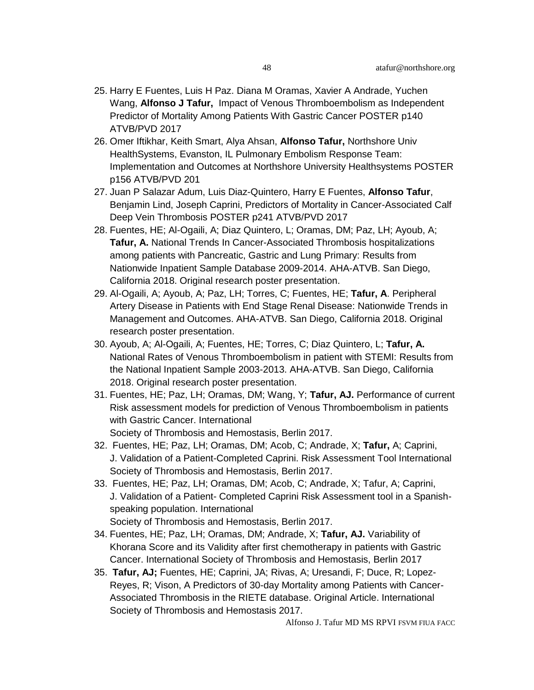- 25. Harry E Fuentes, Luis H Paz. Diana M Oramas, Xavier A Andrade, Yuchen Wang, **Alfonso J Tafur,** Impact of Venous Thromboembolism as Independent Predictor of Mortality Among Patients With Gastric Cancer POSTER p140 ATVB/PVD 2017
- 26. Omer Iftikhar, Keith Smart, Alya Ahsan, **Alfonso Tafur,** Northshore Univ HealthSystems, Evanston, IL Pulmonary Embolism Response Team: Implementation and Outcomes at Northshore University Healthsystems POSTER p156 ATVB/PVD 201
- 27. Juan P Salazar Adum, Luis Diaz-Quintero, Harry E Fuentes, **Alfonso Tafur**, Benjamin Lind, Joseph Caprini, Predictors of Mortality in Cancer-Associated Calf Deep Vein Thrombosis POSTER p241 ATVB/PVD 2017
- 28. Fuentes, HE; Al-Ogaili, A; Diaz Quintero, L; Oramas, DM; Paz, LH; Ayoub, A; **Tafur, A.** National Trends In Cancer-Associated Thrombosis hospitalizations among patients with Pancreatic, Gastric and Lung Primary: Results from Nationwide Inpatient Sample Database 2009-2014. AHA-ATVB. San Diego, California 2018. Original research poster presentation.
- 29. Al-Ogaili, A; Ayoub, A; Paz, LH; Torres, C; Fuentes, HE; **Tafur, A**. Peripheral Artery Disease in Patients with End Stage Renal Disease: Nationwide Trends in Management and Outcomes. AHA-ATVB. San Diego, California 2018. Original research poster presentation.
- 30. Ayoub, A; Al-Ogaili, A; Fuentes, HE; Torres, C; Diaz Quintero, L; **Tafur, A.** National Rates of Venous Thromboembolism in patient with STEMI: Results from the National Inpatient Sample 2003-2013. AHA-ATVB. San Diego, California 2018. Original research poster presentation.
- 31. Fuentes, HE; Paz, LH; Oramas, DM; Wang, Y; **Tafur, AJ.** Performance of current Risk assessment models for prediction of Venous Thromboembolism in patients with Gastric Cancer. International Society of Thrombosis and Hemostasis, Berlin 2017.
- 32. Fuentes, HE; Paz, LH; Oramas, DM; Acob, C; Andrade, X; **Tafur,** A; Caprini, J. Validation of a Patient-Completed Caprini. Risk Assessment Tool International Society of Thrombosis and Hemostasis, Berlin 2017.
- 33. Fuentes, HE; Paz, LH; Oramas, DM; Acob, C; Andrade, X; Tafur, A; Caprini, J. Validation of a Patient- Completed Caprini Risk Assessment tool in a Spanishspeaking population. International Society of Thrombosis and Hemostasis, Berlin 2017.
- 34. Fuentes, HE; Paz, LH; Oramas, DM; Andrade, X; **Tafur, AJ.** Variability of Khorana Score and its Validity after first chemotherapy in patients with Gastric Cancer. International Society of Thrombosis and Hemostasis, Berlin 2017
- 35. **Tafur, AJ;** Fuentes, HE; Caprini, JA; Rivas, A; Uresandi, F; Duce, R; Lopez-Reyes, R; Vison, A Predictors of 30-day Mortality among Patients with Cancer-Associated Thrombosis in the RIETE database. Original Article. International Society of Thrombosis and Hemostasis 2017.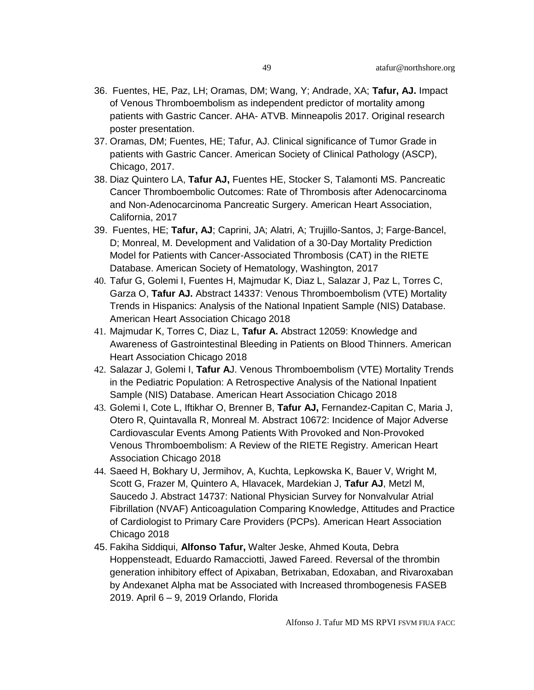- 36. Fuentes, HE, Paz, LH; Oramas, DM; Wang, Y; Andrade, XA; **Tafur, AJ.** Impact of Venous Thromboembolism as independent predictor of mortality among patients with Gastric Cancer. AHA- ATVB. Minneapolis 2017. Original research poster presentation.
- 37. Oramas, DM; Fuentes, HE; Tafur, AJ. Clinical significance of Tumor Grade in patients with Gastric Cancer. American Society of Clinical Pathology (ASCP), Chicago, 2017.
- 38. Diaz Quintero LA, **Tafur AJ,** Fuentes HE, Stocker S, Talamonti MS. Pancreatic Cancer Thromboembolic Outcomes: Rate of Thrombosis after Adenocarcinoma and Non-Adenocarcinoma Pancreatic Surgery. American Heart Association, California, 2017
- 39. Fuentes, HE; **Tafur, AJ**; Caprini, JA; Alatri, A; Trujillo-Santos, J; Farge-Bancel, D; Monreal, M. Development and Validation of a 30-Day Mortality Prediction Model for Patients with Cancer-Associated Thrombosis (CAT) in the RIETE Database. American Society of Hematology, Washington, 2017
- 40. Tafur G, Golemi I, Fuentes H, Majmudar K, Diaz L, Salazar J, Paz L, Torres C, Garza O, **Tafur AJ.** Abstract 14337: Venous Thromboembolism (VTE) Mortality Trends in Hispanics: Analysis of the National Inpatient Sample (NIS) Database. American Heart Association Chicago 2018
- 41. Majmudar K, Torres C, Diaz L, **Tafur A.** Abstract 12059: Knowledge and Awareness of Gastrointestinal Bleeding in Patients on Blood Thinners. American Heart Association Chicago 2018
- 42. Salazar J, Golemi I, **Tafur A**J. Venous Thromboembolism (VTE) Mortality Trends in the Pediatric Population: A Retrospective Analysis of the National Inpatient Sample (NIS) Database. American Heart Association Chicago 2018
- 43. Golemi I, Cote L, Iftikhar O, Brenner B, **Tafur AJ,** Fernandez-Capitan C, Maria J, Otero R, Quintavalla R, Monreal M. Abstract 10672: Incidence of Major Adverse Cardiovascular Events Among Patients With Provoked and Non-Provoked Venous Thromboembolism: A Review of the RIETE Registry. American Heart Association Chicago 2018
- 44. Saeed H, Bokhary U, Jermihov, A, Kuchta, Lepkowska K, Bauer V, Wright M, Scott G, Frazer M, Quintero A, Hlavacek, Mardekian J, **Tafur AJ**, Metzl M, Saucedo J. Abstract 14737: National Physician Survey for Nonvalvular Atrial Fibrillation (NVAF) Anticoagulation Comparing Knowledge, Attitudes and Practice of Cardiologist to Primary Care Providers (PCPs). American Heart Association Chicago 2018
- 45. Fakiha Siddiqui, **Alfonso Tafur,** Walter Jeske, Ahmed Kouta, Debra Hoppensteadt, Eduardo Ramacciotti, Jawed Fareed. Reversal of the thrombin generation inhibitory effect of Apixaban, Betrixaban, Edoxaban, and Rivaroxaban by Andexanet Alpha mat be Associated with Increased thrombogenesis FASEB 2019. April 6 – 9, 2019 Orlando, Florida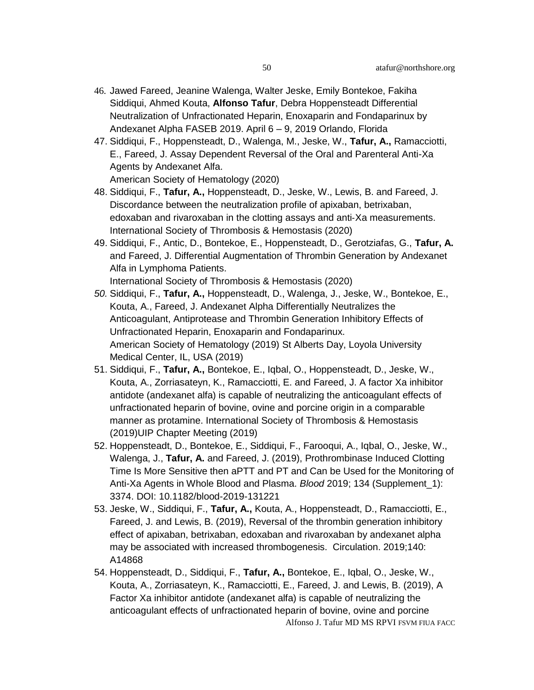- 46. Jawed Fareed, Jeanine Walenga, Walter Jeske, Emily Bontekoe, Fakiha Siddiqui, Ahmed Kouta, **Alfonso Tafur**, Debra Hoppensteadt Differential Neutralization of Unfractionated Heparin, Enoxaparin and Fondaparinux by Andexanet Alpha FASEB 2019. April 6 – 9, 2019 Orlando, Florida
- 47. Siddiqui, F., Hoppensteadt, D., Walenga, M., Jeske, W., **Tafur, A.,** Ramacciotti, E., Fareed, J. Assay Dependent Reversal of the Oral and Parenteral Anti-Xa Agents by Andexanet Alfa.

American Society of Hematology (2020)

- 48. Siddiqui, F., **Tafur, A.,** Hoppensteadt, D., Jeske, W., Lewis, B. and Fareed, J. Discordance between the neutralization profile of apixaban, betrixaban, edoxaban and rivaroxaban in the clotting assays and anti‐Xa measurements. International Society of Thrombosis & Hemostasis (2020)
- 49. Siddiqui, F., Antic, D., Bontekoe, E., Hoppensteadt, D., Gerotziafas, G., **Tafur, A.** and Fareed, J. Differential Augmentation of Thrombin Generation by Andexanet Alfa in Lymphoma Patients.

International Society of Thrombosis & Hemostasis (2020)

- *50.* Siddiqui, F., **Tafur, A.,** Hoppensteadt, D., Walenga, J., Jeske, W., Bontekoe, E., Kouta, A., Fareed, J. Andexanet Alpha Differentially Neutralizes the Anticoagulant, Antiprotease and Thrombin Generation Inhibitory Effects of Unfractionated Heparin, Enoxaparin and Fondaparinux. American Society of Hematology (2019) St Alberts Day, Loyola University Medical Center, IL, USA (2019)
- 51. Siddiqui, F., **Tafur, A.,** Bontekoe, E., Iqbal, O., Hoppensteadt, D., Jeske, W., Kouta, A., Zorriasateyn, K., Ramacciotti, E. and Fareed, J. A factor Xa inhibitor antidote (andexanet alfa) is capable of neutralizing the anticoagulant effects of unfractionated heparin of bovine, ovine and porcine origin in a comparable manner as protamine. International Society of Thrombosis & Hemostasis (2019)UIP Chapter Meeting (2019)
- 52. Hoppensteadt, D., Bontekoe, E., Siddiqui, F., Farooqui, A., Iqbal, O., Jeske, W., Walenga, J., **Tafur, A.** and Fareed, J. (2019), Prothrombinase Induced Clotting Time Is More Sensitive then aPTT and PT and Can be Used for the Monitoring of Anti-Xa Agents in Whole Blood and Plasma. *Blood* 2019; 134 (Supplement\_1): 3374. DOI: [10.1182/blood-2019-131221](https://doi.org/10.1182/blood-2019-131221)
- 53. Jeske, W., Siddiqui, F., **Tafur, A.,** Kouta, A., Hoppensteadt, D., Ramacciotti, E., Fareed, J. and Lewis, B. (2019), Reversal of the thrombin generation inhibitory effect of apixaban, betrixaban, edoxaban and rivaroxaban by andexanet alpha may be associated with increased thrombogenesis. Circulation. 2019;140: A14868
- Alfonso J. Tafur MD MS RPVI FSVM FIUA FACC 54. Hoppensteadt, D., Siddiqui, F., **Tafur, A.,** Bontekoe, E., Iqbal, O., Jeske, W., Kouta, A., Zorriasateyn, K., Ramacciotti, E., Fareed, J. and Lewis, B. (2019), A Factor Xa inhibitor antidote (andexanet alfa) is capable of neutralizing the anticoagulant effects of unfractionated heparin of bovine, ovine and porcine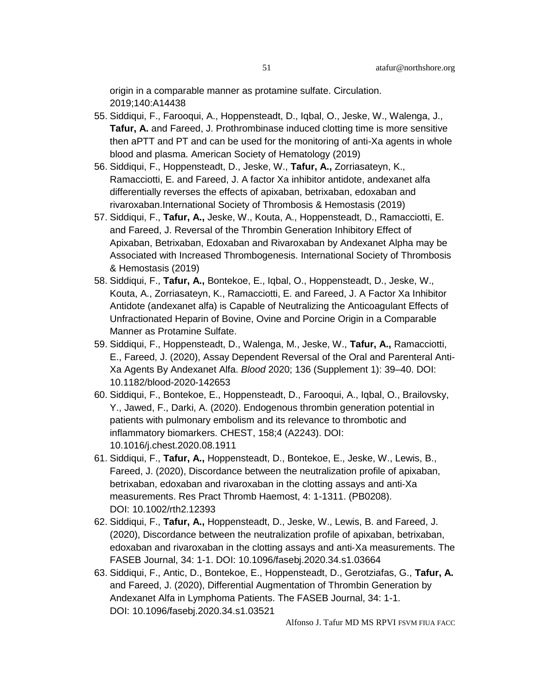origin in a comparable manner as protamine sulfate. Circulation. 2019;140:A14438

- 55. Siddiqui, F., Farooqui, A., Hoppensteadt, D., Iqbal, O., Jeske, W., Walenga, J., **Tafur, A.** and Fareed, J. Prothrombinase induced clotting time is more sensitive then aPTT and PT and can be used for the monitoring of anti-Xa agents in whole blood and plasma. American Society of Hematology (2019)
- 56. Siddiqui, F., Hoppensteadt, D., Jeske, W., **Tafur, A.,** Zorriasateyn, K., Ramacciotti, E. and Fareed, J. A factor Xa inhibitor antidote, andexanet alfa differentially reverses the effects of apixaban, betrixaban, edoxaban and rivaroxaban.International Society of Thrombosis & Hemostasis (2019)
- 57. Siddiqui, F., **Tafur, A.,** Jeske, W., Kouta, A., Hoppensteadt, D., Ramacciotti, E. and Fareed, J. Reversal of the Thrombin Generation Inhibitory Effect of Apixaban, Betrixaban, Edoxaban and Rivaroxaban by Andexanet Alpha may be Associated with Increased Thrombogenesis. International Society of Thrombosis & Hemostasis (2019)
- 58. Siddiqui, F., **Tafur, A.,** Bontekoe, E., Iqbal, O., Hoppensteadt, D., Jeske, W., Kouta, A., Zorriasateyn, K., Ramacciotti, E. and Fareed, J. A Factor Xa Inhibitor Antidote (andexanet alfa) is Capable of Neutralizing the Anticoagulant Effects of Unfractionated Heparin of Bovine, Ovine and Porcine Origin in a Comparable Manner as Protamine Sulfate.
- 59. Siddiqui, F., Hoppensteadt, D., Walenga, M., Jeske, W., **Tafur, A.,** Ramacciotti, E., Fareed, J. (2020), Assay Dependent Reversal of the Oral and Parenteral Anti-Xa Agents By Andexanet Alfa. *Blood* 2020; 136 (Supplement 1): 39–40. DOI: [10.1182/blood-2020-142653](https://doi.org/10.1182/blood-2020-142653)
- 60. Siddiqui, F., Bontekoe, E., Hoppensteadt, D., Farooqui, A., Iqbal, O., Brailovsky, Y., Jawed, F., Darki, A. (2020). Endogenous thrombin generation potential in patients with pulmonary embolism and its relevance to thrombotic and inflammatory biomarkers. CHEST, 158;4 (A2243). DOI: [10.1016/j.chest.2020.08.1911](https://doi.org/10.1016/j.chest.2020.08.1911)
- 61. Siddiqui, F., **Tafur, A.,** Hoppensteadt, D., Bontekoe, E., Jeske, W., Lewis, B., Fareed, J. (2020), Discordance between the neutralization profile of apixaban, betrixaban, edoxaban and rivaroxaban in the clotting assays and anti‐Xa measurements. Res Pract Thromb Haemost, 4: 1-1311. (PB0208). DOI: [10.1002/rth2.12393](https://doi.org/10.1002/rth2.12393)
- 62. Siddiqui, F., **Tafur, A.,** Hoppensteadt, D., Jeske, W., Lewis, B. and Fareed, J. (2020), Discordance between the neutralization profile of apixaban, betrixaban, edoxaban and rivaroxaban in the clotting assays and anti‐Xa measurements. The FASEB Journal, 34: 1-1. DOI: [10.1096/fasebj.2020.34.s1.03664](https://doi.org/10.1096/fasebj.2020.34.s1.03664)
- 63. Siddiqui, F., Antic, D., Bontekoe, E., Hoppensteadt, D., Gerotziafas, G., **Tafur, A.** and Fareed, J. (2020), Differential Augmentation of Thrombin Generation by Andexanet Alfa in Lymphoma Patients. The FASEB Journal, 34: 1-1. DOI: [10.1096/fasebj.2020.34.s1.03521](https://doi.org/10.1096/fasebj.2020.34.s1.03521)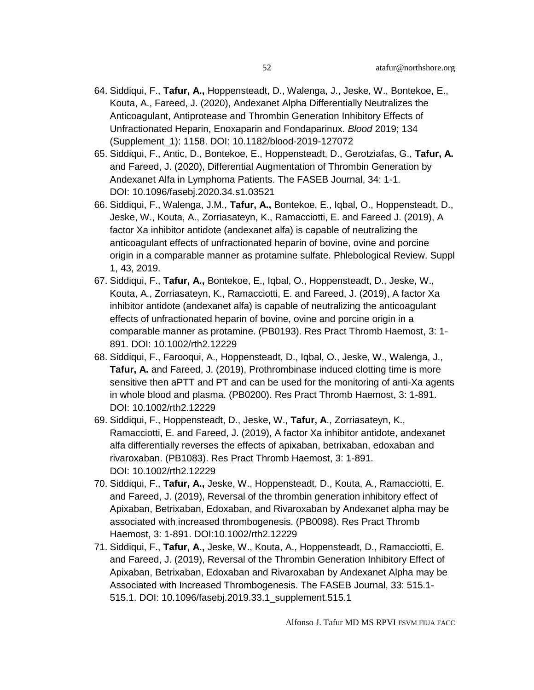- 64. Siddiqui, F., **Tafur, A.,** Hoppensteadt, D., Walenga, J., Jeske, W., Bontekoe, E., Kouta, A., Fareed, J. (2020), Andexanet Alpha Differentially Neutralizes the Anticoagulant, Antiprotease and Thrombin Generation Inhibitory Effects of Unfractionated Heparin, Enoxaparin and Fondaparinux. *Blood* 2019; 134 (Supplement\_1): 1158. DOI: [10.1182/blood-2019-127072](https://doi.org/10.1182/blood-2019-127072)
- 65. Siddiqui, F., Antic, D., Bontekoe, E., Hoppensteadt, D., Gerotziafas, G., **Tafur, A.** and Fareed, J. (2020), Differential Augmentation of Thrombin Generation by Andexanet Alfa in Lymphoma Patients. The FASEB Journal, 34: 1-1. DOI: [10.1096/fasebj.2020.34.s1.03521](https://doi.org/10.1096/fasebj.2020.34.s1.03521)
- 66. Siddiqui, F., Walenga, J.M., **Tafur, A.,** Bontekoe, E., Iqbal, O., Hoppensteadt, D., Jeske, W., Kouta, A., Zorriasateyn, K., Ramacciotti, E. and Fareed J. (2019), A factor Xa inhibitor antidote (andexanet alfa) is capable of neutralizing the anticoagulant effects of unfractionated heparin of bovine, ovine and porcine origin in a comparable manner as protamine sulfate. Phlebological Review. Suppl 1, 43, 2019.
- 67. Siddiqui, F., **Tafur, A.,** Bontekoe, E., Iqbal, O., Hoppensteadt, D., Jeske, W., Kouta, A., Zorriasateyn, K., Ramacciotti, E. and Fareed, J. (2019), A factor Xa inhibitor antidote (andexanet alfa) is capable of neutralizing the anticoagulant effects of unfractionated heparin of bovine, ovine and porcine origin in a comparable manner as protamine. (PB0193). Res Pract Thromb Haemost, 3: 1- 891. DOI: [10.1002/rth2.12229](https://doi.org/10.1002/rth2.12229)
- 68. Siddiqui, F., Farooqui, A., Hoppensteadt, D., Iqbal, O., Jeske, W., Walenga, J., **Tafur, A.** and Fareed, J. (2019), Prothrombinase induced clotting time is more sensitive then aPTT and PT and can be used for the monitoring of anti-Xa agents in whole blood and plasma. (PB0200). Res Pract Thromb Haemost, 3: 1-891. DOI: [10.1002/rth2.12229](https://doi.org/10.1002/rth2.12229)
- 69. Siddiqui, F., Hoppensteadt, D., Jeske, W., **Tafur, A**., Zorriasateyn, K., Ramacciotti, E. and Fareed, J. (2019), A factor Xa inhibitor antidote, andexanet alfa differentially reverses the effects of apixaban, betrixaban, edoxaban and rivaroxaban. (PB1083). Res Pract Thromb Haemost, 3: 1-891. DOI: [10.1002/rth2.12229](https://doi.org/10.1002/rth2.12229)
- 70. Siddiqui, F., **Tafur, A.,** Jeske, W., Hoppensteadt, D., Kouta, A., Ramacciotti, E. and Fareed, J. (2019), Reversal of the thrombin generation inhibitory effect of Apixaban, Betrixaban, Edoxaban, and Rivaroxaban by Andexanet alpha may be associated with increased thrombogenesis. (PB0098). Res Pract Thromb Haemost, 3: 1-891. DOI[:10.1002/rth2.12229](https://doi.org/10.1002/rth2.12229)
- 71. Siddiqui, F., **Tafur, A.,** Jeske, W., Kouta, A., Hoppensteadt, D., Ramacciotti, E. and Fareed, J. (2019), Reversal of the Thrombin Generation Inhibitory Effect of Apixaban, Betrixaban, Edoxaban and Rivaroxaban by Andexanet Alpha may be Associated with Increased Thrombogenesis. The FASEB Journal, 33: 515.1- 515.1. DOI: [10.1096/fasebj.2019.33.1\\_supplement.515.1](https://doi.org/10.1096/fasebj.2019.33.1_supplement.515.1)